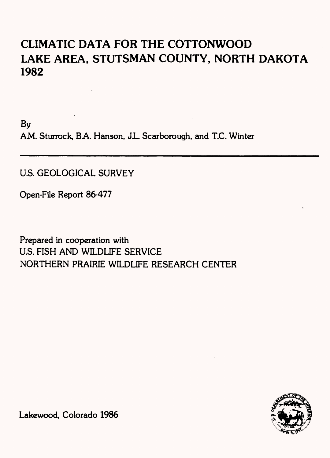# **CLIMATIC DATA FOR THE COTTONWOOD LAKE AREA, STUTSMAN COUNTY, NORTH DAKOTA 1982**

By A.M. Sturrock, B.A. Hanson, J.L. Scarborough, and T.C. Winter

US. GEOLOGICAL SURVEY

Open-File Report 86-477

Prepared in cooperation with U.S. FISH AND WILDLIFE SERVICE NORTHERN PRAIRIE WILDLIFE RESEARCH CENTER



Lakewood, Colorado 1986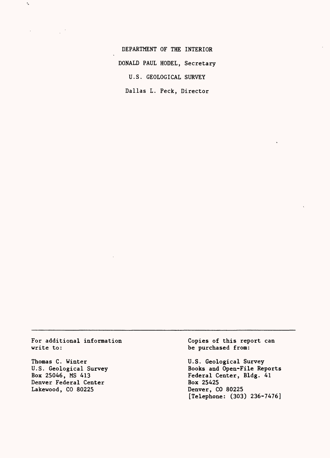DEPARTMENT OF THE INTERIOR DONALD PAUL MODEL, Secretary U.S. GEOLOGICAL SURVEY Dallas L. Peck, Director

For additional information write to:

Thomas C. Winter U.S. Geological Survey Box 25046, MS 413 Denver Federal Center Lakewood, CO 80225

 $\epsilon_{\rm g}$ 

Copies of this report can be purchased from:

U.S. Geological Survey Books and Open-File Reports Federal Center, Bldg. 41 Box 25425 Denver, CO 80225 [Telephone: (303) 236-7476]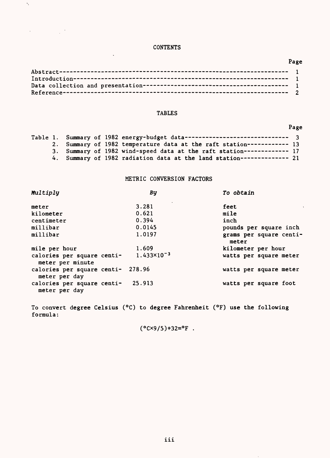## **CONTENTS**

 $\ddot{\phantom{0}}$ 

 $\hat{\mathbf{v}}_k$ 

## Page

# TABLES

# Page

|  |  | Table 1. Summary of 1982 energy-budget data----------------------------- 3 |  |
|--|--|----------------------------------------------------------------------------|--|
|  |  | 2. Summary of 1982 temperature data at the raft station----------- 13      |  |
|  |  | 3. Summary of 1982 wind-speed data at the raft station------------ 17      |  |
|  |  | 4. Summary of 1982 radiation data at the land station-------------- 21     |  |

## METRIC CONVERSION FACTORS

| Multiply                                           | By                     | To obtain                        |
|----------------------------------------------------|------------------------|----------------------------------|
| meter                                              | 3.281                  | feet                             |
| kilometer                                          | 0.621                  | mile                             |
| centimeter                                         | 0.394                  | inch                             |
| millibar                                           | 0.0145                 | pounds per square inch           |
| millibar                                           | 1.0197                 | grams per square centi-<br>meter |
| mile per hour                                      | 1.609                  | kilometer per hour               |
| calories per square centi-<br>meter per minute     | $1.433 \times 10^{-3}$ | watts per square meter           |
| calories per square centi- 278.96<br>meter per day |                        | watts per square meter           |
| calories per square centi- 25.913<br>meter per day |                        | watts per square foot            |

To convert degree Celsius (°C) to degree Fahrenheit (°F) use the following formula:

 $(^{\circ}C \times 9/5) + 32 = ^{\circ}F$ .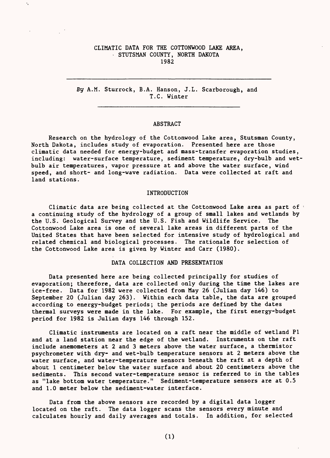### CLIMATIC DATA FOR THE COTTONWOOD LAKE AREA, - STUTSMAN COUNTY, NORTH DAKOTA 1982

Ň,

By A.M. Sturrock, B.A. Hanson, J.L. Scarborough, and T.C. Winter

### ABSTRACT

Research on the hydrology of the Cottonwood Lake area, Stutsman County, North Dakota, includes study of evaporation. Presented here are those climatic data needed for energy-budget and mass-transfer evaporation studies, including: water-surface temperature, sediment temperature, dry-bulb and wetbulb air temperatures, vapor pressure at and above the water surface, wind speed, and short- and long-wave radiation. Data were collected at raft and land stations.

#### INTRODUCTION

Climatic data are being collected at the Cottonwood Lake area as part of a continuing study of the hydrology of a group of small lakes and wetlands by the U.S. Geological Survey and the U.S. Fish and Wildlife Service. The Cottonwood Lake area is one of several lake areas in different parts of the United States that have been selected for intensive study of hydrological and related chemical and biological processes. The rationale for selection of the Cottonwood Lake area is given by Winter and Carr (1980).

#### DATA COLLECTION AND PRESENTATION

Data presented here are being collected principally for studies of evaporation; therefore, data are collected only during the time the lakes are ice-free. Data for 1982 were collected from May 26 (Julian day 146) to September 20 (Julian day 263). Within each data table, the data are grouped according to energy-budget periods; the periods are defined by the dates thermal surveys were made in the lake. For example, the first energy-budget period for 1982 is Julian days 146 through 152.

Climatic instruments are located on a raft near the middle of wetland PI and at a land station near the edge of the wetland. Instruments on the raft include anemometers at 2 and 3 meters above the water surface, a thermistor psychrometer with dry- and wet-bulb temperature sensors at 2 meters above the water surface, and water-temperature sensors beneath the raft at a depth of about 1 centimeter below the water surface and about 20 centimeters above the sediments. This second water-temperature sensor is referred to in the tables as "lake bottom water temperature." Sediment-temperature sensors are at 0.5 and 1.0 meter below the sediment-water interface.

Data from the above sensors are recorded by a digital data logger located on the raft. The data logger scans the sensors every minute and calculates hourly and daily averages and totals. In addition, for selected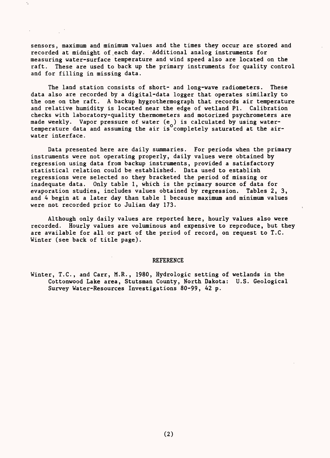sensors, maximum and minimum values and the times they occur are stored and recorded at midnight of each day. Additional analog instruments for measuring water-surface temperature and wind speed also are located on the raft. These are used to back up the primary instruments for quality control and for filling in missing data.

Ý.

The land station consists of short- and long-wave radiometers. These data also are recorded by a digital-data logger that operates similarly to the one on the raft. A backup hygrothermograph that records air temperature and relative humidity is located near the edge of wetland PI. Calibration checks with laboratory-quality thermometers and motorized psychrometers are made weekly. Vapor pressure of water  $(e_0)$  is calculated by using watertemperature data and assuming the air is completely saturated at the airwater interface.

Data presented here are daily summaries. For periods when the primary instruments were not operating properly, daily values were obtained by regression using data from backup instruments, provided a satisfactory statistical relation could be established. Data used to establish regressions were selected so they bracketed the period of missing or inadequate data. Only table 1, which is the primary source of data for evaporation studies, includes values obtained by regression. Tables 2, 3, and 4 begin at a later day than table 1 because maximum and minimum values were not recorded prior to Julian day 173.

Although only daily values are reported here, hourly values also were recorded. Hourly values are voluminous and expensive to reproduce, but they are available for all or part of the period of record, on request to T.C. Winter (see back of title page).

#### REFERENCE

Winter, T.C., and Carr, M.R., 1980, Hydrologic setting of wetlands in the Cottonwood Lake area, Stutsman County, North Dakota: U.S. Geological Survey Water-Resources Investigations 80-99, 42 p.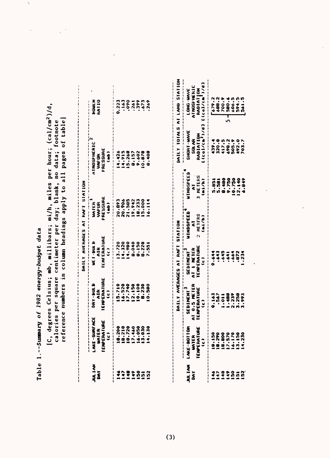Table 1.--Summary of 1982 energy-budget data **Table 1. Sunman/ of 1982 energy-budget data**

 $\frac{d}{dt}$ 

[C, degrees Celsius; mb, millibars; mi/h, miles per hour;  $(cal/cm^2)/d$ , calories per square centimeter per day; blank, no data; footnote reference numbers in column headings apply to all pages of table] **[C, degrees Celsius; mb, millibars; mi/h, miles per hour; (cal/cm2 )/d, calories per square centimeter per day; blank, no data; footnote reference numbers in column headings apply to all pages of table]**

| i<br>Shi<br>Shi | LAKE-SURFACE<br>WATER<br>TENFERATURE<br>TENFERATURE | DRY-BULB<br>AIR<br>Iemperature<br>Iemperature | UET-BULH<br>AIR<br>IEMFERATURE<br>IEMFERATURE | WATER<br>VAPUR<br>'Ressire<br>(mb)                      | ATMOSPHERIC *<br>VAFOR<br>FRESSURE<br>FRESSURE | <b>HOMEN</b>             |
|-----------------|-----------------------------------------------------|-----------------------------------------------|-----------------------------------------------|---------------------------------------------------------|------------------------------------------------|--------------------------|
|                 |                                                     |                                               |                                               |                                                         |                                                |                          |
|                 |                                                     |                                               |                                               |                                                         |                                                |                          |
|                 |                                                     |                                               |                                               |                                                         |                                                |                          |
| 11000           |                                                     |                                               |                                               |                                                         |                                                | 223<br>2335273<br>233527 |
|                 |                                                     |                                               |                                               |                                                         |                                                |                          |
|                 |                                                     |                                               |                                               |                                                         |                                                |                          |
|                 |                                                     |                                               |                                               | 20.893<br>20.5852<br>20.5852<br>20.213.000<br>16.114.11 |                                                |                          |

|                     |                                                                             |                                                                     | DAILY AVERAGES AT RAFT STATION                                    |                                    |                                                                                  |                                                                 | DAILY TOTALS AT LAND STATION                                                      |
|---------------------|-----------------------------------------------------------------------------|---------------------------------------------------------------------|-------------------------------------------------------------------|------------------------------------|----------------------------------------------------------------------------------|-----------------------------------------------------------------|-----------------------------------------------------------------------------------|
| <b>MITAK</b><br>DAX | LAKE-BOTTOM<br>WATER<br>TENPERATURE<br>(C)<br> <br> <br> <br> <br> <br>UNTE | SEBINENT <sup>9</sup><br>At 0.5 Neter<br>Tenperature<br>Tenperature | SEDINENT <sup>9</sup><br>At 1 Neter<br>Temperature<br>Temperature | WINDSPEED"<br>2 Meters<br>2 Meters | UINDSPEED<br>AT<br>3 HETERS<br>(mi/h)                                            | SHORT-WAVE<br>SOLAR<br>RADIATION<br>L(Cal/Ca <sup>l</sup> /J/d] | LONG-WAVE<br>Athosfieric<br>Athosfieric<br>Radiation<br>L(ca)/cm <sup>1</sup> /d) |
| ,,,,,,,             | ,,,,,,,,                                                                    |                                                                     |                                                                   |                                    | $\begin{array}{c} 1110000000 \\ 00000000 \\ 0.000000 \\ 0.000000 \\ \end{array}$ | $-20.4990$<br>$-20.4990$<br>$-20.4990$<br>$-20.4990$            |                                                                                   |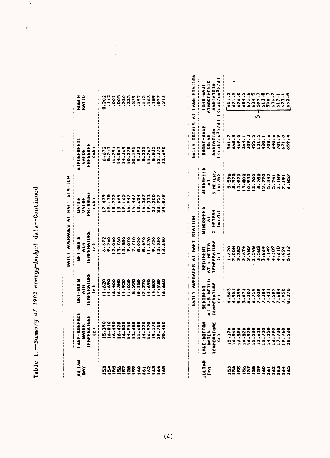$\overline{\phantom{a}}$ 

 $\hat{\mathcal{F}}_{\text{eff}}$ 

| או ואו<br>נאז | LAKE-SUKFACE<br>WATER<br>TEMPERATUKE<br>TEMPERATUKE | IAY-BULB<br>AIR<br>Temperature<br>Temperature | UET-BULB<br>AIK<br>IEMFERATURE<br>IEMFERATURE | WATER<br>VAFINK<br>"RESSURE<br>(mb) | IMUSPHERIC<br>Vapor<br>Pressure<br>Pressure | <b>NHTIS</b> |
|---------------|-----------------------------------------------------|-----------------------------------------------|-----------------------------------------------|-------------------------------------|---------------------------------------------|--------------|
| 'n            |                                                     |                                               |                                               |                                     |                                             |              |
|               |                                                     |                                               |                                               |                                     |                                             |              |
| 000000333333  |                                                     |                                               |                                               |                                     |                                             |              |
|               |                                                     |                                               |                                               |                                     |                                             |              |
|               |                                                     |                                               |                                               |                                     |                                             |              |
|               |                                                     |                                               |                                               |                                     |                                             |              |
|               |                                                     |                                               |                                               |                                     |                                             |              |
|               |                                                     |                                               |                                               |                                     |                                             |              |
|               |                                                     |                                               |                                               |                                     |                                             |              |
|               |                                                     |                                               |                                               |                                     |                                             |              |
|               |                                                     |                                               |                                               |                                     |                                             |              |
|               |                                                     |                                               |                                               |                                     |                                             |              |
|               |                                                     |                                               |                                               |                                     |                                             |              |

|                 |                                                                                                                                                                                                                    |                                                        | INILY AVERAGES AT KAFT STATION                       |                                                                                                                        |                                                                                               |                                                                               | INTITY TOTALS AT LAND STATION                       |  |
|-----------------|--------------------------------------------------------------------------------------------------------------------------------------------------------------------------------------------------------------------|--------------------------------------------------------|------------------------------------------------------|------------------------------------------------------------------------------------------------------------------------|-----------------------------------------------------------------------------------------------|-------------------------------------------------------------------------------|-----------------------------------------------------|--|
| JUL IAN<br>LIAY | LAKE-BOTTOM<br><b>NURE</b><br>z<br>$\begin{array}{c} \n\cdot & \cdot & \cdot \\ \n\cdot & \cdot & \cdot \\ \n\cdot & \cdot & \cdot \\ \n\cdot & \cdot & \cdot \end{array}$<br><b>HATER</b><br>IEMFERAT<br>IEMFERAT | SEDIMENT<br>AT 0.5 NETEK<br>TEMPERATURE<br>TEMPERATURE | SEDINENT<br>AT 1 METER<br>TEMPERATURE<br>TEMPERATURE | <b>UINDSPEED</b><br>$\begin{array}{ll}\n\bullet \\ \bullet \\ \bullet \\ \bullet \\ \bullet \\ \bullet \\ \end{array}$ | UINDSPEED<br>$\begin{array}{c} \mathsf{A1} \\ \mathsf{HETERS} \\ (\mathsf{m1/h}) \end{array}$ | SHORT-WAVE<br>SOLAR<br>KADIATION<br>LICA1/Ca <sup>1</sup> /Ca <sup>1</sup> /d | [ (c4]/c4]<br>LONG-WAVE<br>ATMOSFHEKIC<br>KADIATION |  |
|                 |                                                                                                                                                                                                                    |                                                        |                                                      |                                                                                                                        |                                                                                               |                                                                               |                                                     |  |
|                 |                                                                                                                                                                                                                    |                                                        | 1.620<br>2.008                                       |                                                                                                                        |                                                                                               |                                                                               |                                                     |  |
|                 |                                                                                                                                                                                                                    |                                                        | 2.352                                                |                                                                                                                        |                                                                                               |                                                                               |                                                     |  |
|                 |                                                                                                                                                                                                                    |                                                        | 2.674                                                |                                                                                                                        |                                                                                               |                                                                               |                                                     |  |
|                 |                                                                                                                                                                                                                    |                                                        | 2.982                                                |                                                                                                                        |                                                                                               |                                                                               |                                                     |  |
|                 |                                                                                                                                                                                                                    |                                                        |                                                      |                                                                                                                        |                                                                                               |                                                                               |                                                     |  |
|                 |                                                                                                                                                                                                                    |                                                        |                                                      |                                                                                                                        |                                                                                               |                                                                               | S                                                   |  |
|                 |                                                                                                                                                                                                                    |                                                        |                                                      |                                                                                                                        |                                                                                               |                                                                               |                                                     |  |
|                 |                                                                                                                                                                                                                    |                                                        | 005-005-1<br>006-105-11<br>006-11                    |                                                                                                                        |                                                                                               |                                                                               |                                                     |  |
|                 |                                                                                                                                                                                                                    |                                                        |                                                      |                                                                                                                        |                                                                                               |                                                                               |                                                     |  |
|                 |                                                                                                                                                                                                                    |                                                        | 4.618                                                |                                                                                                                        |                                                                                               |                                                                               |                                                     |  |
|                 |                                                                                                                                                                                                                    |                                                        | $\frac{24}{100}$                                     |                                                                                                                        |                                                                                               |                                                                               |                                                     |  |
| 5582555353538   | 11444111114420                                                                                                                                                                                                     |                                                        | .012                                                 |                                                                                                                        |                                                                                               |                                                                               |                                                     |  |
|                 |                                                                                                                                                                                                                    |                                                        |                                                      |                                                                                                                        |                                                                                               |                                                                               |                                                     |  |

 $\ddot{\phantom{a}}$ 

 $\hat{\boldsymbol{\beta}}$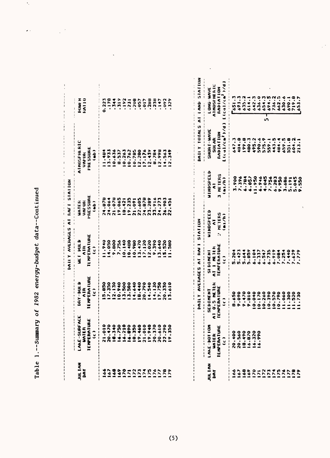$\hat{\boldsymbol{\gamma}}$ 

 $\hat{\mathcal{L}}$  .

 $\ddot{\phantom{0}}$ 

|                                | ٠<br>ı<br>f<br>f                                                                                                       |                                                                            | $\frac{1}{1}$<br><b>VIIVIII</b>                                             | <b>RAFT</b><br>AVERAGES AT              | <b>SIAILUN</b>                                     | $\frac{1}{2}$                                   |                                                       |
|--------------------------------|------------------------------------------------------------------------------------------------------------------------|----------------------------------------------------------------------------|-----------------------------------------------------------------------------|-----------------------------------------|----------------------------------------------------|-------------------------------------------------|-------------------------------------------------------|
| JULIAN<br>$\tilde{\mathbf{s}}$ | -SURFACE<br><b>UNTER</b><br><b>LAKE</b>                                                                                | <b>DRY-BULB</b><br>AIK                                                     | <b>AFI HATB</b><br>ž                                                        | vor uk<br>MVIER                         |                                                    | <b>ATMOSPHERIC</b><br>VAPINK                    | <b>EQUEN</b><br><b>HA110</b><br>ł                     |
|                                | RATURE<br>û<br>TENPE                                                                                                   | <b>TEMPERATURE</b><br>Ĵ                                                    | <b>TEMPERATURE</b><br>$\hat{c}$                                             | <b>MASS33NE</b><br>$\hat{a}$            |                                                    | <b>FRESSURE</b><br>$\hat{\mathbf{e}}$           |                                                       |
| ۰<br>-1                        | $\mathbf{i}$                                                                                                           | 5.850                                                                      | 11.940<br>$\frac{1}{1}$                                                     | 24.878                                  |                                                    | <b>11.484</b>                                   | 0.223                                                 |
|                                |                                                                                                                        | 17.350                                                                     | 14.050                                                                      | 24.064                                  |                                                    | 13.933                                          | .178                                                  |
|                                |                                                                                                                        | 2.130                                                                      | 9.800                                                                       | 21.078                                  |                                                    | 0.636                                           | .344                                                  |
|                                |                                                                                                                        | 0.940                                                                      | 7.756                                                                       | 19.065                                  |                                                    | 0.537                                           | .319                                                  |
|                                |                                                                                                                        | 3.500                                                                      | 0.140                                                                       | 18.421                                  |                                                    | 0.263                                           | .192                                                  |
|                                |                                                                                                                        | 3.500                                                                      | 10.480                                                                      | 19.235                                  |                                                    | 10.762                                          | .231                                                  |
|                                |                                                                                                                        | 4.640                                                                      | 0.980                                                                       | 21.091                                  |                                                    | 10.785                                          | .208                                                  |
|                                |                                                                                                                        | 18.440                                                                     | 3.470                                                                       | 22.605                                  |                                                    | 2.280                                           | .057                                                  |
|                                |                                                                                                                        | 20.790                                                                     | 7.120                                                                       | 24.878                                  |                                                    | $7.176$<br>2.439                                | $-017$                                                |
|                                |                                                                                                                        | 14.540                                                                     | 2.020                                                                       | 23.289                                  |                                                    |                                                 | 268                                                   |
|                                |                                                                                                                        | 4.130                                                                      | 9.390                                                                       | 23.916                                  |                                                    | 8.784                                           | $-230$                                                |
|                                |                                                                                                                        | 17.750                                                                     | 3.640                                                                       | 24.273                                  |                                                    | 2.998                                           | $-147$                                                |
|                                |                                                                                                                        | 20.330                                                                     | 5.520                                                                       | 26.903                                  |                                                    | 14.563                                          | .092                                                  |
| $\tilde{z}$                    |                                                                                                                        | 5.610                                                                      | 1.580                                                                       | 22.451                                  |                                                    | 2.349                                           | .329                                                  |
|                                |                                                                                                                        |                                                                            | INTI V VERVES AT RAT                                                        | <b>NOTIVIS</b>                          |                                                    | DAILY TOTALS                                    | $2011615$ aze $-16$                                   |
| <b>MAINL</b>                   | $\frac{3}{2}$<br>ì<br>LANE-BO<br>$\mathbf{I}$<br>$\pmb{\mathfrak{t}}$<br>J<br>$\mathbf{I}$<br>$\overline{\phantom{a}}$ | SEDIMENT<br>$\begin{array}{c} 1 \\ 1 \\ 1 \\ 1 \end{array}$                | <b>SI DINENI</b><br>$\begin{array}{c} \n 1 \\  1 \\  1 \\  1\n \end{array}$ | WINDSPEED                               | <b>NIMDSPEED</b><br>$\frac{1}{2}$<br>$\frac{1}{2}$ | SHORT-WAVE                                      | <b>LONG-WAVE</b>                                      |
| <b>UAY</b>                     | <b>TURE</b><br>uniel<br><b>IENFERA</b>                                                                                 | <b>O.5 NETER</b><br><b>IENPERATURE</b><br>$\overline{\overline{\epsilon}}$ | <b>TEMPERATURE</b><br>1 METER                                               | <b>HETERS</b><br>$\ddot{\epsilon}$<br>N | 3 HETERS<br>Ē                                      | <b><i><u><b>RADIATION</b></u></i></b><br>SOL AR | ATMOSFHERTIC<br><b><i><u><b>RADIATION</b></u></i></b> |
|                                | $\hat{\epsilon}$                                                                                                       | $\mathbf{C}$                                                               | $\hat{u}$                                                                   | (n1/n)                                  | (m1/h)                                             | $L(11/CA^2)/d$ ]                                | $[(0/(\ell n)/\ell n)^3]$                             |
| å<br>л                         | $\ddot{\circ}$<br>20.4<br>$\ddot{\phantom{1}}$                                                                         | 0.650                                                                      | 5.204                                                                       |                                         | 006.5                                              | 647.3                                           | 6.13                                                  |
|                                | $\bullet$<br>20.5                                                                                                      | 9.090                                                                      | 5.423                                                                       |                                         | 7.396                                              | 484.8                                           | 693.3                                                 |
|                                | $\boldsymbol{\mathsf{S}}$<br>18.4                                                                                      | 9.470                                                                      | 5.644                                                                       |                                         | 6.784                                              | 199.8                                           | 635.2                                                 |
| 288                            | $\overline{\phantom{0}}$<br>$\ddot{•}$                                                                                 | 9.810                                                                      | 5.859                                                                       |                                         | 6.05                                               | - 180.3                                         | 614.1                                                 |
|                                | $\boldsymbol{5}$<br>mó<br>$\ddot{\bullet}$                                                                             | 0.040                                                                      | 6.104                                                                       |                                         | 11.950                                             | 495.2                                           | 642.3                                                 |
|                                | $\boldsymbol{\mathsf{S}}$<br>$\bullet$<br>۰o                                                                           | 0.170                                                                      | 6.337                                                                       |                                         | .946<br>Ó                                          | 590.6                                           | 636.0                                                 |
|                                |                                                                                                                        | 0.260                                                                      | 6.547                                                                       |                                         | .045<br>÷                                          | 575.9                                           | 654.3<br>Ţ<br>S                                       |
|                                |                                                                                                                        | 0.390                                                                      | 6.735                                                                       |                                         | 7.756                                              | 559.1                                           | 694.5                                                 |
|                                |                                                                                                                        | 10.570<br>0.790                                                            | 6.919<br>7.084                                                              |                                         | 6.283                                              | $-2.5$<br>484.                                  | 736.2<br>662.5                                        |
| <b>DINNANANANA</b>             |                                                                                                                        | 11.060                                                                     | 7.254                                                                       |                                         | 9.950                                              | 659.5                                           | 630.6                                                 |
|                                |                                                                                                                        | 11.300                                                                     | $-440$                                                                      |                                         | 3.686<br>5.191                                     | 551.8                                           | 490.1                                                 |
|                                |                                                                                                                        | 11.520                                                                     | 7.629                                                                       |                                         | 5.045                                              | 604.2                                           | 719.8                                                 |
|                                |                                                                                                                        | .730<br>$\vec{a}$                                                          | 55.79                                                                       |                                         | 9.550                                              | 213.1                                           | 653.7                                                 |

 $\ddot{\phantom{a}}$ 

 $\ddot{\phantom{a}}$ 

 $\ddot{\cdot}$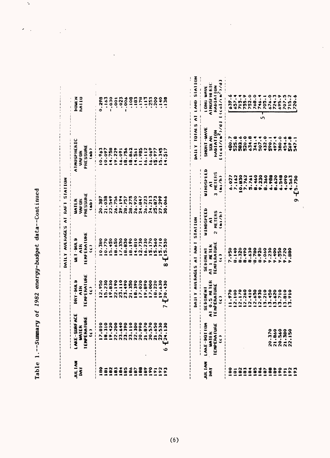Table 1.--Summary of 1982 energy-budget data--Continued

 $\ddot{\zeta}$ 

 $\epsilon$  $\mathbb{Z}_2$ 

| ur 14   | LAKE-SUKFACE<br>WATER<br>TEHPERATURE<br>TEHPERATURE | DRY-BULB<br>AIR<br>Temperature<br>Temperature | UET-BULB<br>AIR<br>IEMFERATURE<br>IEMFERATURE | UATER<br>VAFOK<br>"RESSUKE<br>"(mb) | <b>THOSPHERIC<br/>VAFOR<br/>FRESSURE<br/>FRESSURE</b> | <b>ROMEN</b> |
|---------|-----------------------------------------------------|-----------------------------------------------|-----------------------------------------------|-------------------------------------|-------------------------------------------------------|--------------|
|         |                                                     |                                               |                                               |                                     |                                                       |              |
|         |                                                     |                                               |                                               |                                     |                                                       |              |
|         |                                                     |                                               |                                               |                                     |                                                       |              |
|         |                                                     |                                               |                                               |                                     |                                                       |              |
|         |                                                     |                                               |                                               |                                     |                                                       |              |
| 282     |                                                     |                                               |                                               |                                     |                                                       |              |
|         |                                                     |                                               |                                               |                                     |                                                       |              |
|         |                                                     |                                               |                                               |                                     |                                                       |              |
| 98<br>9 |                                                     |                                               |                                               |                                     |                                                       |              |
|         |                                                     |                                               |                                               |                                     |                                                       |              |
|         |                                                     |                                               |                                               |                                     |                                                       |              |
| 88788   |                                                     |                                               |                                               |                                     |                                                       |              |
|         |                                                     |                                               |                                               |                                     |                                                       |              |
|         |                                                     |                                               |                                               |                                     |                                                       |              |

 $\ddot{\phantom{0}}$ 

 $\overline{\phantom{a}}$ 

|                     |                                                    |                                                | LAII Y AVERAGES AT RAIT STATION              |                                       |                                       |                                                                                                | <b>WOTEVIS ON LANG STATE</b>                                         |
|---------------------|----------------------------------------------------|------------------------------------------------|----------------------------------------------|---------------------------------------|---------------------------------------|------------------------------------------------------------------------------------------------|----------------------------------------------------------------------|
| š                   | LANE-BOTIOM<br>WATEK<br>TENFEKATURE<br>TENFEKATURE | AI 0.5 MLIER<br>Tenferature<br>(c)<br>SEDIMENT | SEDINENT<br>AT 1 NETER<br>TEMPERATURE<br>CC) | JINDSPEED<br>Al<br>2 Meters<br>(a)/h) | ITNISPEED<br>AT<br>3 METERS<br>(mi/h) | SHOKT - WAVE<br>SOL AK<br>KAD I AT I ON<br>KAD I AT I ON<br>L ( d 1 / c m <sup>2</sup> / / d 1 | LONG- WAVE<br>ATMOSFHI RTC<br>RADJATION<br>ECGL/CG <sup>2</sup> >/d] |
| ទី                  |                                                    |                                                |                                              |                                       |                                       |                                                                                                |                                                                      |
|                     |                                                    |                                                |                                              |                                       |                                       |                                                                                                |                                                                      |
|                     |                                                    |                                                |                                              |                                       |                                       |                                                                                                |                                                                      |
| $\ddot{\mathbf{e}}$ |                                                    |                                                |                                              |                                       |                                       |                                                                                                |                                                                      |
| è                   |                                                    |                                                |                                              |                                       |                                       |                                                                                                |                                                                      |
| 9                   |                                                    |                                                |                                              |                                       |                                       |                                                                                                |                                                                      |
|                     |                                                    |                                                |                                              |                                       |                                       |                                                                                                |                                                                      |
|                     |                                                    |                                                |                                              |                                       |                                       |                                                                                                |                                                                      |
|                     |                                                    |                                                |                                              |                                       |                                       |                                                                                                |                                                                      |
|                     |                                                    |                                                |                                              |                                       |                                       |                                                                                                |                                                                      |
|                     |                                                    |                                                |                                              |                                       |                                       |                                                                                                |                                                                      |
|                     |                                                    |                                                |                                              |                                       |                                       |                                                                                                |                                                                      |
| <b>SABREZZZZ</b>    | 20.370<br>21.840<br>21.380<br>22.150               |                                                |                                              |                                       |                                       |                                                                                                |                                                                      |
|                     |                                                    |                                                |                                              |                                       |                                       |                                                                                                | STED COE - CHONDRAS                                                  |
|                     |                                                    |                                                |                                              |                                       |                                       |                                                                                                |                                                                      |

 $\bar{z}$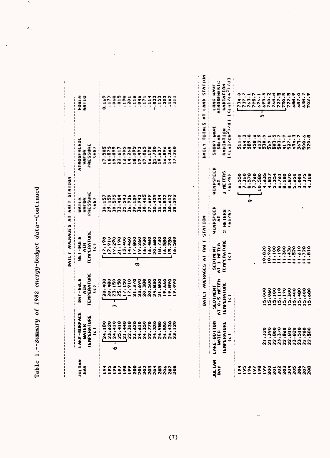Table 1.--Summary of 1982 energy-budget data--Continued

 $\tilde{\boldsymbol{\zeta}}$ 

 $\bar{\epsilon}$ 

 $\ddot{\phantom{0}}$ 

|               |                                                     |                                       | WE I - FUIL B<br>AIR<br>TEMPERATURE<br>T |                                     |                                              |                |
|---------------|-----------------------------------------------------|---------------------------------------|------------------------------------------|-------------------------------------|----------------------------------------------|----------------|
| אנוענ<br>נומי |                                                     |                                       |                                          |                                     |                                              | SONE N<br>SONE |
|               | LANE-SUKFACE<br>WATER<br>TEHPERATURE<br>TEHPERATURE | IAKY-BULB<br>AIK<br>Temperature<br>Co |                                          | WATER<br>VAFOR<br>"Ressure<br>"(ab) | \TMOSPHERIC<br>VAPOR<br>Fressure<br>Fressure |                |
|               |                                                     |                                       |                                          |                                     |                                              |                |
|               |                                                     |                                       |                                          |                                     |                                              |                |
|               |                                                     |                                       |                                          |                                     |                                              |                |
|               |                                                     |                                       |                                          |                                     |                                              |                |
|               |                                                     |                                       |                                          |                                     |                                              |                |
|               |                                                     |                                       |                                          |                                     |                                              |                |
|               |                                                     |                                       |                                          |                                     |                                              |                |
|               |                                                     |                                       |                                          |                                     |                                              |                |
|               |                                                     |                                       |                                          |                                     |                                              |                |
|               |                                                     |                                       |                                          |                                     |                                              |                |
|               |                                                     |                                       |                                          |                                     |                                              |                |
|               |                                                     |                                       |                                          |                                     |                                              |                |
|               |                                                     |                                       |                                          |                                     |                                              |                |
|               |                                                     |                                       |                                          |                                     |                                              |                |
|               |                                                     |                                       |                                          |                                     |                                              |                |
|               |                                                     |                                       |                                          |                                     |                                              |                |

 $\ddot{\phantom{0}}$ 

|                       |                                                                |                                                        | <b>DAILY AVENAGES AT RAFT SIATION</b>                |                                       |                                                                     |                                                             | MOITA IS AND TWINT AND STATION                                    |
|-----------------------|----------------------------------------------------------------|--------------------------------------------------------|------------------------------------------------------|---------------------------------------|---------------------------------------------------------------------|-------------------------------------------------------------|-------------------------------------------------------------------|
| <b>MALIAN</b><br>Liny | iten<br>Ek<br>JNNE<br><b>UNTEK</b><br>LAKE-BO<br>IENPERI<br>ਤੁ | SEDIMENT<br>AT 0.5 METEK<br>TENFERATURE<br>TENFERATURE | SEDIMENT<br>AT 1 METER<br>TEMPERATURE<br>TEMPERATURE | WINDSFEED<br>AT<br>2 HETERS<br>(m1/h) | WINDSPEED<br>AT<br>3 METERS<br>m/n                                  | $(191/c2)$ /d<br>รหอหา - มคงย์<br>- รอเ คห<br>หคน 1 1 1 มุพ | $(10^{10} \text{cm}^2)$<br>LONG MAVE<br>ATMOSFIHERIC<br>KADIATION |
|                       |                                                                |                                                        |                                                      |                                       |                                                                     |                                                             |                                                                   |
|                       |                                                                |                                                        |                                                      |                                       | <b>CONSIGUE</b><br>1972-1970<br>1972-1979<br>1973-1979<br>1973-1979 |                                                             |                                                                   |
|                       |                                                                |                                                        |                                                      |                                       | ō                                                                   |                                                             |                                                                   |
|                       |                                                                |                                                        |                                                      |                                       |                                                                     |                                                             |                                                                   |
|                       |                                                                |                                                        |                                                      |                                       |                                                                     |                                                             |                                                                   |
|                       |                                                                | 15.000                                                 | 0.820                                                |                                       | 4.435                                                               |                                                             | ູ່                                                                |
|                       |                                                                | 15.060                                                 |                                                      |                                       |                                                                     |                                                             |                                                                   |
|                       |                                                                |                                                        |                                                      |                                       |                                                                     |                                                             |                                                                   |
|                       |                                                                |                                                        |                                                      |                                       |                                                                     |                                                             |                                                                   |
|                       |                                                                |                                                        |                                                      |                                       |                                                                     |                                                             |                                                                   |
|                       |                                                                |                                                        |                                                      |                                       |                                                                     |                                                             |                                                                   |
|                       |                                                                |                                                        |                                                      |                                       |                                                                     |                                                             |                                                                   |
|                       |                                                                |                                                        |                                                      |                                       |                                                                     |                                                             |                                                                   |
|                       |                                                                |                                                        |                                                      |                                       |                                                                     |                                                             |                                                                   |
|                       |                                                                | 5.680                                                  |                                                      |                                       |                                                                     |                                                             |                                                                   |

...

 $\ddot{\phantom{a}}$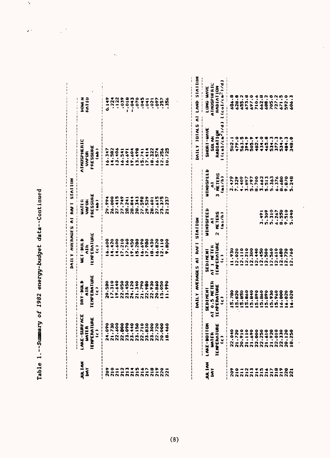$\zeta_{\rm g}$ 

 $\mathcal{E}^{(1)}$ 

 $\sim 10^{12}$ 

 $\hat{\mathcal{A}}_t$ 

|                                           |                                                   |                                                         |                                                                          | <b>STATT AVERAGES AT RAFT STATTS</b>                     |                                                               |                                                                         |                                                                                    |
|-------------------------------------------|---------------------------------------------------|---------------------------------------------------------|--------------------------------------------------------------------------|----------------------------------------------------------|---------------------------------------------------------------|-------------------------------------------------------------------------|------------------------------------------------------------------------------------|
| <b>JULIAN</b><br>Š                        | LAKE-SURFACE<br>TEMPERATURE<br>WATER<br>$\hat{c}$ | <b>TENFERATURE</b><br><b>URY-BULB</b><br>ã<br>$\hat{c}$ | <b>IEMFERATURE</b><br><b>ATC 1 - ROT R</b><br>$\frac{1}{2}$<br>$\hat{c}$ | FRESSURE<br>VAFIJK<br><b>MATER</b><br>$\hat{\mathbf{e}}$ |                                                               | <b>ATMUSPHERIC</b><br>FRESSURE<br>$\hat{a}$<br>VAPUR                    | <b>BOMEN</b><br>RATIO                                                              |
| \$02<br>$\frac{1}{2}$                     | 14.090<br>21.730                                  | 20.580<br>17.310                                        | 6.600<br>4.420                                                           | 26.000<br>29.994                                         |                                                               | 4.582<br>6.347                                                          | .224<br>0.149                                                                      |
| $\overline{213}$<br>212<br>$\overline{a}$ | 22.600<br>23.090<br>22.000                        | 19.640<br>22,050<br>23.450                              | 7.210<br>17.760                                                          | 27.415<br>27.749<br>28.241                               |                                                               | 3.406<br>16.691<br>16.541                                               | .122<br>0.39<br>$-0.018$                                                           |
| 215                                       | 23.440                                            | 24.120<br>21.340                                        | 19.450<br>5.280                                                          | 28.343<br>28.844                                         |                                                               | 3.498<br>9.604                                                          | .070<br>54.1                                                                       |
| 216<br>217                                | 23.150<br>22.710<br>23.830                        | 21.790<br>22.980                                        | 16.690<br>17.980                                                         | 29.529<br>27.598                                         |                                                               | 7.414<br>15.741                                                         | .045<br>$-0.1$                                                                     |
| $\frac{980}{220}$                         | 23.300<br>22.720                                  | 22.930<br>20.860                                        | 0.430<br>16.820                                                          | 27.615<br>28.601                                         |                                                               | 6.574<br>8.322                                                          | 560.<br>.021                                                                       |
| $\overline{21}$                           | 20.000<br>18.460                                  | 11.990<br>15.050                                        | 2.110<br>9.800                                                           | 21.237                                                   |                                                               | 2.256<br>0.725                                                          | .257<br>.356                                                                       |
|                                           |                                                   |                                                         | DAILY AVERAGES AT RAFT                                                   | <b>STATION</b>                                           |                                                               | DAILY TOTALS AT                                                         | LAND STATION                                                                       |
| JUL IAN<br>liny                           | LAKE-BOITOM<br>TENFERATURE<br>UNTER<br>Ĵ          | AT 0.5 METER<br><b>TEMPERATURE</b><br>SEDIMENT<br>Ĵ     | <b>TENYERATURE</b><br>AT 1 NETER<br>SEDIMENT<br>$\hat{\cdot}$            | <b>MINDSFEED</b><br>2 METERS<br>(n)/h                    | <b>HIMUSPEED</b><br>3 METERS<br>(n1/n)<br>$\ddot{\textbf{c}}$ | I (tal/cm <sup>2</sup> )/d)<br>SHORT-WAVE<br><b>RADIATIQN</b><br>SUL AK | <b>D/(Z#3/(P3)1</b><br><b>ATMUSPHIERIC</b><br><b>KADIATION</b><br><b>LONG-UNDI</b> |
| 209                                       | 22.040                                            | <b>S.780</b>                                            | .1.930                                                                   |                                                          | 2.479                                                         | 502.1                                                                   | 8.99                                                                               |
| 210<br>$\overline{a}$                     | 21.720<br>20.910                                  | 5.820<br>5.850                                          | 2.020<br>12.110                                                          |                                                          | .329<br>$-409$                                                | 479.0<br>5.3.5                                                          | 628.8<br>655.2                                                                     |
| 212                                       | 21.110                                            | 5.860                                                   |                                                                          |                                                          | 3.897                                                         | 394.9                                                                   | 673.8                                                                              |
| $\overline{21}$                           | 21.690<br>22.000                                  | 5.840<br>5.B90                                          |                                                                          |                                                          | 5.797<br>8.700                                                | 482.4                                                                   | 210.6                                                                              |
| 215<br>216                                | 22.250<br>21.610                                  | 5.860<br>5.890                                          |                                                                          | 5.309<br>3.491                                           | 3.662<br>5.513                                                | 165.8<br>434.0                                                          | 662.8                                                                              |
|                                           | 21.920                                            | 5.930                                                   |                                                                          | 5.310                                                    | $5.363$<br>6.376                                              | 534.3                                                                   | 705.0<br>727.2                                                                     |
| 210<br>210<br>215                         | 22.010<br>22.330                                  | 15.960<br>000.91                                        |                                                                          | B.550<br>6.267                                           | 8.480                                                         | 534.9                                                                   | 671.5                                                                              |
| 220                                       | 20.120<br>18.250                                  | 16.020<br>16.020                                        | 2.760                                                                    | $9.510$<br>5.040                                         | 9.870<br>5.248                                                | ----<br>348.0                                                           | 592.0<br>606.3                                                                     |
|                                           |                                                   |                                                         |                                                                          |                                                          |                                                               |                                                                         |                                                                                    |

(8)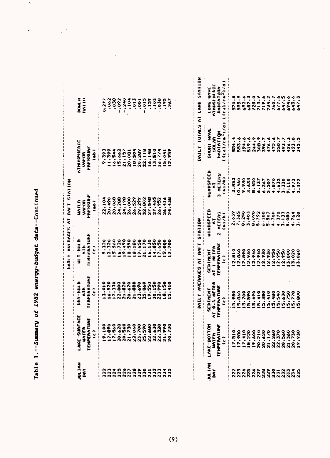$\frac{1}{n}$ 

 $\hat{\mathbf{z}}$  .

|                     |                                                                               |                                                                | INTLY AVERAGES AT                                                      |                                                       | NOI ICIS LLEE                                                 |                                                                      |                                                                                     |
|---------------------|-------------------------------------------------------------------------------|----------------------------------------------------------------|------------------------------------------------------------------------|-------------------------------------------------------|---------------------------------------------------------------|----------------------------------------------------------------------|-------------------------------------------------------------------------------------|
| JULIAN<br>IMY       | LAKE-SUKFACE<br>KATUKE<br>EK<br>$\bar{\mathbf{s}}$<br>TEMPEI<br>$\frac{1}{2}$ | TEMPERATURE<br><b>DRY-RULB</b><br><b>AIR</b><br>$\hat{\bm{c}}$ | <b>ILM'ERATURE</b><br><b>ATTLE LINE</b><br>$\frac{1}{2}$<br>$\ddot{c}$ | PRESSURE<br><b>UATLK</b><br>VAF DK<br>د<br>€<br>ب     |                                                               | <b>ATMUSPHERIC</b><br><b>FRESSURE</b><br>ĵ<br>VAFUR                  | <b>ROMLA</b><br>52110                                                               |
|                     | $\overline{100}$                                                              | 13.010                                                         |                                                                        | 22.104                                                |                                                               | 565.6                                                                | 0.277                                                                               |
|                     |                                                                               |                                                                |                                                                        | 20.490                                                |                                                               | 11.399                                                               | .062                                                                                |
|                     | 980<br>988                                                                    | 16.920<br>17.330                                               |                                                                        | <b>890.02</b>                                         |                                                               | $\tilde{5}$<br>$\frac{1}{2}$                                         | .038                                                                                |
|                     |                                                                               | 22.000                                                         |                                                                        |                                                       |                                                               | 15.662                                                               | $-0.092$                                                                            |
|                     |                                                                               |                                                                |                                                                        |                                                       |                                                               | 21.157                                                               |                                                                                     |
|                     | 3382<br>225353335352                                                          | 21.820<br>20.670                                               |                                                                        | $24.288$<br>$24.198$<br>$26.000$                      |                                                               | 20.08                                                                | $-240$<br>$-104$<br>$-104$<br>$-13$                                                 |
|                     |                                                                               | 21.880                                                         |                                                                        | $26.529$<br>$29.299$                                  |                                                               | 18.504                                                               |                                                                                     |
|                     |                                                                               | 23.690                                                         |                                                                        |                                                       |                                                               |                                                                      | $\overline{\phantom{0}}$                                                            |
|                     |                                                                               | 25.860                                                         |                                                                        | 32.802<br>27.548<br>27.465<br>26.952                  |                                                               | 20.289<br>22.118                                                     | $-0.015$                                                                            |
|                     |                                                                               |                                                                |                                                                        |                                                       |                                                               |                                                                      |                                                                                     |
|                     |                                                                               |                                                                |                                                                        |                                                       |                                                               |                                                                      |                                                                                     |
|                     |                                                                               | 20.150<br>22.990                                               | $14.130$<br>14.650<br>15.650<br>15.700                                 |                                                       |                                                               | 16.148<br>13.510<br>16.774                                           | .159<br>501.<br>9103                                                                |
|                     |                                                                               | 18.150                                                         |                                                                        | 26.416                                                |                                                               |                                                                      |                                                                                     |
|                     |                                                                               | 15.410                                                         |                                                                        | 24.438                                                |                                                               | 15.041<br>12.959                                                     | 261.                                                                                |
|                     |                                                                               |                                                                |                                                                        |                                                       |                                                               |                                                                      |                                                                                     |
|                     |                                                                               |                                                                | UNILY NUERNIES NI RNI                                                  | <b>SIATION</b>                                        |                                                               |                                                                      | DAILY TOTALS AT LAND STATLAD                                                        |
| <b>MILIM</b><br>IAY | mor<br>UKE<br>LAKE-BOI<br><b>TENPERA</b><br>UNIEI<br>$\ddot{\mathbf{v}}$      | AT 0.5 METER<br><b>TENFERATURE</b><br>SEININENT<br>$\hat{c}$   | AT 1 NETEK<br>TENFERATURE<br>SENIAENT<br>$\ddot{\mathbf{z}}$           | WINDSPEED<br>$2$ METERS<br>(m1/h)<br>$\bar{\epsilon}$ | WINDSFEED<br>3 METERS<br>$\sum_{i=1}^{n}$<br>$\bar{\epsilon}$ | KADIATION<br>(cal/cm <sup>2</sup> )/d)<br>SHORT-WAVE<br><b>SOLAR</b> | <b>RADIATION</b><br>L(cal/cm <sup>2</sup> )/d<br>ATHUSI HERIC<br><b>TAUR- BND 1</b> |
|                     |                                                                               |                                                                |                                                                        |                                                       |                                                               |                                                                      |                                                                                     |

 $\frac{1}{2}$ 

|                                                    |                                                | UAILY AVERAGES AT RAFT                      |                                       |                                        | <b>VAILY TOTALS AT LAND</b>                          |                                                                                       |
|----------------------------------------------------|------------------------------------------------|---------------------------------------------|---------------------------------------|----------------------------------------|------------------------------------------------------|---------------------------------------------------------------------------------------|
| LAKE-BOTTOM<br>WATER<br>TENPERATURE<br>TENPERATURE | SEDIMENT<br>At 0.5 metel<br>Temperature<br>CC) | SEDIMENT<br>AT 1 METEK<br>TEMPERATURE<br>CO | AINDSPEED<br>AT<br>2 METERS<br>4m1/h) | ILNDSFEEL<br>AT<br>I METERS<br>I MI/h) | <b>SHORT-WAVE</b><br>SOLAR<br>KADIATIQN<br>KADIATIQN | LONG-WAVE<br>Nimosi-heric<br>Kadiation<br>$\frac{1}{2}$                               |
|                                                    |                                                |                                             |                                       |                                        |                                                      |                                                                                       |
|                                                    |                                                |                                             |                                       |                                        |                                                      | ひとんろういんこうしょう しょうしょう こうこう こうしん しょうしょう しょうしょう しょうしょう しょうしょう しょうしょう しょうしょう しょうしょう しょうしょう |
|                                                    |                                                |                                             |                                       |                                        |                                                      |                                                                                       |
|                                                    |                                                |                                             |                                       |                                        |                                                      |                                                                                       |
|                                                    |                                                |                                             |                                       |                                        |                                                      |                                                                                       |
|                                                    |                                                |                                             |                                       |                                        |                                                      |                                                                                       |
|                                                    |                                                |                                             |                                       |                                        |                                                      |                                                                                       |
|                                                    |                                                |                                             |                                       |                                        |                                                      |                                                                                       |
|                                                    |                                                |                                             |                                       |                                        |                                                      |                                                                                       |
|                                                    |                                                |                                             |                                       |                                        |                                                      |                                                                                       |
|                                                    |                                                |                                             |                                       |                                        |                                                      |                                                                                       |
|                                                    |                                                |                                             |                                       |                                        |                                                      |                                                                                       |
|                                                    |                                                |                                             |                                       |                                        |                                                      |                                                                                       |
|                                                    |                                                |                                             |                                       |                                        |                                                      |                                                                                       |
|                                                    |                                                |                                             |                                       |                                        |                                                      |                                                                                       |

 $\ddot{\phantom{0}}$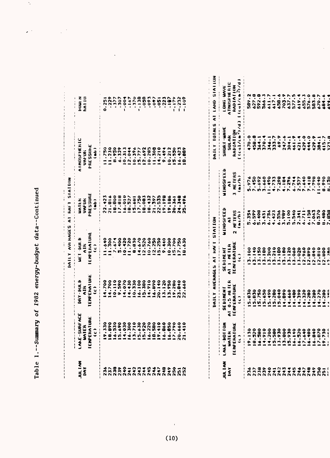$\gamma$ 

 $\hat{\mathcal{L}}^{(1)}$ 

|            |                                                                                     |                                               | AVI KALIS<br>$\frac{2}{5}$            | <b>KAFT SIATE</b><br>ē              |                                               |              |
|------------|-------------------------------------------------------------------------------------|-----------------------------------------------|---------------------------------------|-------------------------------------|-----------------------------------------------|--------------|
| nar<br>Sey | LANE-SURFACE<br>WATER<br>TENPERATURE<br>TENPERATURE                                 | DRY-BULB<br>AIK<br>Ienferature<br>Ienferature | WET-BULB<br>AIK<br>IEMPEKATUKE<br>ICO | WATER<br>VAPUR<br>PRESSURI<br>Limb) | \THOSPINERIC<br>Vapuk<br>Pressuke<br>Pressuke | NHT<br>SATIC |
|            |                                                                                     |                                               |                                       |                                     |                                               |              |
|            |                                                                                     |                                               |                                       |                                     |                                               |              |
|            |                                                                                     |                                               |                                       |                                     |                                               |              |
|            |                                                                                     |                                               |                                       |                                     |                                               |              |
|            |                                                                                     |                                               |                                       |                                     |                                               |              |
|            |                                                                                     |                                               |                                       |                                     |                                               |              |
|            |                                                                                     |                                               |                                       |                                     |                                               |              |
|            |                                                                                     |                                               |                                       |                                     |                                               |              |
|            |                                                                                     |                                               |                                       |                                     |                                               |              |
|            |                                                                                     |                                               |                                       |                                     |                                               |              |
|            |                                                                                     |                                               |                                       |                                     |                                               |              |
|            |                                                                                     |                                               |                                       |                                     |                                               |              |
|            | 3<br>1983889912300894880.432<br>1983889212300894880.432<br>198389223008988880.43200 |                                               |                                       |                                     |                                               |              |
|            |                                                                                     |                                               |                                       |                                     |                                               |              |
|            |                                                                                     |                                               |                                       |                                     |                                               |              |
|            |                                                                                     |                                               |                                       |                                     |                                               |              |
|            |                                                                                     |                                               |                                       |                                     |                                               |              |

 $\ddot{\phantom{0}}$ 

 $\ddot{\phantom{0}}$ 

 $\frac{1}{2}$ 

|               |                                                        | DAILY AVERAGES AT KAIT SIATION                       |                                                     |                                                 |                                               | <b>MOTIVIS ON LOTALS AT LAND SIATION</b>                   |
|---------------|--------------------------------------------------------|------------------------------------------------------|-----------------------------------------------------|-------------------------------------------------|-----------------------------------------------|------------------------------------------------------------|
| <b>JULIAN</b> | SEDIMENT<br>AT 0.5 METER<br>TENFERATURE<br>TENFERATURE | SEDINENT<br>Al 1 Meter<br>Temperature<br>Temperature | MINNSIFEED<br>HETERS<br>(m1/h)<br>$\ddot{\epsilon}$ | <b>ATMDSFEED<br/>AT<br/>3 METERS<br/>(m1/h)</b> | SHUKI-MAVE<br>SOLAR<br>KADIATIQN<br>KADIATIQN | <b>KANIATION</b><br>CaniATION<br>LONG MAVE<br>ATNOSFINERIC |
|               |                                                        |                                                      |                                                     |                                                 |                                               |                                                            |
|               |                                                        |                                                      |                                                     |                                                 |                                               |                                                            |
|               |                                                        |                                                      |                                                     |                                                 |                                               |                                                            |
|               |                                                        |                                                      |                                                     |                                                 |                                               |                                                            |
|               |                                                        |                                                      |                                                     |                                                 |                                               |                                                            |
|               |                                                        |                                                      |                                                     |                                                 |                                               |                                                            |
|               |                                                        |                                                      |                                                     |                                                 |                                               |                                                            |
|               |                                                        |                                                      |                                                     |                                                 |                                               |                                                            |
|               |                                                        |                                                      |                                                     |                                                 |                                               |                                                            |
|               |                                                        |                                                      |                                                     |                                                 |                                               |                                                            |
|               |                                                        |                                                      |                                                     |                                                 |                                               |                                                            |
|               |                                                        |                                                      |                                                     |                                                 |                                               |                                                            |
|               |                                                        |                                                      |                                                     |                                                 |                                               |                                                            |
|               |                                                        |                                                      |                                                     |                                                 |                                               |                                                            |
|               |                                                        |                                                      |                                                     |                                                 |                                               |                                                            |
|               | 14.280                                                 |                                                      |                                                     | 8.990                                           |                                               |                                                            |
|               |                                                        |                                                      |                                                     | 8. 150                                          |                                               |                                                            |

Ŷ,

# $(10)$

 $\ddot{\phantom{a}}$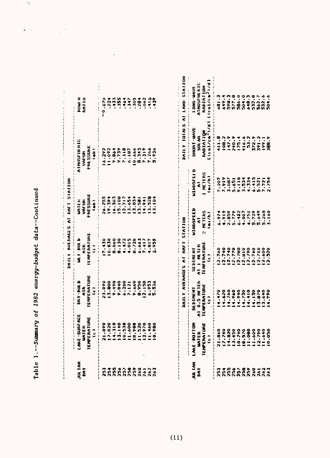$\ddot{\gamma}$ 

 $\mathcal{L}^{(n)}$  .

|           |                                                     |                                       |                                              | INTER AVERAGES AT RAFT SIATION                                                            |                                                                                                             |                              |
|-----------|-----------------------------------------------------|---------------------------------------|----------------------------------------------|-------------------------------------------------------------------------------------------|-------------------------------------------------------------------------------------------------------------|------------------------------|
| na<br>Say | LAKE-SURFACE<br>WATER<br>TENPERATURE<br>TENPERATURE | IARY-BULB<br>Air<br>Emperature<br>(C) | UE T-KULB<br>AIR<br>EMPERATURE<br>EMPERATURE | UATEK<br>VAFUK<br>'KESSUKE<br>(Lab)                                                       | <b>INUSFIRENC<br/>VAPUR<br/>FRESSURE<br/>FRESSURE</b>                                                       | <b>Z J J J J J</b><br>KOJ 10 |
|           |                                                     |                                       |                                              |                                                                                           |                                                                                                             |                              |
|           |                                                     |                                       |                                              | 24.255<br>2592.392.302.4.100<br>269.100.054.100<br>269.054.924.100.000<br>269.000.000.000 | 8667.000 PC 2000<br>2000 PC 2000 PC 2000<br>2000 PC 2000 PC 2000<br>2000 PC 2000 PC 2000<br>2000 PC 2000 PC |                              |
|           |                                                     |                                       |                                              |                                                                                           |                                                                                                             |                              |
|           |                                                     |                                       |                                              |                                                                                           |                                                                                                             |                              |
|           |                                                     |                                       |                                              |                                                                                           |                                                                                                             |                              |
|           |                                                     |                                       |                                              |                                                                                           |                                                                                                             |                              |
|           |                                                     |                                       |                                              |                                                                                           |                                                                                                             |                              |
|           |                                                     |                                       |                                              |                                                                                           |                                                                                                             |                              |
|           |                                                     |                                       |                                              |                                                                                           |                                                                                                             |                              |
|           |                                                     |                                       |                                              |                                                                                           |                                                                                                             |                              |
|           |                                                     |                                       |                                              |                                                                                           |                                                                                                             |                              |

 $\ddot{\phantom{0}}$ 

|                      |                                                                      |                                               | DAILY AVENAGES AT RAFT                               | <b>AUINTS</b>                         |                                       | <b>UNITY TOTALS AT LAND</b>                                                   | <b>SINION</b>                                                        |
|----------------------|----------------------------------------------------------------------|-----------------------------------------------|------------------------------------------------------|---------------------------------------|---------------------------------------|-------------------------------------------------------------------------------|----------------------------------------------------------------------|
| <b>MILIAN</b><br>EAT | ON LANE-BOTI.<br>Wier<br>Temperature<br>Temperature<br>$\frac{1}{2}$ | SEDINENT<br>A1 0.5 NETEK<br>TENPERATURE<br>C) | SEDINENT<br>AT 1 METER<br>TEMPERATURE<br>TEMPERATURE | JINISPEED<br>AT<br>2 METERS<br>(m1/h) | WINNSFEEL<br>Al<br>3 Meters<br>(m1/h) | SHUKT-WAVE<br>SOLAK<br>KADIATIQN<br>Lical/ca <sup>l</sup> /ca <sup>l</sup> /d | LONG-MAVE<br>Atmosi-Heric<br>Kadiation<br>Lical/ca <sup>2</sup> )/d] |
|                      | $\frac{1}{4}$                                                        |                                               |                                                      |                                       |                                       |                                                                               |                                                                      |
|                      |                                                                      |                                               |                                                      |                                       |                                       |                                                                               |                                                                      |
|                      |                                                                      |                                               |                                                      |                                       |                                       |                                                                               |                                                                      |
|                      |                                                                      |                                               |                                                      |                                       |                                       |                                                                               |                                                                      |
|                      |                                                                      |                                               |                                                      |                                       |                                       |                                                                               |                                                                      |
|                      |                                                                      |                                               |                                                      |                                       |                                       |                                                                               |                                                                      |
|                      |                                                                      |                                               |                                                      |                                       |                                       |                                                                               |                                                                      |
|                      |                                                                      |                                               |                                                      |                                       |                                       |                                                                               |                                                                      |
|                      |                                                                      |                                               |                                                      |                                       |                                       |                                                                               |                                                                      |
|                      |                                                                      |                                               |                                                      |                                       |                                       |                                                                               |                                                                      |

 $\ddot{\phantom{0}}$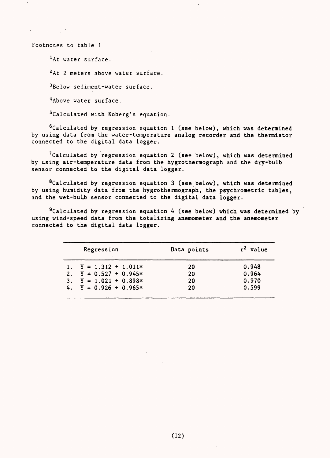Footnotes to table 1

<sup>1</sup>At water surface.

<sup>2</sup>At 2 meters above water surface.

<sup>3</sup> Below sediment-water surface.

<sup>4</sup> Above water surface.

Calculated with Koberg's equation.

 $6$ Calculated by regression equation 1 (see below), which was determined by using data from the water-temperature analog recorder and the thermistor connected to the digital data logger.

<sup>7</sup>Calculated by regression equation 2 (see below), which was determined by using air-temperature data from the hygrothermograph and the dry-bulb sensor connected to the digital data logger.

 $8$ Calculated by regression equation 3 (see below), which was determined by using humidity data from the hygrothermograph, the psychrometric tables, and the wet-bulb sensor connected to the digital data logger.

 $^{9}$ Calculated by regression equation 4 (see below) which was determined by using wind-speed data from the totalizing anemometer and the anemometer connected to the digital data logger.

| Regression                    | Data points | $r^2$ value |
|-------------------------------|-------------|-------------|
| 1. $Y = 1.312 + 1.011 \times$ | -20         | 0.948       |
| 2. $Y = 0.527 + 0.945x$       | 20          | 0.964       |
| 3. $Y = 1.021 + 0.898 \times$ | 20          | 0.970       |
| 4. $Y = 0.926 + 0.965 \times$ | 20          | 0.599       |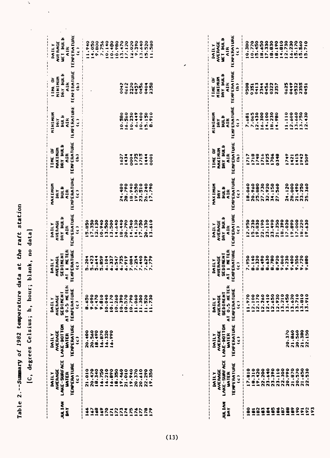**Table 2.--Summary of 1982 temperature data at the raft station** Table 2.--Summary of 1982 temperature data at the raft station

**[C, degrees Celsius; h, hour; blank, no data]** [C, degrees Celsius; h, hour; blank, no data]

 $\mathbf{k}$ 

 $\ddot{\phantom{a}}$ 

 $\ddot{\phantom{0}}$ 

| 6.230<br>5.170<br>5.560<br>15.710<br><b>AIR</b><br>$\hat{c}$<br>╭<br><b>TEMFERATURE</b><br>DRY BULB<br>MININUM<br><b>UNE OF</b><br>$\frac{1}{2}$<br>2220<br>0612<br>0452<br>0404<br>0449<br>0532<br>$\frac{2}{3}$<br>2358<br>8050<br>0413<br>0456<br>0322<br>0625<br>2355<br>$\hat{\boldsymbol{\epsilon}}$<br>2344<br>0451<br>0351<br><b>TENFERATURE</b><br>12.430<br>16.300<br>14.100<br>18.230<br>2.600<br>3.660<br>13.750<br><b>98</b><br>16.560<br>10.230<br>6.449<br>10.400<br>5.150<br>7.065<br>1.110<br>12.430<br>016.8<br>MININIM<br>086.<br>7.681<br><b>BULK</b><br><b>AIR</b><br>lify<br>$\hat{c}$<br>$\frac{1}{2}$<br>$\overline{\mathbf{I}}$<br>TEMPERATURE<br>DRY BULB<br><b>MAXIMUM</b><br>TIME OF<br>AIK<br>1725<br>1715<br>718<br>748<br>716<br>1925<br>1706<br>1749<br>415<br>942<br>1434<br>0004<br>1444<br>$\hat{\boldsymbol{\epsilon}}$<br>717<br>0348<br>1509<br>1627<br>0001<br>421<br><b>TEMPERATURE</b><br>18.940<br>19.550<br>23.510<br>26.240<br>25.880<br>32.920<br>28.000<br>21.490<br>23.250<br>28.790<br>18.040<br>20.960<br>27.730<br>34.150<br>.120<br>25.360<br>.480<br>.790<br><b>HUNINA</b><br>.560<br><b>BULB</b><br>AIR<br>ŪŔÝ<br>$\hat{u}$<br>$\boldsymbol{\tilde{z}}$<br>$\boldsymbol{\tilde{z}}$<br>$\overline{2}$<br>TEMPERATURE<br>DRY BULB<br>0.940<br>2.950<br>15.230<br>19.830<br>22,190<br>23.110<br>23.490<br>21.350<br>18.390<br>17.020<br>7.000<br>18.220<br>19.630<br>5.850<br>7.350<br>2.130<br>3.500<br>13.500<br>4.640<br>18.440<br>20.790<br>4.540<br>4.130<br>17.750<br>20.330<br><b>AVERAGE</b><br>19.890<br>13.610<br><b>NITVO</b><br>VIK<br>$\hat{c}$<br>AT 1 NETER<br>IEMPERATURE<br>SEDIMENT<br>7.950<br>8.140<br>8.320<br>8.490<br>8.630<br>8.780<br>8.920<br>9.230<br>9.400<br>9.550<br>9.720<br>7.084<br>AVERAGE<br>9.880<br>$5.423$<br>$5.644$<br>$5.859$<br>6.735<br>4.919<br>6.104<br>6.337<br>547<br>7.629<br>662.<br>5.204<br>MILY<br>$\hat{u}$<br>$\ddot{\bullet}$<br>AT 0.5 HETER<br>TEMPERATURE<br>SEDINENT<br>12.650<br>2.930<br>3.210<br>3.450<br>3.620<br>3.710<br>$\frac{3.910}{3.910}$<br>12.170<br>12.260<br>12.410<br>11.970<br>12.100<br>8.650<br>9.090<br>9.810<br>10.040<br>10.170<br>0.260<br>$\ddot{\phantom{0}}$<br>0.570<br>11.060<br>9.470<br>0.790<br>11.300<br>.520<br>.730<br><b>AVERAGE</b><br>DAILY<br>$\hat{\bm{u}}$<br>$\overline{1}$<br>$\overline{a}$<br><b>TEMPERATURE</b><br>LAKE-BOTTOM<br>20.560<br>20.370<br>21.860<br>21.380<br>22.150<br>20.560<br>16.870<br>20.400<br>18.490<br>16.320<br>16.990<br><b>AVERAGE</b><br>UNIER<br><b>INTINI</b><br>$\hat{u}$<br>LAKE-SURFACE<br><b>TEMPERATURE</b><br>22.300<br>19.420<br>0640<br>23.390<br>23.110<br>20.990<br>21.870<br>20.570<br>21.650<br>22.530<br>22.200<br>20.470<br>16.750<br>16.210<br>18.310<br>21.010<br>18.340<br>16.890<br>18.350<br>19.460<br>21.010<br>19.940<br>20.370<br>20.610<br>22.290<br>17.810<br>19.350<br><b>AVERAGE</b><br>UNIER<br>M ILN<br>$\hat{c}$<br>$\overline{2}$<br><b>JULIAN</b><br>185<br>187<br>188<br>189<br>$\frac{6}{1}$<br>169<br>182<br>183<br>104<br>186<br>170<br>DAY<br>$\frac{6}{1}$<br>192<br>167<br>148<br>$\overline{9}$<br>$\frac{1}{2}$<br>$\overline{z}$<br>$\overline{2}$<br>$\tilde{L}$<br>r,<br>176<br>178<br>181<br>$\overline{121}$<br>$\overline{\mathbf{z}}$<br>$\frac{5}{4}$ | <b>TEMPERATURE</b><br>LAKE-BOTTOM<br><b>AVERAGE</b><br>UNIEK<br>Ĵ<br>LAKE-SURFACE<br><b>TENPERATURE</b> | z<br>AT 0.5 HETEI<br>TEMPERAIURE<br>SEDIMENT<br><b>AVERAGE</b><br>$\mathbf{c}$ | <b>TEMPERATURE</b><br><b>1 HETER</b><br>SEDIMENT<br><b>AVERAGE</b><br>$\hat{c}$<br>$\bar{\epsilon}$ | <b>TEMPERATURE</b><br>DRY BULB<br>AVERAGE<br>č<br>$\mathbf{v}$ | <b>IEMPERATUKE</b><br><b>BULB</b><br><b>AIK</b><br>INKY<br>$\hat{c}$ | <b>TEMPERATURE</b><br>DRY BULB<br>MAXIMUM<br>ã<br>$\hat{\epsilon}$ | <b>TENFERATURE</b><br>HNI R<br>AIR<br>١kγ<br>$\hat{c}$ | <b>IENFERATURE</b><br>DRY BULB<br>AININIA<br>E<br>$\frac{1}{2}$<br>$\hat{z}$ | <b>TEMPERATURE</b><br><b>WET HULB</b><br>AVI KAGE<br>$\frac{1}{2}$<br>$\hat{c}$                                           |
|---------------------------------------------------------------------------------------------------------------------------------------------------------------------------------------------------------------------------------------------------------------------------------------------------------------------------------------------------------------------------------------------------------------------------------------------------------------------------------------------------------------------------------------------------------------------------------------------------------------------------------------------------------------------------------------------------------------------------------------------------------------------------------------------------------------------------------------------------------------------------------------------------------------------------------------------------------------------------------------------------------------------------------------------------------------------------------------------------------------------------------------------------------------------------------------------------------------------------------------------------------------------------------------------------------------------------------------------------------------------------------------------------------------------------------------------------------------------------------------------------------------------------------------------------------------------------------------------------------------------------------------------------------------------------------------------------------------------------------------------------------------------------------------------------------------------------------------------------------------------------------------------------------------------------------------------------------------------------------------------------------------------------------------------------------------------------------------------------------------------------------------------------------------------------------------------------------------------------------------------------------------------------------------------------------------------------------------------------------------------------------------------------------------------------------------------------------------------------------------------------------------------------------------------------------------------------------------------------------------------------------------------------------------------------------------------------------------------------------------------------------------------------------------------------------------------------------------------------------------------------------------------------------------------------------------------------------------------------------------------------------------------------------------------------------------------------------------------------------------------------------------------------------------------------------------------------------------------------------------------------------------------------------------------|---------------------------------------------------------------------------------------------------------|--------------------------------------------------------------------------------|-----------------------------------------------------------------------------------------------------|----------------------------------------------------------------|----------------------------------------------------------------------|--------------------------------------------------------------------|--------------------------------------------------------|------------------------------------------------------------------------------|---------------------------------------------------------------------------------------------------------------------------|
|                                                                                                                                                                                                                                                                                                                                                                                                                                                                                                                                                                                                                                                                                                                                                                                                                                                                                                                                                                                                                                                                                                                                                                                                                                                                                                                                                                                                                                                                                                                                                                                                                                                                                                                                                                                                                                                                                                                                                                                                                                                                                                                                                                                                                                                                                                                                                                                                                                                                                                                                                                                                                                                                                                                                                                                                                                                                                                                                                                                                                                                                                                                                                                                                                                                                                             |                                                                                                         |                                                                                |                                                                                                     |                                                                |                                                                      |                                                                    |                                                        |                                                                              | 10.140<br>10.480<br>3.470<br>17.120<br>2.020<br>13.640<br>11.940<br>14.050<br>7.756<br>0.980<br>9.390<br>15.520<br>11.580 |
|                                                                                                                                                                                                                                                                                                                                                                                                                                                                                                                                                                                                                                                                                                                                                                                                                                                                                                                                                                                                                                                                                                                                                                                                                                                                                                                                                                                                                                                                                                                                                                                                                                                                                                                                                                                                                                                                                                                                                                                                                                                                                                                                                                                                                                                                                                                                                                                                                                                                                                                                                                                                                                                                                                                                                                                                                                                                                                                                                                                                                                                                                                                                                                                                                                                                                             |                                                                                                         |                                                                                |                                                                                                     |                                                                |                                                                      |                                                                    |                                                        |                                                                              | <b>IEMPERATURE</b><br><b>MEI RULB</b><br>AVERAGE<br>IIN IL Y                                                              |
|                                                                                                                                                                                                                                                                                                                                                                                                                                                                                                                                                                                                                                                                                                                                                                                                                                                                                                                                                                                                                                                                                                                                                                                                                                                                                                                                                                                                                                                                                                                                                                                                                                                                                                                                                                                                                                                                                                                                                                                                                                                                                                                                                                                                                                                                                                                                                                                                                                                                                                                                                                                                                                                                                                                                                                                                                                                                                                                                                                                                                                                                                                                                                                                                                                                                                             |                                                                                                         |                                                                                |                                                                                                     |                                                                |                                                                      |                                                                    |                                                        |                                                                              | 0.380                                                                                                                     |
|                                                                                                                                                                                                                                                                                                                                                                                                                                                                                                                                                                                                                                                                                                                                                                                                                                                                                                                                                                                                                                                                                                                                                                                                                                                                                                                                                                                                                                                                                                                                                                                                                                                                                                                                                                                                                                                                                                                                                                                                                                                                                                                                                                                                                                                                                                                                                                                                                                                                                                                                                                                                                                                                                                                                                                                                                                                                                                                                                                                                                                                                                                                                                                                                                                                                                             |                                                                                                         |                                                                                |                                                                                                     |                                                                |                                                                      |                                                                    |                                                        |                                                                              | 0.770                                                                                                                     |
|                                                                                                                                                                                                                                                                                                                                                                                                                                                                                                                                                                                                                                                                                                                                                                                                                                                                                                                                                                                                                                                                                                                                                                                                                                                                                                                                                                                                                                                                                                                                                                                                                                                                                                                                                                                                                                                                                                                                                                                                                                                                                                                                                                                                                                                                                                                                                                                                                                                                                                                                                                                                                                                                                                                                                                                                                                                                                                                                                                                                                                                                                                                                                                                                                                                                                             |                                                                                                         |                                                                                |                                                                                                     |                                                                |                                                                      |                                                                    |                                                        |                                                                              | 5.450                                                                                                                     |
|                                                                                                                                                                                                                                                                                                                                                                                                                                                                                                                                                                                                                                                                                                                                                                                                                                                                                                                                                                                                                                                                                                                                                                                                                                                                                                                                                                                                                                                                                                                                                                                                                                                                                                                                                                                                                                                                                                                                                                                                                                                                                                                                                                                                                                                                                                                                                                                                                                                                                                                                                                                                                                                                                                                                                                                                                                                                                                                                                                                                                                                                                                                                                                                                                                                                                             |                                                                                                         |                                                                                |                                                                                                     |                                                                |                                                                      |                                                                    |                                                        |                                                                              | 8.650                                                                                                                     |
|                                                                                                                                                                                                                                                                                                                                                                                                                                                                                                                                                                                                                                                                                                                                                                                                                                                                                                                                                                                                                                                                                                                                                                                                                                                                                                                                                                                                                                                                                                                                                                                                                                                                                                                                                                                                                                                                                                                                                                                                                                                                                                                                                                                                                                                                                                                                                                                                                                                                                                                                                                                                                                                                                                                                                                                                                                                                                                                                                                                                                                                                                                                                                                                                                                                                                             |                                                                                                         |                                                                                |                                                                                                     |                                                                |                                                                      |                                                                    |                                                        |                                                                              | 7.330                                                                                                                     |
|                                                                                                                                                                                                                                                                                                                                                                                                                                                                                                                                                                                                                                                                                                                                                                                                                                                                                                                                                                                                                                                                                                                                                                                                                                                                                                                                                                                                                                                                                                                                                                                                                                                                                                                                                                                                                                                                                                                                                                                                                                                                                                                                                                                                                                                                                                                                                                                                                                                                                                                                                                                                                                                                                                                                                                                                                                                                                                                                                                                                                                                                                                                                                                                                                                                                                             |                                                                                                         |                                                                                |                                                                                                     |                                                                |                                                                      |                                                                    |                                                        |                                                                              | 8.830                                                                                                                     |
|                                                                                                                                                                                                                                                                                                                                                                                                                                                                                                                                                                                                                                                                                                                                                                                                                                                                                                                                                                                                                                                                                                                                                                                                                                                                                                                                                                                                                                                                                                                                                                                                                                                                                                                                                                                                                                                                                                                                                                                                                                                                                                                                                                                                                                                                                                                                                                                                                                                                                                                                                                                                                                                                                                                                                                                                                                                                                                                                                                                                                                                                                                                                                                                                                                                                                             |                                                                                                         |                                                                                |                                                                                                     |                                                                |                                                                      |                                                                    |                                                        |                                                                              | 8.1.90                                                                                                                    |
|                                                                                                                                                                                                                                                                                                                                                                                                                                                                                                                                                                                                                                                                                                                                                                                                                                                                                                                                                                                                                                                                                                                                                                                                                                                                                                                                                                                                                                                                                                                                                                                                                                                                                                                                                                                                                                                                                                                                                                                                                                                                                                                                                                                                                                                                                                                                                                                                                                                                                                                                                                                                                                                                                                                                                                                                                                                                                                                                                                                                                                                                                                                                                                                                                                                                                             |                                                                                                         |                                                                                |                                                                                                     |                                                                |                                                                      |                                                                    |                                                        |                                                                              | 4.810                                                                                                                     |
|                                                                                                                                                                                                                                                                                                                                                                                                                                                                                                                                                                                                                                                                                                                                                                                                                                                                                                                                                                                                                                                                                                                                                                                                                                                                                                                                                                                                                                                                                                                                                                                                                                                                                                                                                                                                                                                                                                                                                                                                                                                                                                                                                                                                                                                                                                                                                                                                                                                                                                                                                                                                                                                                                                                                                                                                                                                                                                                                                                                                                                                                                                                                                                                                                                                                                             |                                                                                                         |                                                                                |                                                                                                     |                                                                |                                                                      |                                                                    |                                                        |                                                                              | 2.730                                                                                                                     |
|                                                                                                                                                                                                                                                                                                                                                                                                                                                                                                                                                                                                                                                                                                                                                                                                                                                                                                                                                                                                                                                                                                                                                                                                                                                                                                                                                                                                                                                                                                                                                                                                                                                                                                                                                                                                                                                                                                                                                                                                                                                                                                                                                                                                                                                                                                                                                                                                                                                                                                                                                                                                                                                                                                                                                                                                                                                                                                                                                                                                                                                                                                                                                                                                                                                                                             |                                                                                                         |                                                                                |                                                                                                     |                                                                |                                                                      |                                                                    |                                                        |                                                                              |                                                                                                                           |
|                                                                                                                                                                                                                                                                                                                                                                                                                                                                                                                                                                                                                                                                                                                                                                                                                                                                                                                                                                                                                                                                                                                                                                                                                                                                                                                                                                                                                                                                                                                                                                                                                                                                                                                                                                                                                                                                                                                                                                                                                                                                                                                                                                                                                                                                                                                                                                                                                                                                                                                                                                                                                                                                                                                                                                                                                                                                                                                                                                                                                                                                                                                                                                                                                                                                                             |                                                                                                         |                                                                                |                                                                                                     |                                                                |                                                                      |                                                                    |                                                        |                                                                              |                                                                                                                           |
|                                                                                                                                                                                                                                                                                                                                                                                                                                                                                                                                                                                                                                                                                                                                                                                                                                                                                                                                                                                                                                                                                                                                                                                                                                                                                                                                                                                                                                                                                                                                                                                                                                                                                                                                                                                                                                                                                                                                                                                                                                                                                                                                                                                                                                                                                                                                                                                                                                                                                                                                                                                                                                                                                                                                                                                                                                                                                                                                                                                                                                                                                                                                                                                                                                                                                             |                                                                                                         |                                                                                |                                                                                                     |                                                                |                                                                      |                                                                    |                                                        |                                                                              |                                                                                                                           |

1919999999552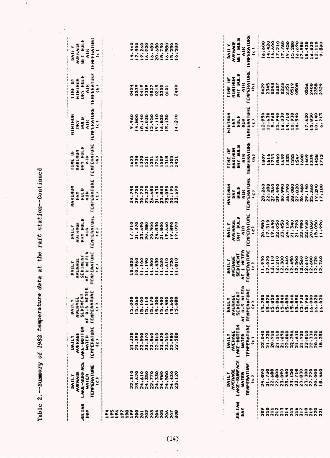| じゅうしょう しょうしょう                |
|------------------------------|
| $\frac{1}{2}$<br>)<br>S<br>1 |
|                              |
|                              |
| data at the.                 |
| ネッキュラ                        |
| $\ddot{\phantom{a}}$         |
| י<br>י                       |
| The community of the con-    |
|                              |

 $\bar{z}$ 

 $\hat{\mathcal{C}}_1$ 

 $\ddot{\phantom{1}}$ 

| <b>MULIAN</b><br>kvil                                      | LANE-SURFACE<br><b>TEMPERATURE</b><br>AVERAGE<br>UNIER<br><b>DAILY</b><br>$\mathbf{\hat{S}}$ | LAKE-BOTTOM<br><b>TEMPERATURE</b><br><b>AVERAGE</b><br>UATER<br><b>NJINJ</b><br>Ĵ | AT 0.5 METER<br>TENFERATURE<br>SEDIMENI<br><b>AVEKAGE</b><br><b>TINILY</b><br>$\frac{1}{2}$ | <b>TENFERATURE</b><br>AT 1 METER<br>SEDIMENT<br><b>AVERAGE</b><br><b>TITYI</b><br>$\frac{1}{2}$                                                                                                                                                                                                                                                                                                                | <b>TENFERATURE</b><br><b>NRA RAFB</b><br>AVE KAGE<br><b>MAILY</b><br>$\frac{1}{2}$<br>Ĵ | TEMPERATURE<br>MAXIMUM<br><b>HULB</b><br>$\frac{1}{2}$<br><b>TIKY</b><br>$\mathbf{C}$ | TEMPERATURE<br>DRY BULB<br>MAXIMUM<br>TIME OF<br>AIR<br>$\hat{\epsilon}$ | <b>AINININ</b><br>FUL B<br>$\frac{2}{5}$<br>Inkγ<br>$\hat{c}$ | TEMPLKATURE TEMPERATURE<br>DRY FULF<br>MINIMIN<br>TIME OF<br>AIK<br>$\hat{z}$ | TEMPERATURI<br><b>ATION</b><br>T<br>AVERAGE<br><b>TIALI</b> Y<br>$\frac{1}{2}$<br>$\frac{1}{2}$ |
|------------------------------------------------------------|----------------------------------------------------------------------------------------------|-----------------------------------------------------------------------------------|---------------------------------------------------------------------------------------------|----------------------------------------------------------------------------------------------------------------------------------------------------------------------------------------------------------------------------------------------------------------------------------------------------------------------------------------------------------------------------------------------------------------|-----------------------------------------------------------------------------------------|---------------------------------------------------------------------------------------|--------------------------------------------------------------------------|---------------------------------------------------------------|-------------------------------------------------------------------------------|-------------------------------------------------------------------------------------------------|
| 198<br>$\frac{5}{2}$<br>196<br>197<br>$\tilde{\mathbf{z}}$ |                                                                                              |                                                                                   |                                                                                             |                                                                                                                                                                                                                                                                                                                                                                                                                |                                                                                         |                                                                                       |                                                                          |                                                               |                                                                               |                                                                                                 |
| 199                                                        | 22.310                                                                                       | .320<br>$\overline{3}$                                                            | $\overset{\mathtt{o}}{\circ}$                                                               | 10.820                                                                                                                                                                                                                                                                                                                                                                                                         | 016.<br>$\overline{1}$                                                                  | 24.740                                                                                | 625                                                                      | 9.960                                                         | 0454                                                                          | 4.460                                                                                           |
| 200                                                        | 23.620                                                                                       | 21.390                                                                            | 5.060                                                                                       | 10.960                                                                                                                                                                                                                                                                                                                                                                                                         | 21.370                                                                                  | 29.750                                                                                | 938                                                                      | 000, 7                                                        | 0539                                                                          | 17.800                                                                                          |
| $\overline{201}$                                           | 24.610                                                                                       | 22.800                                                                            | 5.100                                                                                       | 11.100                                                                                                                                                                                                                                                                                                                                                                                                         |                                                                                         | 30.720                                                                                | 320                                                                      | 18.140                                                        | 0419                                                                          | 19.260                                                                                          |
| 202                                                        | 24.350                                                                                       | 23.370                                                                            | 5.110                                                                                       | 11.190                                                                                                                                                                                                                                                                                                                                                                                                         | $23.690$<br>$20.380$<br>$20.500$                                                        | 25.270                                                                                | 521                                                                      | 16.030                                                        | 2359                                                                          | 16.920                                                                                          |
| 203                                                        | 22.770                                                                                       | 22.860                                                                            | 5.170                                                                                       | 11.300                                                                                                                                                                                                                                                                                                                                                                                                         |                                                                                         | 26.680                                                                                | 551                                                                      | 2.950                                                         | 0527                                                                          | 16.480                                                                                          |
| $\frac{3}{2}$                                              | 24.330                                                                                       | 22.810                                                                            | 5.300                                                                                       | 11.430                                                                                                                                                                                                                                                                                                                                                                                                         | 24.830<br>21.800                                                                        | 31.430                                                                                | 716                                                                      | 19.110                                                        | 0215                                                                          | 20.680                                                                                          |
| 205                                                        | 24.980                                                                                       | 23.820                                                                            | 5.400                                                                                       | 11.520                                                                                                                                                                                                                                                                                                                                                                                                         |                                                                                         | 25.880                                                                                | 509                                                                      | 6.820                                                         | 2350                                                                          | 18.730                                                                                          |
| 206                                                        | 24.550                                                                                       | 23.510                                                                            | 5.480                                                                                       | 11.610                                                                                                                                                                                                                                                                                                                                                                                                         | 19.660                                                                                  | 25.090                                                                                | 318                                                                      | 5.150                                                         | 0101                                                                          | 6.580                                                                                           |
| $\tilde{5}$                                                | 24.430                                                                                       | 22.980                                                                            | 5.600                                                                                       | 11.720                                                                                                                                                                                                                                                                                                                                                                                                         | 19.890                                                                                  | 30.190                                                                                | 305                                                                      |                                                               |                                                                               | 15.250                                                                                          |
| $\frac{8}{3}$                                              | 23.120                                                                                       | 22.580                                                                            | $-600$<br><b>in</b>                                                                         | 010.<br>$\overline{a}$                                                                                                                                                                                                                                                                                                                                                                                         | 19.090                                                                                  | 23.690                                                                                | $\ddot{•}$                                                               | 14.270                                                        | 2400                                                                          | 16.580                                                                                          |
|                                                            |                                                                                              |                                                                                   |                                                                                             |                                                                                                                                                                                                                                                                                                                                                                                                                |                                                                                         |                                                                                       |                                                                          |                                                               |                                                                               |                                                                                                 |
|                                                            | <b>NAILY</b>                                                                                 | <b>N11VI</b>                                                                      | <b>VAILY</b>                                                                                | <b>MILY</b>                                                                                                                                                                                                                                                                                                                                                                                                    | <b>INAILY</b>                                                                           | MAXINUM                                                                               | <b>TIME OF</b>                                                           | MINIMUM                                                       | <b>UNE UF</b>                                                                 | DAILY                                                                                           |
|                                                            | AVERAGE                                                                                      | NVERNGE                                                                           | AVERAGE                                                                                     | <b>AVERAGE</b>                                                                                                                                                                                                                                                                                                                                                                                                 | <b>AVERAGE</b>                                                                          | TIRY                                                                                  | MAXIMUM                                                                  | <b>LifeY</b>                                                  | MININUM                                                                       | <b>AVEKAGE</b>                                                                                  |
| JULIAN                                                     | LAKE-SURFACE                                                                                 | LAKE-BOITOM                                                                       | SENINENI                                                                                    | SEDIMENT                                                                                                                                                                                                                                                                                                                                                                                                       | <b>DRY BULB</b>                                                                         | FUL F                                                                                 | DRY BULB                                                                 | mint P                                                        | INKY KULB                                                                     | <b>MEI RULB</b>                                                                                 |
| Š                                                          | UNIER                                                                                        | UNTER                                                                             | x<br>AT 0.5 NLTE                                                                            | AT 1 NETER                                                                                                                                                                                                                                                                                                                                                                                                     | k<br>S                                                                                  | č                                                                                     | $\frac{1}{2}$                                                            | AIK                                                           | $\frac{1}{2}$                                                                 | $\frac{1}{2}$                                                                                   |
|                                                            | <b>TENFERATURE</b><br>$\hat{c}$                                                              | <b>TENPERATURE</b><br>Ĵ                                                           | TEMPERATURE<br>$\mathbf{c}$                                                                 | <b>TENFERATURE</b><br>$\mathbf{c}$                                                                                                                                                                                                                                                                                                                                                                             | <b>TEMPERATURE</b><br>$\hat{u}$                                                         | <b>TEMFERATURE</b><br>$\hat{u}$                                                       | $\hat{\epsilon}$                                                         | TEMPERATURE TEMPERATURE<br>Ĵ                                  | <b>TEMPERATURE</b><br>$\hat{\epsilon}$                                        | <b>TENFERATURE</b><br>$\hat{c}$                                                                 |
| 209                                                        | 24.090                                                                                       | 22.040                                                                            | <b>S.780</b>                                                                                | 1.930                                                                                                                                                                                                                                                                                                                                                                                                          | 20.580                                                                                  | 28.260                                                                                | 1809                                                                     | 12.950                                                        | 829                                                                           | 6.600                                                                                           |
| <b>210</b>                                                 | 21.730                                                                                       | 21.720                                                                            | 5.820                                                                                       |                                                                                                                                                                                                                                                                                                                                                                                                                | 17.310                                                                                  | 22.280                                                                                | 616                                                                      | 11.630                                                        | 2345                                                                          | 14.420                                                                                          |
| 211                                                        | 22.600                                                                                       | 20.910                                                                            | 5.850                                                                                       |                                                                                                                                                                                                                                                                                                                                                                                                                | 19.640                                                                                  | 27.560                                                                                | 733                                                                      | 9.960                                                         | 0243                                                                          | 14.600                                                                                          |
| 212                                                        | 22.800                                                                                       | 21.110                                                                            | 5.840                                                                                       | $\begin{array}{c} 2.020 \\ 12.110 \\ 12.210 \\ 12.300 \end{array}$                                                                                                                                                                                                                                                                                                                                             | 22.050                                                                                  | 29.490                                                                                | 1840                                                                     | 5.940                                                         | 2337                                                                          | 17.210                                                                                          |
| $\frac{7}{2}$                                              | 23.090                                                                                       |                                                                                   |                                                                                             |                                                                                                                                                                                                                                                                                                                                                                                                                | 23.450                                                                                  | 30.990                                                                                | 1639                                                                     | 6.030                                                         | 0223                                                                          | 17.760                                                                                          |
| 214                                                        | 23.440                                                                                       | 22.000                                                                            | .890<br>N                                                                                   |                                                                                                                                                                                                                                                                                                                                                                                                                | 24.120                                                                                  | 36.790                                                                                | 335                                                                      | 4.710                                                         | 2351                                                                          | 19.450                                                                                          |
| 215                                                        | 23.150                                                                                       | 22.250                                                                            | 5.860                                                                                       |                                                                                                                                                                                                                                                                                                                                                                                                                | 21.340                                                                                  | 28.080                                                                                | 555                                                                      | 10.930                                                        | 0519                                                                          | 15.280                                                                                          |
| 216                                                        | 22.710                                                                                       | 21.610                                                                            |                                                                                             | $\begin{array}{@{}c@{\hspace{1em}}c@{\hspace{1em}}c@{\hspace{1em}}c@{\hspace{1em}}c@{\hspace{1em}}c@{\hspace{1em}}c@{\hspace{1em}}c@{\hspace{1em}}c@{\hspace{1em}}c@{\hspace{1em}}c@{\hspace{1em}}c@{\hspace{1em}}c@{\hspace{1em}}c@{\hspace{1em}}c@{\hspace{1em}}c@{\hspace{1em}}c@{\hspace{1em}}c@{\hspace{1em}}c@{\hspace{1em}}c@{\hspace{1em}}c@{\hspace{1em}}c@{\hspace{1em}}c@{\hspace{1em}}c@{\hspace{$ | 21.790                                                                                  | 27.820                                                                                | 547                                                                      | 4.540                                                         | 0508                                                                          | 6.690                                                                                           |
| 217                                                        | 23.830                                                                                       | 21.920                                                                            | 5.930                                                                                       |                                                                                                                                                                                                                                                                                                                                                                                                                | 22.980                                                                                  | 30.460                                                                                | 608                                                                      |                                                               |                                                                               | 17.980                                                                                          |
| 218                                                        | 23.300                                                                                       | 22.010                                                                            | 5.960                                                                                       | 2.680                                                                                                                                                                                                                                                                                                                                                                                                          | 22.930                                                                                  | 29.140                                                                                | 609                                                                      | 7.620                                                         | 0556                                                                          | 18.430                                                                                          |
| 219                                                        | 22.720                                                                                       | 22.330                                                                            | 6.000                                                                                       |                                                                                                                                                                                                                                                                                                                                                                                                                | 20.860                                                                                  | 25.360                                                                                | 339                                                                      | 3.830                                                         | 2400                                                                          | 16.820                                                                                          |
| 220<br>$\overline{a}$                                      | 20.000<br>18.460                                                                             | 20.120<br>18.250                                                                  | 6.020                                                                                       | 2.720<br>12.760                                                                                                                                                                                                                                                                                                                                                                                                | 15.050                                                                                  | 19.200                                                                                | 1458<br>1712                                                             | 10.140<br>6.713                                               | 2358<br>2329                                                                  | 12.110                                                                                          |
|                                                            |                                                                                              |                                                                                   | 16.020                                                                                      |                                                                                                                                                                                                                                                                                                                                                                                                                | 11.990                                                                                  | 17.180                                                                                |                                                                          |                                                               |                                                                               | 9.800                                                                                           |

 $\ddot{\phantom{a}}$ 

 $\ddot{\phantom{a}}$ 

 $\bar{z}$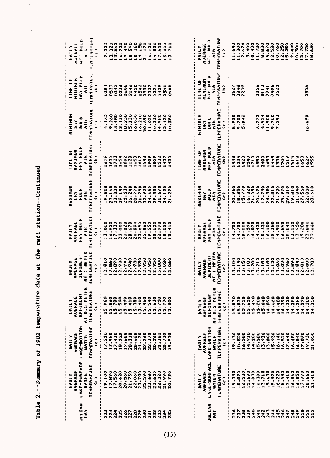| data at the                                                                                                                                                                                                                                                                                                                                                                                                                                                                                          |
|------------------------------------------------------------------------------------------------------------------------------------------------------------------------------------------------------------------------------------------------------------------------------------------------------------------------------------------------------------------------------------------------------------------------------------------------------------------------------------------------------|
| $\begin{array}{cccccccccccccc} \multicolumn{4}{c}{} & \multicolumn{4}{c}{} & \multicolumn{4}{c}{} & \multicolumn{4}{c}{} & \multicolumn{4}{c}{} & \multicolumn{4}{c}{} & \multicolumn{4}{c}{} & \multicolumn{4}{c}{} & \multicolumn{4}{c}{} & \multicolumn{4}{c}{} & \multicolumn{4}{c}{} & \multicolumn{4}{c}{} & \multicolumn{4}{c}{} & \multicolumn{4}{c}{} & \multicolumn{4}{c}{} & \multicolumn{4}{c}{} & \multicolumn{4}{c}{} & \multicolumn{4}{c}{} & \multicolumn{4}{c}{} & \$<br>こうしょう こうこう |
|                                                                                                                                                                                                                                                                                                                                                                                                                                                                                                      |
| $\frac{1}{2}$                                                                                                                                                                                                                                                                                                                                                                                                                                                                                        |
|                                                                                                                                                                                                                                                                                                                                                                                                                                                                                                      |
|                                                                                                                                                                                                                                                                                                                                                                                                                                                                                                      |

 $\dot{\gamma}$ 

 $\hat{\mathcal{A}}$ 

 $\sim$ 

| JULIAN   | LAKE-SURFACE<br><b>AVERAGE</b><br>unily         | LAKE-BOITOM<br><b>AVERAGE</b><br><b>MILY</b>             | SENIMENT<br><b>AVEKAGI</b><br><b>UAILY</b>       | SEDIMENT<br>AVERAGE<br><b>NYVII</b> | <b>INTY BULB</b><br><b>AVI FIAGE</b><br><b>AIIVI</b> | MAXINUM<br><b>HULL</b><br><b>TIRY</b>          | <b>DKY RULB</b><br>MAXINUM<br><b>INE OF</b>          | MININUM<br>FINN. B<br><b>Till</b>   | <b>INKY HULB</b><br>MINIMIM<br>TIME OF            | <b>WELL ROLE</b><br><b>AULISAGE</b><br><b>IMILY</b>                                             |
|----------|-------------------------------------------------|----------------------------------------------------------|--------------------------------------------------|-------------------------------------|------------------------------------------------------|------------------------------------------------|------------------------------------------------------|-------------------------------------|---------------------------------------------------|-------------------------------------------------------------------------------------------------|
| ĬV       | <b>TEMPERATURE</b><br><b>MATEK</b><br>$\hat{c}$ | <b>TEMPERATURE</b><br><b>WATER</b><br>$\mathbf{\hat{S}}$ | AT 0.5 METER<br>TEMFERATURE<br>こういこ<br>$\hat{c}$ | AT 1 MLIER<br><b>TEMFERATURE</b>    | <b>LHFERATURE</b><br>ă                               | L'AFFISATURE<br>$\lambda$ IK<br>$\hat{c}$      | <b>LAFERATURE</b><br>ž<br>Ξ                          | HEEKAIURE<br>AIK<br>$\vdots$        | EMI KATUKI<br>$\frac{1}{2}$<br>$\hat{\mathbf{z}}$ | MILKATURI<br>$\frac{1}{2}$                                                                      |
|          | 19.100                                          | 17.510                                                   | 5.98                                             | 2.810                               | 3.010                                                | 19.810                                         | 619                                                  | 4.162                               | 0351                                              | 022.6                                                                                           |
| 223      | 17.560                                          | 17.980<br>17.410                                         | 5.860                                            | $2.860$<br>$12.890$                 | 16.920<br>17.330                                     |                                                |                                                      |                                     |                                                   | 12.320                                                                                          |
|          | 20.620                                          | <b>18.220</b>                                            | 5.700                                            | 2.930                               | 22.000                                               | 23.160<br>22.380<br>29.140<br>25.530           | 14554<br>17734<br>1802                               | 9.260<br>13.480<br>13.130<br>18.230 |                                                   |                                                                                                 |
| 225      | 20.560                                          | 19.600                                                   | 15.590<br>15.490<br>15.410                       | 2.940                               | 21.820                                               |                                                |                                                      |                                     |                                                   | $16.720$<br>$19.490$<br>$18.590$<br>$18.180$<br>$19.650$<br>$19.650$<br>$200$<br>$200$<br>$200$ |
|          | 21.730                                          | 20.210                                                   |                                                  | $0*6'3$                             | 20.670                                               | 26.240<br>28.790<br>31.920<br>32.920<br>24.650 | 1120                                                 | 5.330                               |                                                   |                                                                                                 |
| ភ្លុងនិង | 22.060<br>23.700<br>25.590<br>22.480            | 20.620                                                   | 15.380<br>15.410<br>15.480                       | $12.930$<br>$12.930$<br>$12.950$    |                                                      |                                                | 1659<br>1617<br>1543                                 | 16.030                              |                                                   |                                                                                                 |
|          |                                                 | 21.170                                                   |                                                  |                                     |                                                      |                                                |                                                      | $16.210$<br>20.690<br>11.020        |                                                   |                                                                                                 |
|          |                                                 | 22.260                                                   |                                                  |                                     |                                                      |                                                |                                                      |                                     |                                                   |                                                                                                 |
| 231      |                                                 | 22.370                                                   | 15.540                                           |                                     |                                                      |                                                | 1909                                                 |                                     |                                                   | 16.130                                                                                          |
| 232      | 22.630                                          | 20.560                                                   | 15.630                                           | $12.950$<br>$12.950$<br>$13.0000$   |                                                      | 29.580<br>31.690                               | 1809                                                 | 10.230                              |                                                   | 14.850                                                                                          |
| 233      |                                                 | 21.360                                                   | 5.750                                            |                                     |                                                      |                                                | 532                                                  |                                     |                                                   |                                                                                                 |
| 235      | 21.990                                          | 20.730                                                   | 15.77                                            | 3.020                               | 18.150                                               | 24.120                                         | $-450$                                               | 2.430                               |                                                   | 15.000                                                                                          |
|          | 20.720                                          | 19.930                                                   | 5.800                                            | 3.060                               | S.410                                                | 21.220                                         |                                                      | 10.580                              | <b>060H</b>                                       | 12.700                                                                                          |
|          |                                                 |                                                          |                                                  |                                     |                                                      |                                                |                                                      |                                     |                                                   |                                                                                                 |
|          | <b>NINU</b>                                     | <b>NY TONI</b>                                           | <b>DAILY</b>                                     | <b>DAILY</b>                        | <b>TIVAL</b>                                         | MAXIMUM                                        |                                                      | <b>MUNINIA</b>                      | <b>TIME OF</b><br>MINIMUM                         | <b>IIAILY</b>                                                                                   |
| JULIAN   | LANE-SURFACE<br>AVERAGE                         | LAKE-BOTTOM<br><b>AVERAGE</b>                            | SENIMENT<br><b>AVERAGE</b>                       | SEDIMENT<br><b>AVERAGE</b>          | <b>THA RULB</b><br><b>NUFRAGE</b>                    | <b>BULE</b><br>DKY                             | <b>DIAY BULB</b><br>TIME OF                          | HUL B<br>MKY                        | <b>URY BULB</b><br><b>AIR</b>                     | <b>WEI BULB</b><br><b>NUE RAGE</b><br>$\overline{\phantom{a}}$                                  |
| lini     | <b>TENFERATURE</b><br><b>UNTER</b>              |                                                          | UATER – AT 0.5 METER<br>TEMPERATURE TEMPERATURE  | <b>TEMPERATURE</b><br>AT 1 HETER    | $\frac{1}{2}$                                        | <b>TENFERATURE TENFERATURE</b>                 | TEMPERATURE TEMPERATURE TEMPERATURE<br>$\frac{1}{2}$ | $\frac{1}{2}$                       |                                                   | <b>TEMPERATURE</b>                                                                              |

| JULIAN<br>ĬÑ   | LANE-SURFACE<br>TEMPERATURE<br><b>AVERAGE</b><br><b>UNTER</b><br><b>NTIVII</b><br>$\hat{\epsilon}$ | TEMPERATURE TEMPERATU<br>(c)<br>(c)<br><b>LAKE-BOTTOM</b><br><b>AVERAGE</b><br><b>UNIER</b><br><b>DIAILY</b> | AVERAGE<br>Sediment<br>A1 0.5 meter<br>Temperature<br><b>INAILY</b> | DAILY<br>Average<br>Sediment<br>AT 1 Meter<br>Temperature<br>Temperature | DAILY<br>AUFRAGE<br>IKY BULB<br>IEHFERATUKE<br>IEHFERATUKE | MAXIMUM<br>INKY<br>Bulb<br>Bulb<br>IEMFERATURE<br>IEMFERATURE | TIME OF<br>MAXIMUM<br>ENY BULB<br>CEMPERATURE<br>TEMPERATURE | MININUM<br>IKY<br>IKY<br>KULB<br>TEMPERATURE<br>TEMPERATURE | TIME OF<br>MINIMUM<br>IORY BULB<br>MAR<br>TEMPERATURE<br>TEMPERATURE | IALLY<br>AVERAGE<br>WEI BULB<br>WEI BULB<br>TEHFERATURE<br>TEHFERATURE |
|----------------|----------------------------------------------------------------------------------------------------|--------------------------------------------------------------------------------------------------------------|---------------------------------------------------------------------|--------------------------------------------------------------------------|------------------------------------------------------------|---------------------------------------------------------------|--------------------------------------------------------------|-------------------------------------------------------------|----------------------------------------------------------------------|------------------------------------------------------------------------|
|                | $\frac{50}{2}$                                                                                     | 19.130                                                                                                       | 5.830                                                               | $rac{100}{1.7}$                                                          |                                                            |                                                               |                                                              |                                                             |                                                                      |                                                                        |
|                |                                                                                                    |                                                                                                              |                                                                     |                                                                          |                                                            |                                                               |                                                              | 8.7002<br>9.700<br>5.042                                    | 0527<br>2348<br>2239                                                 |                                                                        |
|                | 18.890<br>16.530                                                                                   | 18.520<br>16.580                                                                                             | 15.830                                                              |                                                                          |                                                            |                                                               |                                                              |                                                             |                                                                      |                                                                        |
|                | 5.690                                                                                              |                                                                                                              | 5.650                                                               |                                                                          |                                                            |                                                               |                                                              |                                                             |                                                                      |                                                                        |
|                | 14.030                                                                                             |                                                                                                              |                                                                     |                                                                          |                                                            |                                                               |                                                              |                                                             |                                                                      |                                                                        |
|                |                                                                                                    |                                                                                                              | 15.280                                                              |                                                                          |                                                            |                                                               |                                                              |                                                             | 2354<br>0113400<br>022400<br>00000                                   |                                                                        |
|                |                                                                                                    |                                                                                                              | 5.040                                                               |                                                                          |                                                            |                                                               |                                                              |                                                             |                                                                      |                                                                        |
|                |                                                                                                    |                                                                                                              | 4.890                                                               |                                                                          |                                                            |                                                               |                                                              |                                                             |                                                                      |                                                                        |
|                |                                                                                                    |                                                                                                              | 4.660                                                               |                                                                          |                                                            |                                                               |                                                              | 5655.2<br>1990<br>1990<br>1990<br>1990                      |                                                                      |                                                                        |
|                | 141111111120                                                                                       |                                                                                                              |                                                                     |                                                                          |                                                            |                                                               |                                                              |                                                             |                                                                      |                                                                        |
|                |                                                                                                    |                                                                                                              |                                                                     |                                                                          |                                                            |                                                               |                                                              |                                                             |                                                                      |                                                                        |
|                |                                                                                                    |                                                                                                              | 14.390<br>14.390<br>14.320                                          |                                                                          |                                                            |                                                               |                                                              |                                                             |                                                                      |                                                                        |
|                |                                                                                                    | 16.480<br>16.840<br>17.870<br>19.730                                                                         | 14.280<br>14.280                                                    |                                                                          |                                                            |                                                               |                                                              |                                                             |                                                                      |                                                                        |
|                |                                                                                                    |                                                                                                              |                                                                     |                                                                          |                                                            |                                                               |                                                              |                                                             |                                                                      |                                                                        |
|                |                                                                                                    |                                                                                                              | 4.270                                                               |                                                                          |                                                            |                                                               |                                                              |                                                             |                                                                      |                                                                        |
|                |                                                                                                    |                                                                                                              | 4.280                                                               |                                                                          |                                                            |                                                               |                                                              | 6.650                                                       | 0556                                                                 |                                                                        |
| $\frac{25}{2}$ | 21.410                                                                                             | 21.050                                                                                                       | 4.350                                                               | <b>DBZ</b><br>$\dot{\mathbf{v}}$                                         |                                                            |                                                               |                                                              |                                                             |                                                                      |                                                                        |

 $\bar{z}$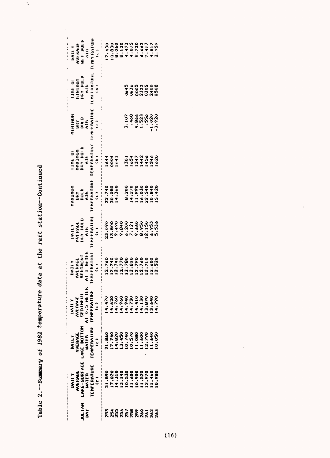Table 2.--Summary of 1982 temperature data at the raft station--Continued

 $\epsilon_{\rm g}$ 

 $\ddot{\phantom{0}}$ 

| <b>TEMPERATURE</b><br><b>IMILY</b><br>AVEKAGE<br>WET BULB<br>AIK<br>TIME UI<br>MINIMUM<br>IIRY HULB<br>AIR<br>TEMIERATURE<br>TEMIERATURE<br>Minimum<br>Inky<br>Hulb<br>Hulb<br>Aik | 7.430                      | 10.830           | 0.130 |       |                            |          |  | $4.018$<br>$4.018$<br>$5.016$<br>$6.017$<br>$6.017$<br>$7.017$<br>$7.017$<br>$7.017$<br>$7.017$<br>$7.017$<br>$5.483880$<br>$-4.893880$<br>$-4.89380$<br>$-1.6930$<br>$-1.6930$<br>$-1.6930$<br>$-1.6930$ |
|------------------------------------------------------------------------------------------------------------------------------------------------------------------------------------|----------------------------|------------------|-------|-------|----------------------------|----------|--|-----------------------------------------------------------------------------------------------------------------------------------------------------------------------------------------------------------|
| TEMPERATURI <sup>.</sup><br>Ch)<br><b>ITHE OF</b><br>MAXIMUM<br>EIKY HUI B<br>CIK                                                                                                  | 1644<br>0004<br>1641       |                  |       |       |                            |          |  | 1301<br>1412<br>1412<br>1414                                                                                                                                                                              |
| <b>TENFERATURE</b><br>MOXINUM<br><b>HELE</b><br>RULB<br>$\ddot{\cdot}$                                                                                                             | 32.740<br>20.080<br>14.360 |                  |       |       | 8.200<br>14.270<br>11.990  |          |  | $\frac{16.030}{22.540}$                                                                                                                                                                                   |
| <b>TEM-ERAIURE</b><br>AVERAGE<br>LIKY HULB<br>AIK<br><b>IIAILY</b><br>$\hat{L}$                                                                                                    | 23.090                     | 13.800           | 9.840 | 6.200 |                            |          |  | $7.121$<br>$9.660$<br>$0.950$<br>$0.150$                                                                                                                                                                  |
| SEDINENT<br>AT 1 METER<br><b>LM-ERATURI</b><br><b>AVLKAGE</b><br>INAILY<br>$\ddot{c}$                                                                                              | 12.760                     |                  |       |       |                            |          |  |                                                                                                                                                                                                           |
| AVERAGE<br>Lake-Bottom Sediment<br>Water at 0.5 Melk<br>Temperature Temperature<br><b>MINU</b>                                                                                     | 14.470                     | 14.620           | 4.960 | 9.940 | 4.730                      | $-4.410$ |  | 14.130<br>13.870                                                                                                                                                                                          |
| <b>MUNITY</b>                                                                                                                                                                      | 21.860                     | 17.740<br>14.820 | 3.450 |       | $10.740$<br>$10.570$       |          |  | $\begin{array}{c} 11.080 \\ 11.600 \\ 12.790 \end{array}$                                                                                                                                                 |
| NUERAGE NERWEN<br>Lake-Surface Lake-Buttum<br>Water - Water<br>Water - Thorraidr'<br>EMPERATURE<br>DAILY<br>$\hat{\epsilon}$                                                       | 068.12                     | 17.020           |       |       | 13.140<br>10.530<br>11.600 |          |  | $10.900$<br>11.520<br>12.970<br>11.460                                                                                                                                                                    |
| <b>NATIVE</b><br>in                                                                                                                                                                |                            |                  |       |       |                            |          |  |                                                                                                                                                                                                           |

 $\sim$ 

 $\ddot{\phantom{0}}$ 

 $\ddot{\phantom{0}}$ 

 $\ddot{\phantom{0}}$ 

 $\ddot{\phantom{a}}$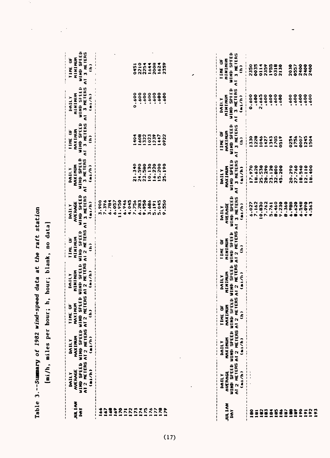**Table 3. Suamary of 1982 wind-speed data at the raft station**  Table 3.--Summary of 1982 wind-speed data at the raft station

'n,

 $\frac{1}{2}$ 

 $\ddot{\phantom{0}}$ 

Ç,

[mi/h, miles per hour; h, hour; blank, no data] **[mi/h, miles per hour; h, hour; blank, no data]**

| <b>ULLIAN</b>                    | AVERAGE<br>WIND SPEED W<br>AT 2 METERS /<br>AN /h)<br><b>INTILY</b> | NAXINUM<br>Wind Speed W<br>AT 2 Neters A<br>A 4 /h)<br><b>DAILY</b> | TIME<br>NAXI<br>NIND<br>AT 2 | ME OF INITY<br>XIMUM MINIMUM<br>D SFEED WIND SFEED W<br>P METERS AT 2 METERS A<br>Ch) | $\hat{\mathbf{z}}$ | <b>TIME OF MAILY</b><br>MINIMUM AVERAGE<br>WIND SFEED WIND SPEED<br>AI 2 METERS AT 3 METERS<br>(m <sub>1</sub> /h) | <b>IATLY</b><br>MAXIMUM<br>MINO SPELD V<br>AT 3 METERS A<br>AT 3 METERS A | IIME OF<br>MAXIMUM<br>Wind Speed<br>AT 3 Meters A<br>AT 3 Meters A | <b>LAILY TIME OF</b><br>D WIND SFEED WINDMM<br>D WIND SFEED WIND SPEED<br>S AT 3 METERS AT 3 METERS<br>S AT 3 METERS AT 3 METERS                                       |  |
|----------------------------------|---------------------------------------------------------------------|---------------------------------------------------------------------|------------------------------|---------------------------------------------------------------------------------------|--------------------|--------------------------------------------------------------------------------------------------------------------|---------------------------------------------------------------------------|--------------------------------------------------------------------|------------------------------------------------------------------------------------------------------------------------------------------------------------------------|--|
|                                  |                                                                     |                                                                     |                              |                                                                                       |                    |                                                                                                                    |                                                                           |                                                                    |                                                                                                                                                                        |  |
|                                  |                                                                     |                                                                     |                              |                                                                                       |                    |                                                                                                                    |                                                                           |                                                                    |                                                                                                                                                                        |  |
|                                  |                                                                     |                                                                     |                              |                                                                                       |                    |                                                                                                                    |                                                                           |                                                                    |                                                                                                                                                                        |  |
|                                  |                                                                     |                                                                     |                              |                                                                                       |                    |                                                                                                                    |                                                                           |                                                                    |                                                                                                                                                                        |  |
|                                  |                                                                     |                                                                     |                              |                                                                                       |                    |                                                                                                                    |                                                                           |                                                                    |                                                                                                                                                                        |  |
|                                  |                                                                     |                                                                     |                              |                                                                                       |                    |                                                                                                                    |                                                                           |                                                                    |                                                                                                                                                                        |  |
|                                  |                                                                     |                                                                     |                              |                                                                                       |                    |                                                                                                                    |                                                                           |                                                                    |                                                                                                                                                                        |  |
|                                  |                                                                     |                                                                     |                              |                                                                                       |                    |                                                                                                                    |                                                                           |                                                                    |                                                                                                                                                                        |  |
| 44444444444444<br>44446666666666 |                                                                     |                                                                     |                              |                                                                                       |                    |                                                                                                                    |                                                                           |                                                                    | 009.6                                                                                                                                                                  |  |
|                                  |                                                                     |                                                                     |                              |                                                                                       |                    |                                                                                                                    |                                                                           |                                                                    |                                                                                                                                                                        |  |
|                                  |                                                                     |                                                                     |                              |                                                                                       |                    |                                                                                                                    |                                                                           |                                                                    |                                                                                                                                                                        |  |
|                                  |                                                                     |                                                                     |                              |                                                                                       |                    |                                                                                                                    |                                                                           |                                                                    |                                                                                                                                                                        |  |
|                                  |                                                                     |                                                                     |                              |                                                                                       |                    |                                                                                                                    |                                                                           |                                                                    |                                                                                                                                                                        |  |
|                                  |                                                                     |                                                                     |                              |                                                                                       |                    |                                                                                                                    | 21.340<br>24.5580<br>24.513000<br>25.22000<br>25.1225.12                  | 2200222<br>22002242<br>22002442                                    | $\begin{smallmatrix} 0 & 0 & 0 & 0 & 0 & 0 \\ 0 & 0 & 0 & 0 & 0 & 0 \\ 0 & 0 & 0 & 0 & 0 & 0 \\ \vdots & \vdots & \vdots & \vdots & \vdots & \vdots \end{smallmatrix}$ |  |
|                                  |                                                                     |                                                                     |                              |                                                                                       |                    |                                                                                                                    |                                                                           |                                                                    |                                                                                                                                                                        |  |

| <b>MILIAN</b><br>DAY | <b>INALLY</b><br>AVERAGE<br>WINI SFEED W<br>WI 2 METERS A<br>AI 2 METERS | IAILY<br>HAXIMUM<br>HIND SFEED N<br>HIND SFEED N<br>HIND SFEED N<br>A NOT NETERS A | <b>METERS</b><br><b>OF</b><br>MUN<br>SFEED<br>TIME<br>MAXI<br>MIND<br>AI 2 | <b>INAILY<br/>MININUM</b><br>WIND SPEED I<br>WIND SPEED I<br>WIND SPEED ING | TIME OF<br>Minimum<br>Wind Sfeed<br>At 2 Meters a<br>At 2 Meters a | IGILY<br>AVERAGE<br>WINN SPEED<br>WI 3 METERS<br>I 3 METERS | DAILY<br>MAXIMUM<br>WIND SPEED<br>WIND SPEED<br>AI 3 METERS 4<br>AI 4 METERS | INE OF<br>WAXIMUM<br>WIND SFEED<br>WI 3 METERS<br>AT 3 METERS                                                                                                                                                                                                                                                 | TATLY<br>HIMINHHHHHHHHH<br>HIMIN SPEED<br>JAI 3 HETERS /<br>JAI 3 HETERS /                                                                                                                                                                                                                                                       | TIME OF<br>MINIMM<br>WIND SPFED<br>WIND SPFED<br>AT 3 METERS<br>AT 3 METERS |
|----------------------|--------------------------------------------------------------------------|------------------------------------------------------------------------------------|----------------------------------------------------------------------------|-----------------------------------------------------------------------------|--------------------------------------------------------------------|-------------------------------------------------------------|------------------------------------------------------------------------------|---------------------------------------------------------------------------------------------------------------------------------------------------------------------------------------------------------------------------------------------------------------------------------------------------------------|----------------------------------------------------------------------------------------------------------------------------------------------------------------------------------------------------------------------------------------------------------------------------------------------------------------------------------|-----------------------------------------------------------------------------|
|                      | $\frac{1}{2}$                                                            |                                                                                    |                                                                            |                                                                             |                                                                    |                                                             |                                                                              | $\begin{array}{c} 1989 \\ 1989 \\ 1999 \\ 1999 \\ 1999 \\ 1999 \\ 1999 \\ 1999 \\ 1999 \\ 1999 \\ 1999 \\ 1999 \\ 1999 \\ 1999 \\ 1999 \\ 1999 \\ 1999 \\ 1999 \\ 1999 \\ 1999 \\ 1999 \\ 1999 \\ 1999 \\ 1999 \\ 1999 \\ 1999 \\ 1999 \\ 1999 \\ 1999 \\ 1999 \\ 1999 \\ 1999 \\ 1999 \\ 1999 \\ 1999 \\ 19$ |                                                                                                                                                                                                                                                                                                                                  |                                                                             |
| 0000000000000000     |                                                                          |                                                                                    |                                                                            |                                                                             |                                                                    |                                                             |                                                                              |                                                                                                                                                                                                                                                                                                               |                                                                                                                                                                                                                                                                                                                                  |                                                                             |
|                      |                                                                          |                                                                                    |                                                                            |                                                                             |                                                                    |                                                             |                                                                              |                                                                                                                                                                                                                                                                                                               |                                                                                                                                                                                                                                                                                                                                  |                                                                             |
|                      |                                                                          |                                                                                    |                                                                            |                                                                             |                                                                    |                                                             |                                                                              |                                                                                                                                                                                                                                                                                                               |                                                                                                                                                                                                                                                                                                                                  |                                                                             |
|                      |                                                                          |                                                                                    |                                                                            |                                                                             |                                                                    |                                                             |                                                                              |                                                                                                                                                                                                                                                                                                               |                                                                                                                                                                                                                                                                                                                                  |                                                                             |
|                      |                                                                          |                                                                                    |                                                                            |                                                                             |                                                                    |                                                             |                                                                              |                                                                                                                                                                                                                                                                                                               |                                                                                                                                                                                                                                                                                                                                  |                                                                             |
|                      |                                                                          |                                                                                    |                                                                            |                                                                             |                                                                    |                                                             |                                                                              |                                                                                                                                                                                                                                                                                                               |                                                                                                                                                                                                                                                                                                                                  |                                                                             |
|                      |                                                                          |                                                                                    |                                                                            |                                                                             |                                                                    |                                                             |                                                                              |                                                                                                                                                                                                                                                                                                               |                                                                                                                                                                                                                                                                                                                                  |                                                                             |
|                      |                                                                          |                                                                                    |                                                                            |                                                                             |                                                                    |                                                             |                                                                              |                                                                                                                                                                                                                                                                                                               |                                                                                                                                                                                                                                                                                                                                  |                                                                             |
|                      |                                                                          |                                                                                    |                                                                            |                                                                             |                                                                    |                                                             |                                                                              |                                                                                                                                                                                                                                                                                                               |                                                                                                                                                                                                                                                                                                                                  |                                                                             |
|                      |                                                                          |                                                                                    |                                                                            |                                                                             |                                                                    |                                                             | 20.290<br>27.740<br>18.540<br>18.110                                         | 0254<br>02607<br>02615045                                                                                                                                                                                                                                                                                     | $\begin{smallmatrix} 0 & 0 & 0 & 0 & 0 \\ 0 & 0 & 0 & 0 & 0 \\ 0 & 0 & 0 & 0 & 0 \\ 0 & 0 & 0 & 0 & 0 \\ 0 & 0 & 0 & 0 & 0 \\ 0 & 0 & 0 & 0 & 0 \\ 0 & 0 & 0 & 0 & 0 \\ 0 & 0 & 0 & 0 & 0 \\ 0 & 0 & 0 & 0 & 0 \\ 0 & 0 & 0 & 0 & 0 \\ 0 & 0 & 0 & 0 & 0 \\ 0 & 0 & 0 & 0 & 0 \\ 0 & 0 & 0 & 0 & 0 \\ 0 & 0 & 0 & 0 & 0 & 0 \\ $ |                                                                             |
|                      |                                                                          |                                                                                    |                                                                            |                                                                             |                                                                    |                                                             |                                                                              |                                                                                                                                                                                                                                                                                                               |                                                                                                                                                                                                                                                                                                                                  |                                                                             |
|                      |                                                                          |                                                                                    |                                                                            |                                                                             |                                                                    |                                                             |                                                                              |                                                                                                                                                                                                                                                                                                               |                                                                                                                                                                                                                                                                                                                                  |                                                                             |
|                      |                                                                          |                                                                                    |                                                                            |                                                                             |                                                                    |                                                             |                                                                              |                                                                                                                                                                                                                                                                                                               |                                                                                                                                                                                                                                                                                                                                  |                                                                             |

-

 $\overline{\phantom{a}}$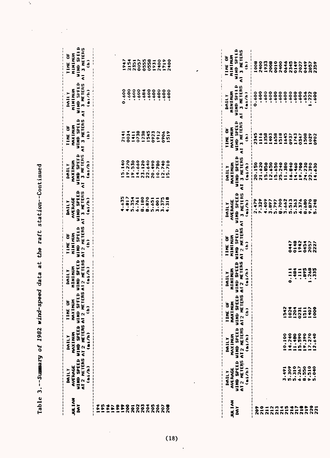Table 3.--Summary of 1982 wind-speed data at the raft station--Continued Table 3.--Summary of 1982 wind-speed data at the raft station--Continued

 $\zeta$ 

 $\hat{\boldsymbol{\beta}}$ 

 $\label{eq:2.1} \frac{1}{\sqrt{2}}\left(\frac{1}{\sqrt{2}}\right)^{2} \frac{1}{\sqrt{2}}\left(\frac{1}{\sqrt{2}}\right)^{2}$ 

| <b>UIND SFEED</b><br>AI 3 METERS<br><b>MIND SPIED</b><br>3 HETERS<br>MINIMUM<br>MININUM<br>TIME OF<br>0057<br>0555<br>0558<br>2400<br>1719<br>2400<br>2154<br>2351<br>1931<br>í<br>$\bar{\epsilon}$<br><b>MIND SPFED</b><br>AT 3 HETERS<br><b>QTHIS GRIM</b><br>AT 3 NETERS<br>MINININ<br>(m <sub>1</sub> /h)<br>0.600<br>.600<br>.600<br>009.<br>.600<br>.684.<br>.600<br>.600<br>009.<br>.600<br>MININUM<br><b>DAILY</b><br><b>UIND SPEED</b><br>AT 3 HETERS<br><b>WIND SPEED</b><br>AT 3 METERS<br>MAXIMUM<br>MAXIMUM<br>TIME OF<br>$\hat{\epsilon}$<br>0738<br>1238<br>1545<br>0034<br>0906<br>1519<br>0923<br>1912<br>2141<br>1411<br><b>WIND SPEED</b><br>3 METERS<br><b>MIND SPEED</b><br>5.140<br>19.270<br>MAXIMUM<br>(n1/n)<br>19.530<br>14.660<br>23.120<br>22.640<br>10.780<br>12.740<br>15.710<br>20.470<br>MAXIMUM<br><b>MAILY</b><br>$\overline{\overline{6}}$<br><b>UTHE SPEED</b><br>3 METERS<br><b>UIND SPEED</b><br>4.635<br>(m) / h<br>4.817<br>8.180<br>8.870<br><b>AVERAGE</b><br>5.354<br>3.375<br>$-318$<br>6.761<br>5.651<br>3.001<br><b>AVERAGE</b><br>unily<br>$\bar{\tilde{\cdot}}$<br>AT 2 HETERS AT<br>METERS AT 2 METERS AT 2 METERS<br>WIND SPEED<br><b>WIND SPEFD</b><br>MININUM<br>MININUM<br>TIME OF<br>$\hat{\epsilon}$<br>SPEED WIND SPEED<br><b>UIND SPEED</b><br>AI2 METERS<br>(n)/h<br>MININUM<br>MININUM<br><b>DAILY</b><br><b>MIND SPEED</b><br><b>HUM</b><br><b>HAXIMUM</b><br>ä<br>⌒<br>MAXI<br>$\epsilon$<br>annn<br>AT 2 METERS AT 2 METERS AT 2<br>TIME<br><b>UIND SPEED</b><br>AT2 METERS AT2 METERS<br><b>WIND SPEED</b><br>MAXIMIN<br>(n)/h<br>MAXIMUM<br><b>NJINU</b><br><b>UIND SPEED</b><br><b>UIND SPEED</b><br>AVERAGE<br>(n)<br><b>AVERAGE</b><br><b>IINILY</b><br>JULIAN<br>ĨW<br>8<br>203<br>$\frac{6}{26}$<br>96<br>$\ddot{\bm{s}}$<br><b>2006</b><br>2006<br>$\frac{2}{3}$<br>$\ddot{\bullet}$<br>561<br>207<br>201<br>ă<br><b>VVII</b> |               |              |                | ă<br><b>TIME</b>                 | <b>UAILY</b> | TIME OF | <b>DAILY</b> | <b>UAILY</b> | TIME OF | <b>IINTI</b> | TIME OF |
|-----------------------------------------------------------------------------------------------------------------------------------------------------------------------------------------------------------------------------------------------------------------------------------------------------------------------------------------------------------------------------------------------------------------------------------------------------------------------------------------------------------------------------------------------------------------------------------------------------------------------------------------------------------------------------------------------------------------------------------------------------------------------------------------------------------------------------------------------------------------------------------------------------------------------------------------------------------------------------------------------------------------------------------------------------------------------------------------------------------------------------------------------------------------------------------------------------------------------------------------------------------------------------------------------------------------------------------------------------------------------------------------------------------------------------------------------------------------------------------------------------------------------------------------------------------------------------------------------------------------------------------------------------------------------------------------------------------------------------------------------------------------------------------------------------------------------------------------------------------------------------------------------------|---------------|--------------|----------------|----------------------------------|--------------|---------|--------------|--------------|---------|--------------|---------|
|                                                                                                                                                                                                                                                                                                                                                                                                                                                                                                                                                                                                                                                                                                                                                                                                                                                                                                                                                                                                                                                                                                                                                                                                                                                                                                                                                                                                                                                                                                                                                                                                                                                                                                                                                                                                                                                                                                     | <b>JULIAN</b> | <b>MAILY</b> | <b>TILAILY</b> |                                  |              |         |              |              |         |              |         |
|                                                                                                                                                                                                                                                                                                                                                                                                                                                                                                                                                                                                                                                                                                                                                                                                                                                                                                                                                                                                                                                                                                                                                                                                                                                                                                                                                                                                                                                                                                                                                                                                                                                                                                                                                                                                                                                                                                     |               |              |                |                                  |              |         |              |              |         |              |         |
|                                                                                                                                                                                                                                                                                                                                                                                                                                                                                                                                                                                                                                                                                                                                                                                                                                                                                                                                                                                                                                                                                                                                                                                                                                                                                                                                                                                                                                                                                                                                                                                                                                                                                                                                                                                                                                                                                                     |               |              |                |                                  |              |         |              |              |         |              |         |
|                                                                                                                                                                                                                                                                                                                                                                                                                                                                                                                                                                                                                                                                                                                                                                                                                                                                                                                                                                                                                                                                                                                                                                                                                                                                                                                                                                                                                                                                                                                                                                                                                                                                                                                                                                                                                                                                                                     |               |              |                |                                  |              |         |              |              |         |              |         |
|                                                                                                                                                                                                                                                                                                                                                                                                                                                                                                                                                                                                                                                                                                                                                                                                                                                                                                                                                                                                                                                                                                                                                                                                                                                                                                                                                                                                                                                                                                                                                                                                                                                                                                                                                                                                                                                                                                     |               |              |                |                                  |              |         |              |              |         |              |         |
|                                                                                                                                                                                                                                                                                                                                                                                                                                                                                                                                                                                                                                                                                                                                                                                                                                                                                                                                                                                                                                                                                                                                                                                                                                                                                                                                                                                                                                                                                                                                                                                                                                                                                                                                                                                                                                                                                                     |               |              |                |                                  |              |         |              |              |         |              |         |
|                                                                                                                                                                                                                                                                                                                                                                                                                                                                                                                                                                                                                                                                                                                                                                                                                                                                                                                                                                                                                                                                                                                                                                                                                                                                                                                                                                                                                                                                                                                                                                                                                                                                                                                                                                                                                                                                                                     |               |              |                |                                  |              |         |              |              |         |              |         |
|                                                                                                                                                                                                                                                                                                                                                                                                                                                                                                                                                                                                                                                                                                                                                                                                                                                                                                                                                                                                                                                                                                                                                                                                                                                                                                                                                                                                                                                                                                                                                                                                                                                                                                                                                                                                                                                                                                     |               |              |                |                                  |              |         |              |              |         |              |         |
|                                                                                                                                                                                                                                                                                                                                                                                                                                                                                                                                                                                                                                                                                                                                                                                                                                                                                                                                                                                                                                                                                                                                                                                                                                                                                                                                                                                                                                                                                                                                                                                                                                                                                                                                                                                                                                                                                                     |               |              |                |                                  |              |         |              |              |         |              |         |
|                                                                                                                                                                                                                                                                                                                                                                                                                                                                                                                                                                                                                                                                                                                                                                                                                                                                                                                                                                                                                                                                                                                                                                                                                                                                                                                                                                                                                                                                                                                                                                                                                                                                                                                                                                                                                                                                                                     |               |              |                |                                  |              |         |              |              |         |              |         |
|                                                                                                                                                                                                                                                                                                                                                                                                                                                                                                                                                                                                                                                                                                                                                                                                                                                                                                                                                                                                                                                                                                                                                                                                                                                                                                                                                                                                                                                                                                                                                                                                                                                                                                                                                                                                                                                                                                     |               |              |                |                                  |              |         |              |              |         |              |         |
|                                                                                                                                                                                                                                                                                                                                                                                                                                                                                                                                                                                                                                                                                                                                                                                                                                                                                                                                                                                                                                                                                                                                                                                                                                                                                                                                                                                                                                                                                                                                                                                                                                                                                                                                                                                                                                                                                                     |               |              |                |                                  |              |         |              |              |         |              |         |
|                                                                                                                                                                                                                                                                                                                                                                                                                                                                                                                                                                                                                                                                                                                                                                                                                                                                                                                                                                                                                                                                                                                                                                                                                                                                                                                                                                                                                                                                                                                                                                                                                                                                                                                                                                                                                                                                                                     |               |              |                |                                  |              |         |              |              |         |              |         |
|                                                                                                                                                                                                                                                                                                                                                                                                                                                                                                                                                                                                                                                                                                                                                                                                                                                                                                                                                                                                                                                                                                                                                                                                                                                                                                                                                                                                                                                                                                                                                                                                                                                                                                                                                                                                                                                                                                     |               |              |                |                                  |              |         |              |              |         |              |         |
|                                                                                                                                                                                                                                                                                                                                                                                                                                                                                                                                                                                                                                                                                                                                                                                                                                                                                                                                                                                                                                                                                                                                                                                                                                                                                                                                                                                                                                                                                                                                                                                                                                                                                                                                                                                                                                                                                                     |               |              |                |                                  |              |         |              |              |         |              |         |
|                                                                                                                                                                                                                                                                                                                                                                                                                                                                                                                                                                                                                                                                                                                                                                                                                                                                                                                                                                                                                                                                                                                                                                                                                                                                                                                                                                                                                                                                                                                                                                                                                                                                                                                                                                                                                                                                                                     |               |              |                |                                  |              |         |              |              |         |              |         |
|                                                                                                                                                                                                                                                                                                                                                                                                                                                                                                                                                                                                                                                                                                                                                                                                                                                                                                                                                                                                                                                                                                                                                                                                                                                                                                                                                                                                                                                                                                                                                                                                                                                                                                                                                                                                                                                                                                     |               |              |                |                                  |              |         |              |              |         |              |         |
|                                                                                                                                                                                                                                                                                                                                                                                                                                                                                                                                                                                                                                                                                                                                                                                                                                                                                                                                                                                                                                                                                                                                                                                                                                                                                                                                                                                                                                                                                                                                                                                                                                                                                                                                                                                                                                                                                                     |               |              |                |                                  |              |         |              |              |         |              |         |
|                                                                                                                                                                                                                                                                                                                                                                                                                                                                                                                                                                                                                                                                                                                                                                                                                                                                                                                                                                                                                                                                                                                                                                                                                                                                                                                                                                                                                                                                                                                                                                                                                                                                                                                                                                                                                                                                                                     |               |              |                |                                  |              |         |              |              |         |              |         |
|                                                                                                                                                                                                                                                                                                                                                                                                                                                                                                                                                                                                                                                                                                                                                                                                                                                                                                                                                                                                                                                                                                                                                                                                                                                                                                                                                                                                                                                                                                                                                                                                                                                                                                                                                                                                                                                                                                     |               |              |                |                                  |              |         |              |              |         |              |         |
|                                                                                                                                                                                                                                                                                                                                                                                                                                                                                                                                                                                                                                                                                                                                                                                                                                                                                                                                                                                                                                                                                                                                                                                                                                                                                                                                                                                                                                                                                                                                                                                                                                                                                                                                                                                                                                                                                                     |               |              |                |                                  |              |         |              |              |         |              |         |
|                                                                                                                                                                                                                                                                                                                                                                                                                                                                                                                                                                                                                                                                                                                                                                                                                                                                                                                                                                                                                                                                                                                                                                                                                                                                                                                                                                                                                                                                                                                                                                                                                                                                                                                                                                                                                                                                                                     |               |              |                |                                  |              |         |              |              |         |              |         |
|                                                                                                                                                                                                                                                                                                                                                                                                                                                                                                                                                                                                                                                                                                                                                                                                                                                                                                                                                                                                                                                                                                                                                                                                                                                                                                                                                                                                                                                                                                                                                                                                                                                                                                                                                                                                                                                                                                     |               |              |                | <b>ETERS</b><br>E<br>N<br>N<br>N |              |         | 3 HETERS     | AT 3 NETERS  |         |              |         |

| .<br>JULIAN<br>IMY | .<br>IAILY<br>AVERAGE<br>MIND SPEED<br>MI 2 METERS<br>MI 2 METERS                    | <b>DAILY<br/>MAXIMUM</b><br>WIND SPEED<br>WI2 NETERS<br>AI2 NETERS | SPEED<br>ETERS<br>à§<br>TIME<br>MAXIM<br>WIND S<br>WI2 ME<br>AT2 ME | DAILY<br>HININUM<br>HINI SPEED<br>HINI SPEED<br>HT Chi/h) | TIME OF<br>MININUM<br>WIND SPEFD<br>AT 2 METERS /<br>AT 2 METERS / | IAILY<br>Aueraie<br>Winu Speed<br>Winu Speed<br>IT 3 Meters | <b>LAILY<br/>MAXIMUM<br/>ILND SPEED<br/>ILND SPEED<br/>I METERS</b> | TIME OF<br>MAXIMUM<br>WIND SPEED<br>WI 3 METERS<br>WI 3 METERS | DAILY<br>MINIMUM<br>MIND SPILD<br>MIND SPILD<br>T J NETERS<br>(AL/h) | TIME OF<br>MINIMUM<br>WIND SPEED<br>WI 3 METERS<br>WI 3 METERS |
|--------------------|--------------------------------------------------------------------------------------|--------------------------------------------------------------------|---------------------------------------------------------------------|-----------------------------------------------------------|--------------------------------------------------------------------|-------------------------------------------------------------|---------------------------------------------------------------------|----------------------------------------------------------------|----------------------------------------------------------------------|----------------------------------------------------------------|
|                    |                                                                                      |                                                                    |                                                                     |                                                           |                                                                    |                                                             |                                                                     |                                                                |                                                                      |                                                                |
|                    |                                                                                      |                                                                    |                                                                     |                                                           |                                                                    |                                                             |                                                                     |                                                                |                                                                      |                                                                |
|                    |                                                                                      |                                                                    |                                                                     |                                                           |                                                                    |                                                             |                                                                     |                                                                |                                                                      |                                                                |
|                    |                                                                                      |                                                                    |                                                                     |                                                           |                                                                    |                                                             |                                                                     |                                                                |                                                                      |                                                                |
|                    |                                                                                      |                                                                    |                                                                     |                                                           |                                                                    |                                                             |                                                                     |                                                                |                                                                      |                                                                |
|                    |                                                                                      |                                                                    |                                                                     |                                                           |                                                                    |                                                             |                                                                     |                                                                |                                                                      |                                                                |
|                    | $\begin{array}{l} 0.01000 \\ 0.01000 \\ 0.01000 \\ 0.01000 \\ 0.0000 \\ \end{array}$ |                                                                    | 122211000                                                           |                                                           |                                                                    |                                                             |                                                                     |                                                                |                                                                      |                                                                |
|                    |                                                                                      |                                                                    |                                                                     |                                                           |                                                                    |                                                             |                                                                     |                                                                |                                                                      |                                                                |
|                    |                                                                                      |                                                                    |                                                                     |                                                           |                                                                    |                                                             |                                                                     |                                                                |                                                                      |                                                                |
|                    |                                                                                      |                                                                    |                                                                     | $141900$<br>$141000$<br>$14000$                           |                                                                    |                                                             |                                                                     |                                                                |                                                                      |                                                                |
|                    |                                                                                      |                                                                    |                                                                     |                                                           |                                                                    |                                                             |                                                                     |                                                                |                                                                      |                                                                |
|                    |                                                                                      |                                                                    |                                                                     |                                                           |                                                                    |                                                             |                                                                     |                                                                |                                                                      |                                                                |
| SO HOMES SHEPS ON  |                                                                                      |                                                                    |                                                                     |                                                           |                                                                    |                                                             |                                                                     |                                                                |                                                                      |                                                                |

 $\ddot{\phantom{0}}$ 

 $\hat{\mathcal{A}}$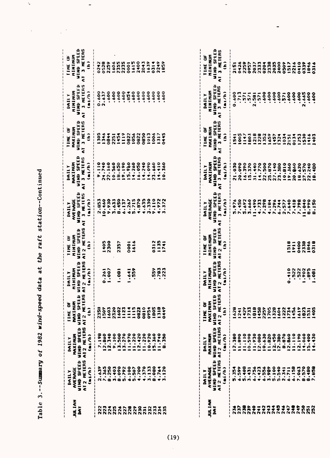Table 3.--Summary of 1982 wind-speed data at the raft station--Continued

 $\ddot{\phantom{a}}$ 

 $\hat{\mathcal{A}}$ 

 $\label{eq:2.1} \frac{1}{\sqrt{2}}\left(\frac{1}{\sqrt{2}}\right)^{2} \left(\frac{1}{\sqrt{2}}\right)^{2} \left(\frac{1}{\sqrt{2}}\right)^{2}$ 

 $\overline{a}$ 

| <b>UALIAN</b><br>EMY                                                        | IAILY<br>AVERAGE<br>WIND SFEED<br>WI 2 METERS<br>AI 2 METERS | <b>WIND SPEED</b><br>A12 METERS<br>(mi/h)<br>MAXIMUM<br><b>M11VI</b> | <b>TIME OF<br/>MAXIMUM</b><br>WIND SPEED<br>WI2 METERS<br>$\hat{a}$ | <b>IGILY<br/>HINIMUM</b><br>WIND SPEED<br>WIZ METERS<br>ATZ METERS | TIME OF<br>Minimum<br>Wind Speeld<br>A1 2 Meters<br>A1 2 Meters | <b>IAILY<br/>AVERAGE<br/>MIND SFEED<br/>MIND SFEED<br/>AIN 3 METRS<br/>AND 3</b> | NAILY<br>HAXINUM<br>WINU SPEED<br>AT 3 METERS<br>AT 3 METERS | TINE OF<br>MAXIMUM<br>WIND SPEED<br>WI 3 NETERS<br>AT 3 NETERS | <b>LAILY</b><br>MININININ<br>WIND SFEED<br>WIND SFEED<br>AT 3 METERS<br>(m)/h | TIME OF<br>MINIMUM<br>WIND SFEED<br>MI 3 METERS<br>AT 3 METERS |
|-----------------------------------------------------------------------------|--------------------------------------------------------------|----------------------------------------------------------------------|---------------------------------------------------------------------|--------------------------------------------------------------------|-----------------------------------------------------------------|----------------------------------------------------------------------------------|--------------------------------------------------------------|----------------------------------------------------------------|-------------------------------------------------------------------------------|----------------------------------------------------------------|
|                                                                             |                                                              |                                                                      |                                                                     |                                                                    |                                                                 |                                                                                  |                                                              |                                                                |                                                                               |                                                                |
|                                                                             |                                                              |                                                                      |                                                                     |                                                                    |                                                                 |                                                                                  |                                                              |                                                                |                                                                               |                                                                |
|                                                                             |                                                              |                                                                      |                                                                     | $1.261$<br>1.007                                                   | 1405                                                            |                                                                                  |                                                              |                                                                |                                                                               |                                                                |
|                                                                             |                                                              |                                                                      |                                                                     |                                                                    |                                                                 |                                                                                  |                                                              |                                                                |                                                                               |                                                                |
|                                                                             |                                                              |                                                                      |                                                                     | $\overline{90}$                                                    | 2357                                                            |                                                                                  |                                                              |                                                                |                                                                               |                                                                |
|                                                                             |                                                              |                                                                      |                                                                     |                                                                    |                                                                 |                                                                                  |                                                              |                                                                |                                                                               |                                                                |
|                                                                             |                                                              |                                                                      |                                                                     |                                                                    |                                                                 |                                                                                  |                                                              |                                                                |                                                                               |                                                                |
|                                                                             |                                                              |                                                                      |                                                                     | 359                                                                | 1901<br>1616                                                    |                                                                                  |                                                              |                                                                |                                                                               |                                                                |
|                                                                             |                                                              |                                                                      |                                                                     |                                                                    |                                                                 |                                                                                  |                                                              |                                                                |                                                                               |                                                                |
|                                                                             |                                                              |                                                                      |                                                                     |                                                                    |                                                                 |                                                                                  |                                                              |                                                                |                                                                               |                                                                |
|                                                                             |                                                              |                                                                      |                                                                     |                                                                    |                                                                 |                                                                                  |                                                              |                                                                |                                                                               |                                                                |
|                                                                             |                                                              |                                                                      |                                                                     |                                                                    |                                                                 |                                                                                  |                                                              |                                                                |                                                                               |                                                                |
|                                                                             |                                                              |                                                                      |                                                                     | 553<br>583<br>522                                                  | D312<br>1135<br>1741                                            |                                                                                  |                                                              |                                                                |                                                                               |                                                                |
| OMER EN ER OF OM TH<br>OO OO OO OO OO OM MAAM<br>OO OO OO OO OO OO OO OO OO |                                                              |                                                                      |                                                                     |                                                                    |                                                                 |                                                                                  | $\ddot{\text{36}}$                                           |                                                                |                                                                               |                                                                |
|                                                                             |                                                              |                                                                      |                                                                     |                                                                    |                                                                 |                                                                                  |                                                              |                                                                |                                                                               |                                                                |

| <b>MITAN</b><br>IAV                                             | DAILY<br>AVERAGE<br>JIND SPEED<br>JIND SPEED<br>NT2 METERS<br>(n)/h | <b>DAILY<br/>MAXINUM</b><br>MIND SPEED<br>MIZ METERS<br>ATZ METERS | <b>SFEED</b><br>IETERS<br>b<br>E<br>TIME<br>NAXI | WIND SPEED<br>AT 2 METERS<br>(bi/h)<br><b>DAILY</b><br>MINIMUM | <b>SHILING</b><br>113145 CNTERS<br>TIME OF<br>MINIMUM<br>$\hat{\boldsymbol{\epsilon}}$ | WIND SPEED<br>NT 3 METERS<br>(mi/h)<br><b>DAILY</b><br>AVERAGE | IND SPEED<br>3 METERS<br><b>DAILY</b><br>MAXIMUM<br>(1/6)<br>ē | <b>AIND SPEED</b><br>[ 3 METERS<br>TIME OF<br>ŝ | <b>NINU SFEELI</b><br>1 3 METERS<br><b>MULLAIR</b><br>$(m_1/n)$ | TIME OF<br>MINIMUM<br>WIND SFEED<br>AI 3 METERS<br>(h) |
|-----------------------------------------------------------------|---------------------------------------------------------------------|--------------------------------------------------------------------|--------------------------------------------------|----------------------------------------------------------------|----------------------------------------------------------------------------------------|----------------------------------------------------------------|----------------------------------------------------------------|-------------------------------------------------|-----------------------------------------------------------------|--------------------------------------------------------|
|                                                                 |                                                                     |                                                                    |                                                  |                                                                |                                                                                        |                                                                |                                                                |                                                 |                                                                 |                                                        |
|                                                                 |                                                                     |                                                                    |                                                  |                                                                |                                                                                        |                                                                |                                                                |                                                 |                                                                 |                                                        |
| SPORATHEDSPORATION<br>MAMMAR TE TE TE DONA<br>MANNANNANNANNANNA |                                                                     |                                                                    |                                                  |                                                                |                                                                                        |                                                                |                                                                | 120728202077772020777                           |                                                                 |                                                        |
|                                                                 |                                                                     |                                                                    |                                                  |                                                                |                                                                                        |                                                                |                                                                |                                                 |                                                                 |                                                        |
|                                                                 |                                                                     |                                                                    |                                                  |                                                                |                                                                                        |                                                                |                                                                |                                                 |                                                                 |                                                        |
|                                                                 |                                                                     |                                                                    |                                                  |                                                                |                                                                                        |                                                                |                                                                |                                                 |                                                                 |                                                        |
|                                                                 |                                                                     |                                                                    |                                                  |                                                                |                                                                                        |                                                                |                                                                |                                                 |                                                                 |                                                        |
|                                                                 |                                                                     |                                                                    |                                                  |                                                                |                                                                                        |                                                                |                                                                |                                                 |                                                                 |                                                        |
|                                                                 |                                                                     |                                                                    |                                                  |                                                                |                                                                                        |                                                                |                                                                |                                                 |                                                                 |                                                        |
|                                                                 |                                                                     |                                                                    |                                                  |                                                                |                                                                                        |                                                                |                                                                |                                                 |                                                                 |                                                        |
|                                                                 |                                                                     |                                                                    |                                                  |                                                                |                                                                                        |                                                                |                                                                |                                                 |                                                                 |                                                        |
|                                                                 |                                                                     |                                                                    |                                                  |                                                                |                                                                                        |                                                                |                                                                |                                                 |                                                                 |                                                        |
|                                                                 |                                                                     |                                                                    |                                                  |                                                                | 1518<br>1910844<br>1913844<br>1913                                                     |                                                                |                                                                |                                                 |                                                                 |                                                        |
|                                                                 |                                                                     |                                                                    |                                                  |                                                                |                                                                                        |                                                                |                                                                |                                                 |                                                                 |                                                        |
|                                                                 |                                                                     |                                                                    |                                                  |                                                                |                                                                                        |                                                                |                                                                |                                                 |                                                                 |                                                        |
|                                                                 |                                                                     |                                                                    |                                                  |                                                                |                                                                                        |                                                                |                                                                |                                                 |                                                                 |                                                        |
|                                                                 |                                                                     |                                                                    |                                                  |                                                                |                                                                                        |                                                                |                                                                |                                                 | 5.3000                                                          |                                                        |

 $\ddot{\phantom{0}}$ 

 $\overline{a}$ 

 $\ddot{\phantom{0}}$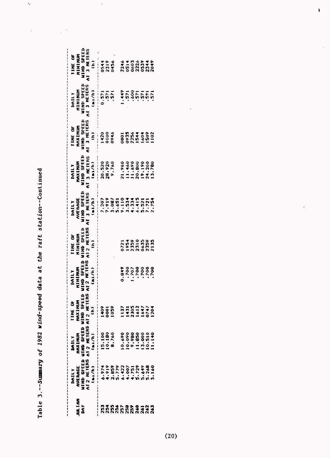Table 3.--Summary of 1982 wind-speed data at the raft station--Continued Table 3.--Summary of 1982 wind-speed data at the raft station--Continued

 $\ddot{\mathbf{z}}$ 

 $\hat{\boldsymbol{\beta}}$ 

 $\frac{1}{2} \left( \frac{1}{2} \right)^2$ 

|                                            |           | à Ş                                                               | <b>MILY</b>                                                                  |                                                              | <b>VAILY</b>                                        |                                                                                                      |                                                                |                                                             |                                                               |
|--------------------------------------------|-----------|-------------------------------------------------------------------|------------------------------------------------------------------------------|--------------------------------------------------------------|-----------------------------------------------------|------------------------------------------------------------------------------------------------------|----------------------------------------------------------------|-------------------------------------------------------------|---------------------------------------------------------------|
| <b>HULIAN</b><br>DAY                       |           | <b>SPEED</b><br>KETERS<br>TIME<br>MAXIN<br>MIND<br>CI 2 M<br>CL 2 | MININUM<br>Uind Speed<br>Aiz Meters<br>Aiz Meters                            | TIME OF<br>MINIMUM<br>WIND SPEED<br>MI2 METERS<br>AI2 METERS | AVERAGE<br>Wind Speed<br>At 3 Meters<br>At 3 Meters | <b>IMILY</b><br>MAXIMUM<br>WIND SPEED<br>VI 3 METERS<br>VI 3 METERS                                  | TIME OF<br>MAXIMUM<br>WIND SPEED<br>WI 3 METERS<br>AT 3 METERS | IMILY<br>MININUM<br>WINI SPEED<br>WINI SPEED<br>NI J METERS | TIME OF<br>HINIMUM<br>HIND SPEED<br>HIND SPEED<br>OT 3 METERS |
|                                            | ${\bf A}$ |                                                                   |                                                                              |                                                              |                                                     |                                                                                                      |                                                                | (n/6)                                                       | $\ddot{•}$                                                    |
|                                            |           | 14005                                                             |                                                                              |                                                              |                                                     |                                                                                                      | 1420<br>0100<br>0946                                           | $0.571$<br>$.571$<br>$.571$                                 |                                                               |
|                                            |           |                                                                   |                                                                              |                                                              |                                                     | $20.520$<br>$28.920$<br>9.760                                                                        |                                                                |                                                             | 0544<br>2319<br>0456                                          |
|                                            |           |                                                                   |                                                                              |                                                              |                                                     |                                                                                                      |                                                                |                                                             |                                                               |
|                                            |           |                                                                   |                                                                              |                                                              |                                                     |                                                                                                      |                                                                |                                                             |                                                               |
|                                            |           |                                                                   |                                                                              |                                                              |                                                     | 096'17                                                                                               |                                                                |                                                             |                                                               |
|                                            |           |                                                                   |                                                                              |                                                              |                                                     |                                                                                                      |                                                                |                                                             |                                                               |
|                                            |           |                                                                   |                                                                              |                                                              |                                                     |                                                                                                      |                                                                |                                                             |                                                               |
|                                            |           |                                                                   | $\begin{array}{c} 0.000000 \\ 0.000000 \\ 0.00000 \\ 0.00000 \\ \end{array}$ | 721<br>1955<br>1955<br>20555<br>20555                        |                                                     | $\begin{array}{l} 11.460 \\ 11.690 \\ 20.800 \\ 19.190 \\ 19.200 \\ 24.200 \\ 24.780 \\ \end{array}$ | 0801<br>022544666<br>022546666<br>15001<br>15001               |                                                             | 214<br>05133844<br>06223844<br>0623382                        |
|                                            |           |                                                                   |                                                                              |                                                              |                                                     |                                                                                                      |                                                                |                                                             |                                                               |
|                                            |           |                                                                   |                                                                              |                                                              |                                                     |                                                                                                      |                                                                |                                                             |                                                               |
| 2122222232323<br>22232333344<br>2223334234 |           | 1783358                                                           |                                                                              |                                                              |                                                     |                                                                                                      |                                                                |                                                             |                                                               |

 $\pmb{\mathfrak{z}}$ 

 $\ddot{\phantom{0}}$ 

 $\ddot{\phantom{a}}$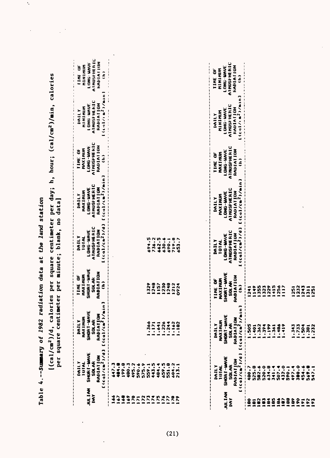Table 4.--Summary of 1982 radiation data at the land station **Table 4. Suamary of 1982 radiation data at the land station**

 $\ddot{\phantom{0}}$ 

 $\ddot{\phantom{a}}$ 

**[(cal/cm2 )/d, calories per square centimeter per day; h, hour; (cal/cm2 )/min, calories**  [(cal/cm<sup>2</sup>)/d, calories per square centimeter per day; h, hour; (cal/cm<sup>2</sup>)/min, calories<br>per square centimeter per minute; blank, no data] **per square centimeter per minute; blank, no data]**

 $\bar{\zeta}$ 

 $\ddot{\phantom{0}}$ 

| <b>HAT I VAN</b><br>INAY | MALLY<br>IOTAL<br>SHOKT-WAVE<br>SHOKT-WAVE<br>SOLAR<br>RADIATION<br>RADIATION | <u>្ត</u> ្រ<br>MALY<br>MAXIMUM<br>SHORT-WAVE<br>SOLAR<br>SOLAR<br>RABIATION<br>RABIATION | SHURT-UAVE<br>RADIATION<br>MAXIMUM<br>TIME OF<br><b>SULAR</b><br>$\hat{\epsilon}$ | LONG-WAVE<br>ATMUSPHERIC<br>RADIATION<br>ECG1/CG <sup>2</sup> 7/d]<br><b>MILY</b><br>IOIAL | <b>RADIATION<br/>[(cal/cm<sup>2</sup>)/min]</b><br>ATMUSHHERIC<br><b>LONG-UAVE</b><br>MAXIMUM<br><b>INTILY</b> | <b>ATMOSPHERIC</b><br><b>RADIATION</b><br>LONG-UNNE<br>TIME OF<br>MAXIMUM<br>$\hat{a}$ | $RABIATION$<br>((al/(m <sup>2</sup> )/man<br><b>ATHOSPHERIC</b><br>LONG-WAVE<br>MINININ<br><b>MAILY</b> | <b>ATHUSFHERIC</b><br><b>KANTATION</b><br>LONG- WAVE<br>TIME OF<br>$\hat{\epsilon}$ |
|--------------------------|-------------------------------------------------------------------------------|-------------------------------------------------------------------------------------------|-----------------------------------------------------------------------------------|--------------------------------------------------------------------------------------------|----------------------------------------------------------------------------------------------------------------|----------------------------------------------------------------------------------------|---------------------------------------------------------------------------------------------------------|-------------------------------------------------------------------------------------|
|                          |                                                                               |                                                                                           |                                                                                   |                                                                                            |                                                                                                                |                                                                                        |                                                                                                         |                                                                                     |
|                          |                                                                               |                                                                                           |                                                                                   |                                                                                            |                                                                                                                |                                                                                        |                                                                                                         |                                                                                     |
|                          |                                                                               |                                                                                           |                                                                                   |                                                                                            |                                                                                                                |                                                                                        |                                                                                                         |                                                                                     |
|                          |                                                                               |                                                                                           |                                                                                   |                                                                                            |                                                                                                                |                                                                                        |                                                                                                         |                                                                                     |
|                          |                                                                               |                                                                                           |                                                                                   |                                                                                            |                                                                                                                |                                                                                        |                                                                                                         |                                                                                     |
|                          |                                                                               |                                                                                           |                                                                                   |                                                                                            |                                                                                                                |                                                                                        |                                                                                                         |                                                                                     |
|                          |                                                                               |                                                                                           |                                                                                   |                                                                                            |                                                                                                                |                                                                                        |                                                                                                         |                                                                                     |
|                          |                                                                               |                                                                                           |                                                                                   |                                                                                            |                                                                                                                |                                                                                        |                                                                                                         |                                                                                     |
|                          |                                                                               |                                                                                           | 1329<br>1248                                                                      |                                                                                            |                                                                                                                |                                                                                        |                                                                                                         |                                                                                     |
|                          |                                                                               | $5777792$<br>$7777792$                                                                    |                                                                                   | $67.499970$<br>$79.499970$<br>$79.499970$<br>$79.59970$<br>$79.59970$                      |                                                                                                                |                                                                                        |                                                                                                         |                                                                                     |
|                          |                                                                               |                                                                                           |                                                                                   |                                                                                            |                                                                                                                |                                                                                        |                                                                                                         |                                                                                     |
|                          |                                                                               |                                                                                           |                                                                                   |                                                                                            |                                                                                                                |                                                                                        |                                                                                                         |                                                                                     |
|                          |                                                                               |                                                                                           | 1578824                                                                           |                                                                                            |                                                                                                                |                                                                                        |                                                                                                         |                                                                                     |
|                          |                                                                               |                                                                                           |                                                                                   |                                                                                            |                                                                                                                |                                                                                        |                                                                                                         |                                                                                     |

|                 |                                                                                                                                                                                                                                          |                                                                                                                                                                                                                                                           |                                                 |                                                                                         | <b>MILY</b>                                                                        |                                   | <b>M11VII</b>                                                                     |                                                |
|-----------------|------------------------------------------------------------------------------------------------------------------------------------------------------------------------------------------------------------------------------------------|-----------------------------------------------------------------------------------------------------------------------------------------------------------------------------------------------------------------------------------------------------------|-------------------------------------------------|-----------------------------------------------------------------------------------------|------------------------------------------------------------------------------------|-----------------------------------|-----------------------------------------------------------------------------------|------------------------------------------------|
|                 |                                                                                                                                                                                                                                          |                                                                                                                                                                                                                                                           | TIME OF<br>MAXIMUM                              |                                                                                         |                                                                                    |                                   |                                                                                   |                                                |
|                 |                                                                                                                                                                                                                                          |                                                                                                                                                                                                                                                           |                                                 |                                                                                         |                                                                                    | TIME OF<br>MAXIMUM<br>LONG-UAVE   |                                                                                   | TIME OF<br>MINIMUM<br>LONG-WAVE<br>ATMOSFHERIC |
| <b>NATION</b>   |                                                                                                                                                                                                                                          |                                                                                                                                                                                                                                                           |                                                 |                                                                                         |                                                                                    |                                   |                                                                                   |                                                |
|                 |                                                                                                                                                                                                                                          |                                                                                                                                                                                                                                                           |                                                 | <b>DAILY<br/>LONG-WAVE<br/>ANG-WAVE<br/>ANGS-WAVE<br/>ANGS-WATERIC<br/>ANGS-WATERIC</b> | MAXINUM<br>LONG-MAVE<br>ATNOSFHERIC A<br>FALIATION<br>ECCLE <sup>2</sup> /ALIATION | ATMOSPHEKIC<br>KADJATION<br>I (h) | MINIMIN<br>LONG-WAVE<br>ATMOSFHERIC A<br>KADIATION<br>LICAL/LA <sup>2</sup> >/WAD | RADIATION                                      |
|                 | VALLY<br>SHORE HAVE<br>SHORE HAVE<br>CROBER 1997-0<br>CROBER 1997-0<br>SHORE SHORE SHORE SHORE SHORE SHORE SHORE SHORE SHORE SHORE SHORE SHORE SHORE SHORE SHORE SHORE SHORE SHORE SHORE SHORE SHORE SHORE SHORE SHORE SHORE SHORE SHORE | Ş<br>NAILY<br>SHATHUN<br>SHATHAVE<br>SHATHAVE<br>SHATHAVE<br>CONTING THE SHATHAVE<br>CONTING THE SHATHAVE<br>CONTING THE SHATHAVE<br>CONTING THE SHATHAVE<br>CONTING THE SHATHAVE<br>CONTING THE SHATHAVE<br>CONTING THE SHATHAVE<br>CONTING THE SHATHAVE | SHORT-WAVE<br>SOLAK<br>RADIA FIDN<br>RADIA FIDN |                                                                                         |                                                                                    |                                   |                                                                                   |                                                |
| $\frac{18}{18}$ |                                                                                                                                                                                                                                          |                                                                                                                                                                                                                                                           | 1241                                            |                                                                                         |                                                                                    |                                   |                                                                                   |                                                |
|                 |                                                                                                                                                                                                                                          |                                                                                                                                                                                                                                                           | $\ddot{ }$                                      |                                                                                         |                                                                                    |                                   |                                                                                   |                                                |
|                 |                                                                                                                                                                                                                                          |                                                                                                                                                                                                                                                           |                                                 |                                                                                         |                                                                                    |                                   |                                                                                   |                                                |
| =============== |                                                                                                                                                                                                                                          |                                                                                                                                                                                                                                                           | 1355<br>1323<br>1229                            |                                                                                         |                                                                                    |                                   |                                                                                   |                                                |
|                 |                                                                                                                                                                                                                                          |                                                                                                                                                                                                                                                           |                                                 |                                                                                         |                                                                                    |                                   |                                                                                   |                                                |
|                 |                                                                                                                                                                                                                                          |                                                                                                                                                                                                                                                           | 1415<br>1256<br>1117                            |                                                                                         |                                                                                    |                                   |                                                                                   |                                                |
|                 |                                                                                                                                                                                                                                          |                                                                                                                                                                                                                                                           |                                                 |                                                                                         |                                                                                    |                                   |                                                                                   |                                                |
|                 |                                                                                                                                                                                                                                          |                                                                                                                                                                                                                                                           |                                                 |                                                                                         |                                                                                    |                                   |                                                                                   |                                                |
|                 |                                                                                                                                                                                                                                          |                                                                                                                                                                                                                                                           |                                                 |                                                                                         |                                                                                    |                                   |                                                                                   |                                                |
|                 |                                                                                                                                                                                                                                          |                                                                                                                                                                                                                                                           |                                                 |                                                                                         |                                                                                    |                                   |                                                                                   |                                                |
|                 |                                                                                                                                                                                                                                          |                                                                                                                                                                                                                                                           |                                                 |                                                                                         |                                                                                    |                                   |                                                                                   |                                                |
|                 |                                                                                                                                                                                                                                          |                                                                                                                                                                                                                                                           |                                                 |                                                                                         |                                                                                    |                                   |                                                                                   |                                                |
|                 |                                                                                                                                                                                                                                          |                                                                                                                                                                                                                                                           | <b>2321221</b>                                  |                                                                                         |                                                                                    |                                   |                                                                                   |                                                |
|                 |                                                                                                                                                                                                                                          |                                                                                                                                                                                                                                                           |                                                 |                                                                                         |                                                                                    |                                   |                                                                                   |                                                |

 $\overline{\phantom{a}}$ 

 $\ddot{\phantom{0}}$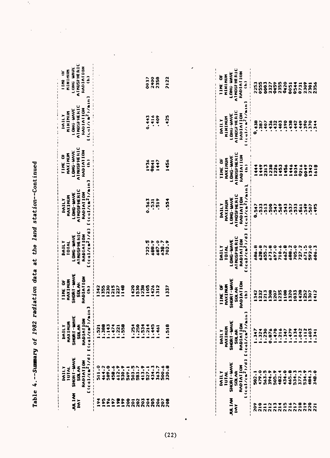Table 4.--Summary of 1982 radiation data at the land station--Continued

 $\ddot{\phantom{0}}$ 

 $\ddot{\phantom{a}}$ 

 $\ddot{\phantom{0}}$ 

 $\ddot{\phantom{0}}$ 

| <b>MAINU</b><br><b>TVII</b> | <b>SHORT-WAVE</b><br>RADIATION<br><b>SOLAR</b><br><b>MINI</b><br>101AL | SHURT-WAVE<br><b>RADIATION</b><br>MAXIMUM<br>SUL AK<br><b>MILN</b> | SHORT-WAVE<br>RADIATION<br>MAXIMUM<br><b>DE OF</b><br><b>SOLAK</b> | <b>ATHOSPHERIC</b><br>RADIATION<br><b>LONG-WAVE</b><br><b>TOTAL</b><br><b>VILAI</b> | <b>ATMOSFIKERIC</b><br><b>RADIATION</b><br><b>TOMO-MUST</b><br>MAXIMUM<br><b>TTUVII</b> | ATMOSFHERIC<br><b>KALIATION</b><br>LONG-UNOJ<br>HONINUM<br><b>DE OF</b> | <b>AIMOSFIERIC</b><br><b>KAILATION</b><br><b>I ONI: UND I</b><br>ESINITI<br>T<br><b>N 11VII</b> | ATMUSHHERIC<br><b>RADIATION</b><br>LONG UNDE<br>エラニエニエ<br><b>STAFF</b> |
|-----------------------------|------------------------------------------------------------------------|--------------------------------------------------------------------|--------------------------------------------------------------------|-------------------------------------------------------------------------------------|-----------------------------------------------------------------------------------------|-------------------------------------------------------------------------|-------------------------------------------------------------------------------------------------|------------------------------------------------------------------------|
|                             | $[(c4)(c_1)^2]$                                                        | Coin#<br>$l$ (col/cm <sup>2</sup> )/                               | $\hat{\boldsymbol{\epsilon}}$                                      | $(c_0)/cn^2$ )/d]                                                                   | (cu)/ca <sup>2</sup> )/ain                                                              | $\hat{\epsilon}$                                                        | $[(1,1)/n^2)/n(n]$                                                                              | $\hat{\epsilon}$                                                       |
| 194                         | $\frac{0}{2}$                                                          | 1.521                                                              | 342                                                                |                                                                                     |                                                                                         |                                                                         | ţ                                                                                               |                                                                        |
| 195                         | 464.2                                                                  | .388                                                               | 355                                                                |                                                                                     |                                                                                         |                                                                         |                                                                                                 |                                                                        |
| 96                          | 589.0                                                                  | .143                                                               | 230                                                                |                                                                                     |                                                                                         |                                                                         |                                                                                                 |                                                                        |
| <b>Sol</b>                  | 458.6                                                                  | .474                                                               | 215                                                                |                                                                                     |                                                                                         |                                                                         |                                                                                                 |                                                                        |
| 198                         | 612.9                                                                  | .221<br>œ                                                          | 227                                                                |                                                                                     |                                                                                         |                                                                         |                                                                                                 |                                                                        |
| 50 <sup>o</sup>             | 530.9                                                                  | .558                                                               | 148                                                                |                                                                                     |                                                                                         |                                                                         |                                                                                                 |                                                                        |
| $\frac{8}{2}$               | 569.1                                                                  |                                                                    |                                                                    |                                                                                     |                                                                                         |                                                                         |                                                                                                 |                                                                        |
| $\overline{201}$            | 5.505                                                                  | 254<br>$\bullet$<br>۰                                              | 420                                                                |                                                                                     |                                                                                         |                                                                         |                                                                                                 |                                                                        |
| 202                         | 583.7                                                                  | .250                                                               | 530                                                                |                                                                                     |                                                                                         |                                                                         |                                                                                                 |                                                                        |
| 203                         | 413.9                                                                  | .531                                                               | 238                                                                |                                                                                     |                                                                                         |                                                                         |                                                                                                 |                                                                        |
| $\frac{3}{2}$               | 527.1                                                                  | .214                                                               | 105                                                                | 722.5                                                                               | 0.563                                                                                   | 1436                                                                    | 0.443                                                                                           | 0037                                                                   |
| 205                         | $-1.1$                                                                 | .445                                                               | 426                                                                | 688.9                                                                               | $-531$                                                                                  | <b>CHAO</b>                                                             | .416                                                                                            | 2400                                                                   |
| 206                         | 363.7                                                                  | $\ddot{\bullet}$                                                   | 312                                                                | 687.0                                                                               | .519                                                                                    | 1447                                                                    | .409                                                                                            | 2358                                                                   |
| 207                         | 500.6                                                                  |                                                                    |                                                                    | 630.7                                                                               |                                                                                         |                                                                         |                                                                                                 |                                                                        |
| ខ្លឹ                        | 320.8                                                                  | $\frac{8}{2}$                                                      | 337                                                                | 702.9                                                                               | 554                                                                                     | 456                                                                     | .425                                                                                            | 2122                                                                   |
|                             |                                                                        |                                                                    |                                                                    |                                                                                     |                                                                                         |                                                                         |                                                                                                 |                                                                        |
|                             |                                                                        |                                                                    |                                                                    |                                                                                     |                                                                                         |                                                                         |                                                                                                 |                                                                        |
|                             |                                                                        |                                                                    |                                                                    |                                                                                     |                                                                                         |                                                                         |                                                                                                 |                                                                        |
|                             | <b>MUNITA</b>                                                          | <b>DAILY</b>                                                       | TIME OF                                                            | <b>MILY</b>                                                                         | <b>IMMILY</b>                                                                           | TIME OF                                                                 | <b>CIN TILY</b>                                                                                 | ð<br>1 I ME                                                            |
|                             | <b>ININI</b>                                                           | MAXIMUM                                                            | MAXIMUM                                                            | TOTAL                                                                               | MAXINUM                                                                                 | MAXIMUM                                                                 | <b>HININIA</b>                                                                                  | LONG HAVE<br>MINIMUM                                                   |
| <b>JULIAN</b><br>Š          | SHORT-WAVE<br>SOL AR                                                   | SHORT-WAVE<br><b>SOLAR</b>                                         | SHORT-WAVE<br><b>SOLAR</b>                                         | <b>AT MOSPHERIC</b><br><b>TONC-AVAL</b>                                             | <b>ATHOSFHERIC</b><br><b>TOMO-MUNE</b>                                                  | <b>AIMOSPHERIC</b><br>LONG-WAVE                                         | ATHOSPHERIC<br><b>LONG-UNDI</b>                                                                 | ATHOSPHERIC                                                            |
|                             |                                                                        |                                                                    | RADIATION                                                          | RADIATION                                                                           | <b>KALIATION</b>                                                                        | <b>KOI I ALIATI</b>                                                     | <b>KAILATION</b>                                                                                | <b>KALIATIN</b>                                                        |
|                             | RADIATION<br>L(cal/cm <sup>2</sup> )/d]                                | d <sub>1</sub><br><b>RADIATION</b><br>Eleal/cm <sup>2</sup> )/m    | $\hat{\boldsymbol{\epsilon}}$                                      | $[(cq]/cn^2)/d]$                                                                    | [(cul/cm <sup>2</sup> )/min]                                                            | $\hat{\mathbf{z}}$                                                      | $1 (1 1 / 1 - 2) / 2$                                                                           | $\hat{\epsilon}$                                                       |
| 209                         | 502.1                                                                  | 1.347                                                              | 342                                                                | 686.8                                                                               | 0.547                                                                                   | <b>T<br/>T</b>                                                          | 0.438                                                                                           | 2253                                                                   |
| 210                         | 479.0                                                                  | .324                                                               | 232                                                                | 628.8                                                                               | .533                                                                                    | 149                                                                     | .387                                                                                            | 0555                                                                   |
| 211                         | ร.<br>ระ                                                               | $-230$<br>œ                                                        | 213                                                                | 655.2                                                                               | .513                                                                                    | 2313                                                                    | $\ddot{\bullet}$                                                                                | 0003                                                                   |
| 212                         | 394.9                                                                  | 0.876                                                              | 308                                                                | 673.8                                                                               | .500                                                                                    | 1238                                                                    | .436                                                                                            | 2327                                                                   |
| 213                         | 505.9                                                                  | $-470$<br>$\blacksquare$                                           | 207                                                                | 697.0                                                                               | 547                                                                                     | 1226                                                                    | 432                                                                                             | \$9                                                                    |
| 214                         | 482.4                                                                  | .216                                                               | 235                                                                | 710.6                                                                               | .569                                                                                    | 1453                                                                    | .403                                                                                            | 2355                                                                   |
| 215                         | $-2.50$                                                                | .347                                                               | 108                                                                | 662.8                                                                               | .543                                                                                    | 1456                                                                    | .390                                                                                            | 0420                                                                   |
| 216                         | 465.8                                                                  | 64.                                                                | 320                                                                | 688.2                                                                               | .537                                                                                    | 144                                                                     | -438                                                                                            | 0051                                                                   |
| <b>218</b>                  | 534.3                                                                  | .134                                                               | 53                                                                 | 205.0                                                                               | .533                                                                                    | 1034                                                                    | .442                                                                                            | 0544                                                                   |
| 219                         | 377.3<br>534.9                                                         | .042                                                               | 428<br>252                                                         | 727.2                                                                               | .561                                                                                    | 0216                                                                    | 449                                                                                             | 2309<br>0731                                                           |
|                             | 18.3                                                                   | $\frac{1}{2}$                                                      | 307                                                                | 671.5                                                                               | \$49                                                                                    | <b>8400</b>                                                             | 390                                                                                             | 2301                                                                   |
| 220<br>221                  | 348.0                                                                  | .603<br>$\ddot{\bullet}$<br>ņ                                      | 412                                                                | 592.0<br>606.3                                                                      | .507                                                                                    | 1342                                                                    | 370<br>344                                                                                      | 2356                                                                   |
|                             |                                                                        |                                                                    |                                                                    |                                                                                     | .495                                                                                    | 1618                                                                    |                                                                                                 |                                                                        |

 $(22)$  $\ddot{\phantom{a}}$ 

l.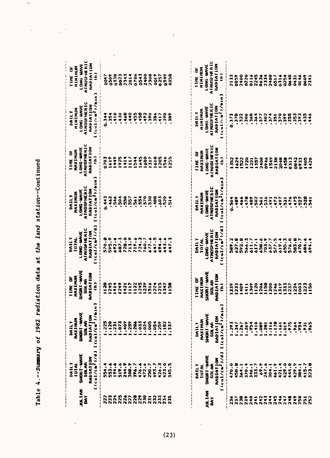Table 4. -- Summary of 1982 radiation data at the land station--Continued

 $\ddot{\phantom{0}}$ 

 $\zeta$ 

 $\ddot{\phantom{0}}$ 

 $\ddot{\phantom{0}}$ 

l.

| <b>ATHUSFHERIC</b><br>ATNUSFHERIC<br><b>AINTHING</b><br>$\hat{z}$<br>2400<br>0706<br>0543<br>230B<br>0019<br>0549<br>0358<br>0338<br>2343<br>2014<br>0257<br>0509<br>0023<br>0220<br>0116<br>2245<br>0047<br>2400<br>0636<br>2334<br>2400<br>0640<br><b>SPIO</b><br><b>2132</b><br><b>SS00</b><br>0517<br>0316<br>0254<br>5431<br>0609<br>2341<br>ļ<br>[ (c <sub>9</sub> 1/(m <sup>2</sup> )/mn]<br>[(0.101/100)]<br><b>ATMOSPHERIC</b><br>AT MOSPHERIC<br><b>RADIAION</b><br>LONG-UNC<br><b>RAILATION</b><br><b>LONG-UNDE</b><br>MININUM<br>ļ<br>IVA I I.Y<br>.430<br>.440<br>.455<br>.410<br>.468<br>.458<br>.492<br>.390<br>0.344<br>.417<br>.390<br>.354<br>.386<br>389<br>370<br>360<br>399<br>.355<br>, 353<br>56£<br>.435<br>.378<br>306<br>364<br>377<br>402<br>.446<br>0.373<br>322<br>$\vec{v}$<br>351<br>ATMOSPHENIC<br>AINUSIHERIC<br>RADIATION<br><b>LONG-UNOL</b><br><b>I.ONG-WAVE</b><br><b>RADIATION</b><br>MAXIMUM<br><b>UTHE OF</b><br>$\hat{\epsilon}$<br>49<br>925<br>645<br>80 <sub>o</sub><br>618<br>205<br>546<br>255<br>$\hat{\epsilon}$<br><b>703</b><br>1619<br>$\ddot{•}$<br>117<br>544<br>317<br>1720<br>1549<br>2138<br>2048<br>1405<br>552<br>522<br>2400<br>0946<br>1458<br>0313<br>0842<br>1420<br>624<br>1221<br>1357<br>0933<br>$(col/(c_m^2)/min]$<br>[(cal/cm <sup>2</sup> )/min]<br><b>ATHOSPHERIC</b><br><b>ATMOSFHERIC</b><br>RADIATION<br><b>LONG-UANE</b><br><b>RADIATION</b><br>LONG-WAVE<br>MAXINUM<br>570<br>530<br>MAILY<br>0.443<br>.462<br>.546<br>.504<br>550<br>557<br>$\frac{1}{2}$<br>554<br>488<br>603<br>520<br>$\frac{1}{2}$<br>478<br>489<br>.475<br>528<br>$\ddot{\bm{z}}$<br>502<br>.476<br>527<br>000.7<br>$\overline{5}$<br>536<br>491<br>472<br>0.504<br>.497<br>$\overline{3}$<br>.521<br>ц<br>$(c_0)/c_0^2$ )/d]<br>$[(c_0]/c_m^2)/d]$<br><b>ATMOSPHERIC</b><br><b>ATHOSPHERIC</b><br>RADIATION<br>LONG-HAVE<br><b>KADIATION</b><br><b>LONG-WAVE</b><br>728.0<br>713.9<br>570.8<br>595.9<br>719.6<br>724.2<br>677.6<br>647.5<br>692.6<br>687.3<br>760.7<br>694.6<br>643.6<br>n<br>.<br><b>MILY</b><br>627.8<br>592.8<br>576.0<br>589.2<br>658.6<br>703.9<br>637.7<br>577.5<br>583.8<br>TOIAL<br>566.3<br>619.4<br>655.3<br>670.7<br>684.6<br>611.7<br>694.4<br>617.1<br>647<br>┕<br>SHORT-WAVE<br>SHORT-WAVE<br><b>FIADIATION</b><br>RADIATION<br>MAXINUM<br><b>SULAR</b><br><b>UNE OF</b><br><b>SOLAR</b><br>$\hat{\epsilon}$<br>245<br>128<br>1249<br>1117<br>1122<br>239<br>516<br>215<br>342<br>1158<br>120<br>158<br>200<br>245<br>11<br>224<br>$\frac{5}{2}$<br>$\ddot{3}$<br>206<br>246<br>519<br>333<br>223<br>1150<br>339<br>233<br>60<br>237<br>224<br>1003<br>ŝ<br>$\ddot{ }$<br>RADIATION<br>[(cal/cm <sup>2</sup> )/min]<br>$\frac{1}{2}$<br>SHORT-UNVE<br><b>RADIATION</b><br>[(col/cm <sup>2</sup> )/m<br>SHORT-HAVI<br>MAXIMUM<br>SOL AR<br>.409<br>$-259$<br>.225<br>.120<br>.073<br>.286<br>.033<br>.005<br>.259<br>.178<br>$-231$<br>24<br>.182<br>.337<br><b>SOLAR</b><br>$\ddot{ }$<br>$\frac{1}{10}$<br>.054<br><b>E6Z</b><br>.269<br>954<br>.089<br>.281<br>.019<br>.965<br>.347<br>.267<br>.161<br>975<br>964<br>.954<br><b>INTICY</b><br>.931<br>$\frac{1}{1}$<br>$\bullet$<br>$\bullet$<br>$\blacksquare$<br>œ<br>- 1<br>-<br>RADIATION<br>[(cal/cm <sup>2</sup> )/d]<br>RADIATION<br>[(cal/cm <sup>2</sup> )/d]<br>SHORT-UAVE<br>SHURT-WAVE<br><b>SOLAR</b><br>423.0<br>244.9<br>308.9<br>476.6<br>472.6<br>426.3<br>n<br>470.0<br>458.8<br>$\ddot{\cdot}$<br>0.410<br>$\ddot{\cdot}$<br>$\frac{1}{1}$<br>194.6<br>519.6<br>396.7<br>493.7<br>69.9<br>247.6<br>415.7<br>523.8<br>250.7<br><b>SOLAR</b><br>461.9<br>$-1.21$<br>こころ<br>$\frac{1}{26}$<br>333.7<br>304.1<br>$\vec{\cdot}$<br><b>ININ</b><br>$\ddot{\ast}$<br>553.<br>370.4<br>554.<br>$\bullet$<br>ı<br>429.<br>429<br>59<br>545<br><b>MAINL</b><br>JULIAN<br><b>DAY</b><br>225<br>226<br>228<br>229<br>222<br>223<br>224<br>227<br>232<br>233<br>231<br>234<br>$245$<br>$247$<br>n<br>238<br>240<br>$747$<br>$747$<br>$747$<br>244<br>248<br>249<br>250<br>236<br>237<br>239<br>251<br>252<br>Š<br>m<br>, | <b>NTIVII</b> | <b>N11VI</b> | TIME OF | IOIAL<br><b>NTIVU</b> | <b>NTIVA</b> | <b>STILE</b> | <b>TIVILY</b> | TIME OF            |
|------------------------------------------------------------------------------------------------------------------------------------------------------------------------------------------------------------------------------------------------------------------------------------------------------------------------------------------------------------------------------------------------------------------------------------------------------------------------------------------------------------------------------------------------------------------------------------------------------------------------------------------------------------------------------------------------------------------------------------------------------------------------------------------------------------------------------------------------------------------------------------------------------------------------------------------------------------------------------------------------------------------------------------------------------------------------------------------------------------------------------------------------------------------------------------------------------------------------------------------------------------------------------------------------------------------------------------------------------------------------------------------------------------------------------------------------------------------------------------------------------------------------------------------------------------------------------------------------------------------------------------------------------------------------------------------------------------------------------------------------------------------------------------------------------------------------------------------------------------------------------------------------------------------------------------------------------------------------------------------------------------------------------------------------------------------------------------------------------------------------------------------------------------------------------------------------------------------------------------------------------------------------------------------------------------------------------------------------------------------------------------------------------------------------------------------------------------------------------------------------------------------------------------------------------------------------------------------------------------------------------------------------------------------------------------------------------------------------------------------------------------------------------------------------------------------------------------------------------------------------------------------------------------------------------------------------------------------------------------------------------------------------------------------------------------------------------------------------------------------------------------------------------------------------------------------------------------------------------------------------------------------------------------------------------------------------------------------------------------------------------------------------------------------------------------------------------------------------------------------------------------------------------------------------------------------------------------------------------------------------------------------------------------------------------------------------------------------------------------------------------------------------------------------------------------------------------------------------------------------------------------------------------------------------------------------------------------------------------------------------------------------------------------------------------------------|---------------|--------------|---------|-----------------------|--------------|--------------|---------------|--------------------|
|                                                                                                                                                                                                                                                                                                                                                                                                                                                                                                                                                                                                                                                                                                                                                                                                                                                                                                                                                                                                                                                                                                                                                                                                                                                                                                                                                                                                                                                                                                                                                                                                                                                                                                                                                                                                                                                                                                                                                                                                                                                                                                                                                                                                                                                                                                                                                                                                                                                                                                                                                                                                                                                                                                                                                                                                                                                                                                                                                                                                                                                                                                                                                                                                                                                                                                                                                                                                                                                                                                                                                                                                                                                                                                                                                                                                                                                                                                                                                                                                                                                                  | MIOI          | MAXIMUM      | MAXIMUM |                       | MAXIMUM      | MAXIMUM      | MININUM       | <b>ADEIXIE</b>     |
|                                                                                                                                                                                                                                                                                                                                                                                                                                                                                                                                                                                                                                                                                                                                                                                                                                                                                                                                                                                                                                                                                                                                                                                                                                                                                                                                                                                                                                                                                                                                                                                                                                                                                                                                                                                                                                                                                                                                                                                                                                                                                                                                                                                                                                                                                                                                                                                                                                                                                                                                                                                                                                                                                                                                                                                                                                                                                                                                                                                                                                                                                                                                                                                                                                                                                                                                                                                                                                                                                                                                                                                                                                                                                                                                                                                                                                                                                                                                                                                                                                                                  |               |              |         |                       |              |              |               | LONG-WAVE          |
|                                                                                                                                                                                                                                                                                                                                                                                                                                                                                                                                                                                                                                                                                                                                                                                                                                                                                                                                                                                                                                                                                                                                                                                                                                                                                                                                                                                                                                                                                                                                                                                                                                                                                                                                                                                                                                                                                                                                                                                                                                                                                                                                                                                                                                                                                                                                                                                                                                                                                                                                                                                                                                                                                                                                                                                                                                                                                                                                                                                                                                                                                                                                                                                                                                                                                                                                                                                                                                                                                                                                                                                                                                                                                                                                                                                                                                                                                                                                                                                                                                                                  |               |              |         |                       |              |              |               | HOI I VIIDY        |
|                                                                                                                                                                                                                                                                                                                                                                                                                                                                                                                                                                                                                                                                                                                                                                                                                                                                                                                                                                                                                                                                                                                                                                                                                                                                                                                                                                                                                                                                                                                                                                                                                                                                                                                                                                                                                                                                                                                                                                                                                                                                                                                                                                                                                                                                                                                                                                                                                                                                                                                                                                                                                                                                                                                                                                                                                                                                                                                                                                                                                                                                                                                                                                                                                                                                                                                                                                                                                                                                                                                                                                                                                                                                                                                                                                                                                                                                                                                                                                                                                                                                  |               |              |         |                       |              |              |               | $\hat{\mathbf{z}}$ |
|                                                                                                                                                                                                                                                                                                                                                                                                                                                                                                                                                                                                                                                                                                                                                                                                                                                                                                                                                                                                                                                                                                                                                                                                                                                                                                                                                                                                                                                                                                                                                                                                                                                                                                                                                                                                                                                                                                                                                                                                                                                                                                                                                                                                                                                                                                                                                                                                                                                                                                                                                                                                                                                                                                                                                                                                                                                                                                                                                                                                                                                                                                                                                                                                                                                                                                                                                                                                                                                                                                                                                                                                                                                                                                                                                                                                                                                                                                                                                                                                                                                                  |               |              |         |                       |              |              |               |                    |
|                                                                                                                                                                                                                                                                                                                                                                                                                                                                                                                                                                                                                                                                                                                                                                                                                                                                                                                                                                                                                                                                                                                                                                                                                                                                                                                                                                                                                                                                                                                                                                                                                                                                                                                                                                                                                                                                                                                                                                                                                                                                                                                                                                                                                                                                                                                                                                                                                                                                                                                                                                                                                                                                                                                                                                                                                                                                                                                                                                                                                                                                                                                                                                                                                                                                                                                                                                                                                                                                                                                                                                                                                                                                                                                                                                                                                                                                                                                                                                                                                                                                  |               |              |         |                       |              |              |               |                    |
|                                                                                                                                                                                                                                                                                                                                                                                                                                                                                                                                                                                                                                                                                                                                                                                                                                                                                                                                                                                                                                                                                                                                                                                                                                                                                                                                                                                                                                                                                                                                                                                                                                                                                                                                                                                                                                                                                                                                                                                                                                                                                                                                                                                                                                                                                                                                                                                                                                                                                                                                                                                                                                                                                                                                                                                                                                                                                                                                                                                                                                                                                                                                                                                                                                                                                                                                                                                                                                                                                                                                                                                                                                                                                                                                                                                                                                                                                                                                                                                                                                                                  |               |              |         |                       |              |              |               |                    |
|                                                                                                                                                                                                                                                                                                                                                                                                                                                                                                                                                                                                                                                                                                                                                                                                                                                                                                                                                                                                                                                                                                                                                                                                                                                                                                                                                                                                                                                                                                                                                                                                                                                                                                                                                                                                                                                                                                                                                                                                                                                                                                                                                                                                                                                                                                                                                                                                                                                                                                                                                                                                                                                                                                                                                                                                                                                                                                                                                                                                                                                                                                                                                                                                                                                                                                                                                                                                                                                                                                                                                                                                                                                                                                                                                                                                                                                                                                                                                                                                                                                                  |               |              |         |                       |              |              |               |                    |
|                                                                                                                                                                                                                                                                                                                                                                                                                                                                                                                                                                                                                                                                                                                                                                                                                                                                                                                                                                                                                                                                                                                                                                                                                                                                                                                                                                                                                                                                                                                                                                                                                                                                                                                                                                                                                                                                                                                                                                                                                                                                                                                                                                                                                                                                                                                                                                                                                                                                                                                                                                                                                                                                                                                                                                                                                                                                                                                                                                                                                                                                                                                                                                                                                                                                                                                                                                                                                                                                                                                                                                                                                                                                                                                                                                                                                                                                                                                                                                                                                                                                  |               |              |         |                       |              |              |               |                    |
|                                                                                                                                                                                                                                                                                                                                                                                                                                                                                                                                                                                                                                                                                                                                                                                                                                                                                                                                                                                                                                                                                                                                                                                                                                                                                                                                                                                                                                                                                                                                                                                                                                                                                                                                                                                                                                                                                                                                                                                                                                                                                                                                                                                                                                                                                                                                                                                                                                                                                                                                                                                                                                                                                                                                                                                                                                                                                                                                                                                                                                                                                                                                                                                                                                                                                                                                                                                                                                                                                                                                                                                                                                                                                                                                                                                                                                                                                                                                                                                                                                                                  |               |              |         |                       |              |              |               |                    |
|                                                                                                                                                                                                                                                                                                                                                                                                                                                                                                                                                                                                                                                                                                                                                                                                                                                                                                                                                                                                                                                                                                                                                                                                                                                                                                                                                                                                                                                                                                                                                                                                                                                                                                                                                                                                                                                                                                                                                                                                                                                                                                                                                                                                                                                                                                                                                                                                                                                                                                                                                                                                                                                                                                                                                                                                                                                                                                                                                                                                                                                                                                                                                                                                                                                                                                                                                                                                                                                                                                                                                                                                                                                                                                                                                                                                                                                                                                                                                                                                                                                                  |               |              |         |                       |              |              |               |                    |
|                                                                                                                                                                                                                                                                                                                                                                                                                                                                                                                                                                                                                                                                                                                                                                                                                                                                                                                                                                                                                                                                                                                                                                                                                                                                                                                                                                                                                                                                                                                                                                                                                                                                                                                                                                                                                                                                                                                                                                                                                                                                                                                                                                                                                                                                                                                                                                                                                                                                                                                                                                                                                                                                                                                                                                                                                                                                                                                                                                                                                                                                                                                                                                                                                                                                                                                                                                                                                                                                                                                                                                                                                                                                                                                                                                                                                                                                                                                                                                                                                                                                  |               |              |         |                       |              |              |               |                    |
|                                                                                                                                                                                                                                                                                                                                                                                                                                                                                                                                                                                                                                                                                                                                                                                                                                                                                                                                                                                                                                                                                                                                                                                                                                                                                                                                                                                                                                                                                                                                                                                                                                                                                                                                                                                                                                                                                                                                                                                                                                                                                                                                                                                                                                                                                                                                                                                                                                                                                                                                                                                                                                                                                                                                                                                                                                                                                                                                                                                                                                                                                                                                                                                                                                                                                                                                                                                                                                                                                                                                                                                                                                                                                                                                                                                                                                                                                                                                                                                                                                                                  |               |              |         |                       |              |              |               |                    |
|                                                                                                                                                                                                                                                                                                                                                                                                                                                                                                                                                                                                                                                                                                                                                                                                                                                                                                                                                                                                                                                                                                                                                                                                                                                                                                                                                                                                                                                                                                                                                                                                                                                                                                                                                                                                                                                                                                                                                                                                                                                                                                                                                                                                                                                                                                                                                                                                                                                                                                                                                                                                                                                                                                                                                                                                                                                                                                                                                                                                                                                                                                                                                                                                                                                                                                                                                                                                                                                                                                                                                                                                                                                                                                                                                                                                                                                                                                                                                                                                                                                                  |               |              |         |                       |              |              |               |                    |
|                                                                                                                                                                                                                                                                                                                                                                                                                                                                                                                                                                                                                                                                                                                                                                                                                                                                                                                                                                                                                                                                                                                                                                                                                                                                                                                                                                                                                                                                                                                                                                                                                                                                                                                                                                                                                                                                                                                                                                                                                                                                                                                                                                                                                                                                                                                                                                                                                                                                                                                                                                                                                                                                                                                                                                                                                                                                                                                                                                                                                                                                                                                                                                                                                                                                                                                                                                                                                                                                                                                                                                                                                                                                                                                                                                                                                                                                                                                                                                                                                                                                  |               |              |         |                       |              |              |               |                    |
|                                                                                                                                                                                                                                                                                                                                                                                                                                                                                                                                                                                                                                                                                                                                                                                                                                                                                                                                                                                                                                                                                                                                                                                                                                                                                                                                                                                                                                                                                                                                                                                                                                                                                                                                                                                                                                                                                                                                                                                                                                                                                                                                                                                                                                                                                                                                                                                                                                                                                                                                                                                                                                                                                                                                                                                                                                                                                                                                                                                                                                                                                                                                                                                                                                                                                                                                                                                                                                                                                                                                                                                                                                                                                                                                                                                                                                                                                                                                                                                                                                                                  |               |              |         |                       |              |              |               |                    |
|                                                                                                                                                                                                                                                                                                                                                                                                                                                                                                                                                                                                                                                                                                                                                                                                                                                                                                                                                                                                                                                                                                                                                                                                                                                                                                                                                                                                                                                                                                                                                                                                                                                                                                                                                                                                                                                                                                                                                                                                                                                                                                                                                                                                                                                                                                                                                                                                                                                                                                                                                                                                                                                                                                                                                                                                                                                                                                                                                                                                                                                                                                                                                                                                                                                                                                                                                                                                                                                                                                                                                                                                                                                                                                                                                                                                                                                                                                                                                                                                                                                                  |               |              |         |                       |              |              |               |                    |
|                                                                                                                                                                                                                                                                                                                                                                                                                                                                                                                                                                                                                                                                                                                                                                                                                                                                                                                                                                                                                                                                                                                                                                                                                                                                                                                                                                                                                                                                                                                                                                                                                                                                                                                                                                                                                                                                                                                                                                                                                                                                                                                                                                                                                                                                                                                                                                                                                                                                                                                                                                                                                                                                                                                                                                                                                                                                                                                                                                                                                                                                                                                                                                                                                                                                                                                                                                                                                                                                                                                                                                                                                                                                                                                                                                                                                                                                                                                                                                                                                                                                  |               |              |         |                       |              |              |               |                    |
|                                                                                                                                                                                                                                                                                                                                                                                                                                                                                                                                                                                                                                                                                                                                                                                                                                                                                                                                                                                                                                                                                                                                                                                                                                                                                                                                                                                                                                                                                                                                                                                                                                                                                                                                                                                                                                                                                                                                                                                                                                                                                                                                                                                                                                                                                                                                                                                                                                                                                                                                                                                                                                                                                                                                                                                                                                                                                                                                                                                                                                                                                                                                                                                                                                                                                                                                                                                                                                                                                                                                                                                                                                                                                                                                                                                                                                                                                                                                                                                                                                                                  |               |              |         |                       |              |              |               | TIME OF            |
|                                                                                                                                                                                                                                                                                                                                                                                                                                                                                                                                                                                                                                                                                                                                                                                                                                                                                                                                                                                                                                                                                                                                                                                                                                                                                                                                                                                                                                                                                                                                                                                                                                                                                                                                                                                                                                                                                                                                                                                                                                                                                                                                                                                                                                                                                                                                                                                                                                                                                                                                                                                                                                                                                                                                                                                                                                                                                                                                                                                                                                                                                                                                                                                                                                                                                                                                                                                                                                                                                                                                                                                                                                                                                                                                                                                                                                                                                                                                                                                                                                                                  |               |              |         |                       |              |              |               |                    |
|                                                                                                                                                                                                                                                                                                                                                                                                                                                                                                                                                                                                                                                                                                                                                                                                                                                                                                                                                                                                                                                                                                                                                                                                                                                                                                                                                                                                                                                                                                                                                                                                                                                                                                                                                                                                                                                                                                                                                                                                                                                                                                                                                                                                                                                                                                                                                                                                                                                                                                                                                                                                                                                                                                                                                                                                                                                                                                                                                                                                                                                                                                                                                                                                                                                                                                                                                                                                                                                                                                                                                                                                                                                                                                                                                                                                                                                                                                                                                                                                                                                                  |               |              |         |                       |              |              |               | <b>LONG-WAVE</b>   |
|                                                                                                                                                                                                                                                                                                                                                                                                                                                                                                                                                                                                                                                                                                                                                                                                                                                                                                                                                                                                                                                                                                                                                                                                                                                                                                                                                                                                                                                                                                                                                                                                                                                                                                                                                                                                                                                                                                                                                                                                                                                                                                                                                                                                                                                                                                                                                                                                                                                                                                                                                                                                                                                                                                                                                                                                                                                                                                                                                                                                                                                                                                                                                                                                                                                                                                                                                                                                                                                                                                                                                                                                                                                                                                                                                                                                                                                                                                                                                                                                                                                                  |               |              |         |                       |              |              |               | RADIATION          |
|                                                                                                                                                                                                                                                                                                                                                                                                                                                                                                                                                                                                                                                                                                                                                                                                                                                                                                                                                                                                                                                                                                                                                                                                                                                                                                                                                                                                                                                                                                                                                                                                                                                                                                                                                                                                                                                                                                                                                                                                                                                                                                                                                                                                                                                                                                                                                                                                                                                                                                                                                                                                                                                                                                                                                                                                                                                                                                                                                                                                                                                                                                                                                                                                                                                                                                                                                                                                                                                                                                                                                                                                                                                                                                                                                                                                                                                                                                                                                                                                                                                                  |               |              |         |                       |              |              |               |                    |
|                                                                                                                                                                                                                                                                                                                                                                                                                                                                                                                                                                                                                                                                                                                                                                                                                                                                                                                                                                                                                                                                                                                                                                                                                                                                                                                                                                                                                                                                                                                                                                                                                                                                                                                                                                                                                                                                                                                                                                                                                                                                                                                                                                                                                                                                                                                                                                                                                                                                                                                                                                                                                                                                                                                                                                                                                                                                                                                                                                                                                                                                                                                                                                                                                                                                                                                                                                                                                                                                                                                                                                                                                                                                                                                                                                                                                                                                                                                                                                                                                                                                  |               |              |         |                       |              |              |               |                    |
|                                                                                                                                                                                                                                                                                                                                                                                                                                                                                                                                                                                                                                                                                                                                                                                                                                                                                                                                                                                                                                                                                                                                                                                                                                                                                                                                                                                                                                                                                                                                                                                                                                                                                                                                                                                                                                                                                                                                                                                                                                                                                                                                                                                                                                                                                                                                                                                                                                                                                                                                                                                                                                                                                                                                                                                                                                                                                                                                                                                                                                                                                                                                                                                                                                                                                                                                                                                                                                                                                                                                                                                                                                                                                                                                                                                                                                                                                                                                                                                                                                                                  |               |              |         |                       |              |              |               |                    |
|                                                                                                                                                                                                                                                                                                                                                                                                                                                                                                                                                                                                                                                                                                                                                                                                                                                                                                                                                                                                                                                                                                                                                                                                                                                                                                                                                                                                                                                                                                                                                                                                                                                                                                                                                                                                                                                                                                                                                                                                                                                                                                                                                                                                                                                                                                                                                                                                                                                                                                                                                                                                                                                                                                                                                                                                                                                                                                                                                                                                                                                                                                                                                                                                                                                                                                                                                                                                                                                                                                                                                                                                                                                                                                                                                                                                                                                                                                                                                                                                                                                                  |               |              |         |                       |              |              |               |                    |
|                                                                                                                                                                                                                                                                                                                                                                                                                                                                                                                                                                                                                                                                                                                                                                                                                                                                                                                                                                                                                                                                                                                                                                                                                                                                                                                                                                                                                                                                                                                                                                                                                                                                                                                                                                                                                                                                                                                                                                                                                                                                                                                                                                                                                                                                                                                                                                                                                                                                                                                                                                                                                                                                                                                                                                                                                                                                                                                                                                                                                                                                                                                                                                                                                                                                                                                                                                                                                                                                                                                                                                                                                                                                                                                                                                                                                                                                                                                                                                                                                                                                  |               |              |         |                       |              |              |               |                    |
|                                                                                                                                                                                                                                                                                                                                                                                                                                                                                                                                                                                                                                                                                                                                                                                                                                                                                                                                                                                                                                                                                                                                                                                                                                                                                                                                                                                                                                                                                                                                                                                                                                                                                                                                                                                                                                                                                                                                                                                                                                                                                                                                                                                                                                                                                                                                                                                                                                                                                                                                                                                                                                                                                                                                                                                                                                                                                                                                                                                                                                                                                                                                                                                                                                                                                                                                                                                                                                                                                                                                                                                                                                                                                                                                                                                                                                                                                                                                                                                                                                                                  |               |              |         |                       |              |              |               |                    |
|                                                                                                                                                                                                                                                                                                                                                                                                                                                                                                                                                                                                                                                                                                                                                                                                                                                                                                                                                                                                                                                                                                                                                                                                                                                                                                                                                                                                                                                                                                                                                                                                                                                                                                                                                                                                                                                                                                                                                                                                                                                                                                                                                                                                                                                                                                                                                                                                                                                                                                                                                                                                                                                                                                                                                                                                                                                                                                                                                                                                                                                                                                                                                                                                                                                                                                                                                                                                                                                                                                                                                                                                                                                                                                                                                                                                                                                                                                                                                                                                                                                                  |               |              |         |                       |              |              |               |                    |
|                                                                                                                                                                                                                                                                                                                                                                                                                                                                                                                                                                                                                                                                                                                                                                                                                                                                                                                                                                                                                                                                                                                                                                                                                                                                                                                                                                                                                                                                                                                                                                                                                                                                                                                                                                                                                                                                                                                                                                                                                                                                                                                                                                                                                                                                                                                                                                                                                                                                                                                                                                                                                                                                                                                                                                                                                                                                                                                                                                                                                                                                                                                                                                                                                                                                                                                                                                                                                                                                                                                                                                                                                                                                                                                                                                                                                                                                                                                                                                                                                                                                  |               |              |         |                       |              |              |               |                    |
|                                                                                                                                                                                                                                                                                                                                                                                                                                                                                                                                                                                                                                                                                                                                                                                                                                                                                                                                                                                                                                                                                                                                                                                                                                                                                                                                                                                                                                                                                                                                                                                                                                                                                                                                                                                                                                                                                                                                                                                                                                                                                                                                                                                                                                                                                                                                                                                                                                                                                                                                                                                                                                                                                                                                                                                                                                                                                                                                                                                                                                                                                                                                                                                                                                                                                                                                                                                                                                                                                                                                                                                                                                                                                                                                                                                                                                                                                                                                                                                                                                                                  |               |              |         |                       |              |              |               |                    |
|                                                                                                                                                                                                                                                                                                                                                                                                                                                                                                                                                                                                                                                                                                                                                                                                                                                                                                                                                                                                                                                                                                                                                                                                                                                                                                                                                                                                                                                                                                                                                                                                                                                                                                                                                                                                                                                                                                                                                                                                                                                                                                                                                                                                                                                                                                                                                                                                                                                                                                                                                                                                                                                                                                                                                                                                                                                                                                                                                                                                                                                                                                                                                                                                                                                                                                                                                                                                                                                                                                                                                                                                                                                                                                                                                                                                                                                                                                                                                                                                                                                                  |               |              |         |                       |              |              |               |                    |
|                                                                                                                                                                                                                                                                                                                                                                                                                                                                                                                                                                                                                                                                                                                                                                                                                                                                                                                                                                                                                                                                                                                                                                                                                                                                                                                                                                                                                                                                                                                                                                                                                                                                                                                                                                                                                                                                                                                                                                                                                                                                                                                                                                                                                                                                                                                                                                                                                                                                                                                                                                                                                                                                                                                                                                                                                                                                                                                                                                                                                                                                                                                                                                                                                                                                                                                                                                                                                                                                                                                                                                                                                                                                                                                                                                                                                                                                                                                                                                                                                                                                  |               |              |         |                       |              |              |               |                    |
|                                                                                                                                                                                                                                                                                                                                                                                                                                                                                                                                                                                                                                                                                                                                                                                                                                                                                                                                                                                                                                                                                                                                                                                                                                                                                                                                                                                                                                                                                                                                                                                                                                                                                                                                                                                                                                                                                                                                                                                                                                                                                                                                                                                                                                                                                                                                                                                                                                                                                                                                                                                                                                                                                                                                                                                                                                                                                                                                                                                                                                                                                                                                                                                                                                                                                                                                                                                                                                                                                                                                                                                                                                                                                                                                                                                                                                                                                                                                                                                                                                                                  |               |              |         |                       |              |              |               |                    |
|                                                                                                                                                                                                                                                                                                                                                                                                                                                                                                                                                                                                                                                                                                                                                                                                                                                                                                                                                                                                                                                                                                                                                                                                                                                                                                                                                                                                                                                                                                                                                                                                                                                                                                                                                                                                                                                                                                                                                                                                                                                                                                                                                                                                                                                                                                                                                                                                                                                                                                                                                                                                                                                                                                                                                                                                                                                                                                                                                                                                                                                                                                                                                                                                                                                                                                                                                                                                                                                                                                                                                                                                                                                                                                                                                                                                                                                                                                                                                                                                                                                                  |               |              |         |                       |              |              |               |                    |
|                                                                                                                                                                                                                                                                                                                                                                                                                                                                                                                                                                                                                                                                                                                                                                                                                                                                                                                                                                                                                                                                                                                                                                                                                                                                                                                                                                                                                                                                                                                                                                                                                                                                                                                                                                                                                                                                                                                                                                                                                                                                                                                                                                                                                                                                                                                                                                                                                                                                                                                                                                                                                                                                                                                                                                                                                                                                                                                                                                                                                                                                                                                                                                                                                                                                                                                                                                                                                                                                                                                                                                                                                                                                                                                                                                                                                                                                                                                                                                                                                                                                  |               |              |         |                       |              |              |               |                    |
|                                                                                                                                                                                                                                                                                                                                                                                                                                                                                                                                                                                                                                                                                                                                                                                                                                                                                                                                                                                                                                                                                                                                                                                                                                                                                                                                                                                                                                                                                                                                                                                                                                                                                                                                                                                                                                                                                                                                                                                                                                                                                                                                                                                                                                                                                                                                                                                                                                                                                                                                                                                                                                                                                                                                                                                                                                                                                                                                                                                                                                                                                                                                                                                                                                                                                                                                                                                                                                                                                                                                                                                                                                                                                                                                                                                                                                                                                                                                                                                                                                                                  |               |              |         |                       |              |              |               |                    |
|                                                                                                                                                                                                                                                                                                                                                                                                                                                                                                                                                                                                                                                                                                                                                                                                                                                                                                                                                                                                                                                                                                                                                                                                                                                                                                                                                                                                                                                                                                                                                                                                                                                                                                                                                                                                                                                                                                                                                                                                                                                                                                                                                                                                                                                                                                                                                                                                                                                                                                                                                                                                                                                                                                                                                                                                                                                                                                                                                                                                                                                                                                                                                                                                                                                                                                                                                                                                                                                                                                                                                                                                                                                                                                                                                                                                                                                                                                                                                                                                                                                                  |               |              |         |                       |              |              |               |                    |
|                                                                                                                                                                                                                                                                                                                                                                                                                                                                                                                                                                                                                                                                                                                                                                                                                                                                                                                                                                                                                                                                                                                                                                                                                                                                                                                                                                                                                                                                                                                                                                                                                                                                                                                                                                                                                                                                                                                                                                                                                                                                                                                                                                                                                                                                                                                                                                                                                                                                                                                                                                                                                                                                                                                                                                                                                                                                                                                                                                                                                                                                                                                                                                                                                                                                                                                                                                                                                                                                                                                                                                                                                                                                                                                                                                                                                                                                                                                                                                                                                                                                  |               |              |         |                       |              |              |               |                    |
|                                                                                                                                                                                                                                                                                                                                                                                                                                                                                                                                                                                                                                                                                                                                                                                                                                                                                                                                                                                                                                                                                                                                                                                                                                                                                                                                                                                                                                                                                                                                                                                                                                                                                                                                                                                                                                                                                                                                                                                                                                                                                                                                                                                                                                                                                                                                                                                                                                                                                                                                                                                                                                                                                                                                                                                                                                                                                                                                                                                                                                                                                                                                                                                                                                                                                                                                                                                                                                                                                                                                                                                                                                                                                                                                                                                                                                                                                                                                                                                                                                                                  |               |              |         |                       |              |              |               |                    |

 $\bar{z}$ 

 $\ddot{\phantom{a}}$ 

 $\frac{1}{2}$